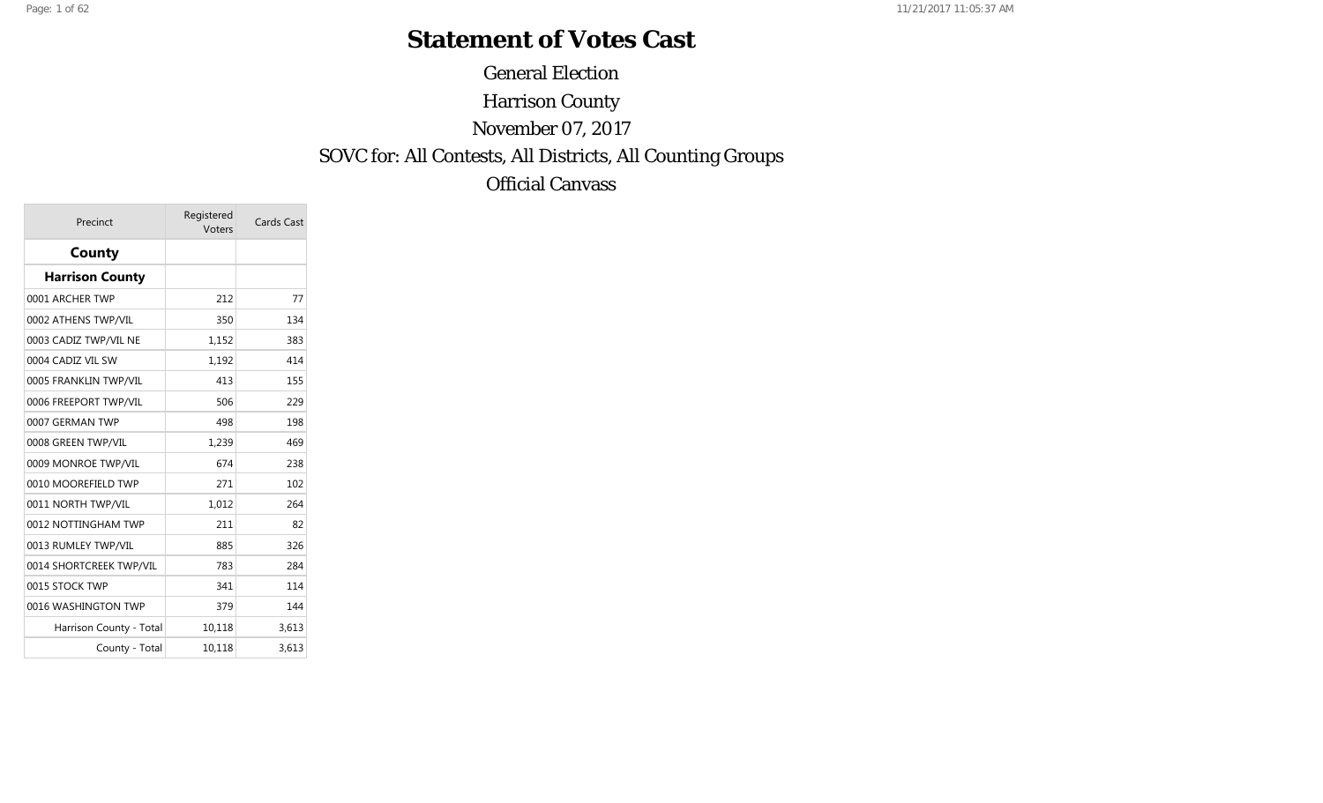#### **Statement of Votes Cast**

General Election Harrison County November 07, 2017 SOVC for: All Contests, All Districts, All Counting Groups Official Canvass

| Precinct                | Registered<br>Voters | <b>Cards Cast</b> |
|-------------------------|----------------------|-------------------|
| County                  |                      |                   |
| <b>Harrison County</b>  |                      |                   |
| 0001 ARCHER TWP         | 212                  | 77                |
| 0002 ATHENS TWP/VIL     | 350                  | 134               |
| 0003 CADIZ TWP/VIL NE   | 1,152                | 383               |
| 0004 CADIZ VIL SW       | 1,192                | 414               |
| 0005 FRANKLIN TWP/VIL   | 413                  | 155               |
| 0006 FREEPORT TWP/VIL   | 506                  | 229               |
| 0007 GERMAN TWP         | 498                  | 198               |
| 0008 GREEN TWP/VIL      | 1,239                | 469               |
| 0009 MONROE TWP/VIL     | 674                  | 238               |
| 0010 MOOREFIELD TWP     | 271                  | 102               |
| 0011 NORTH TWP/VIL      | 1,012                | 264               |
| 0012 NOTTINGHAM TWP     | 211                  | 82                |
| 0013 RUMLEY TWP/VIL     | 885                  | 326               |
| 0014 SHORTCREEK TWP/VIL | 783                  | 284               |
| 0015 STOCK TWP          | 341                  | 114               |
| 0016 WASHINGTON TWP     | 379                  | 144               |
| Harrison County - Total | 10,118               | 3,613             |
| County - Total          | 10,118               | 3,613             |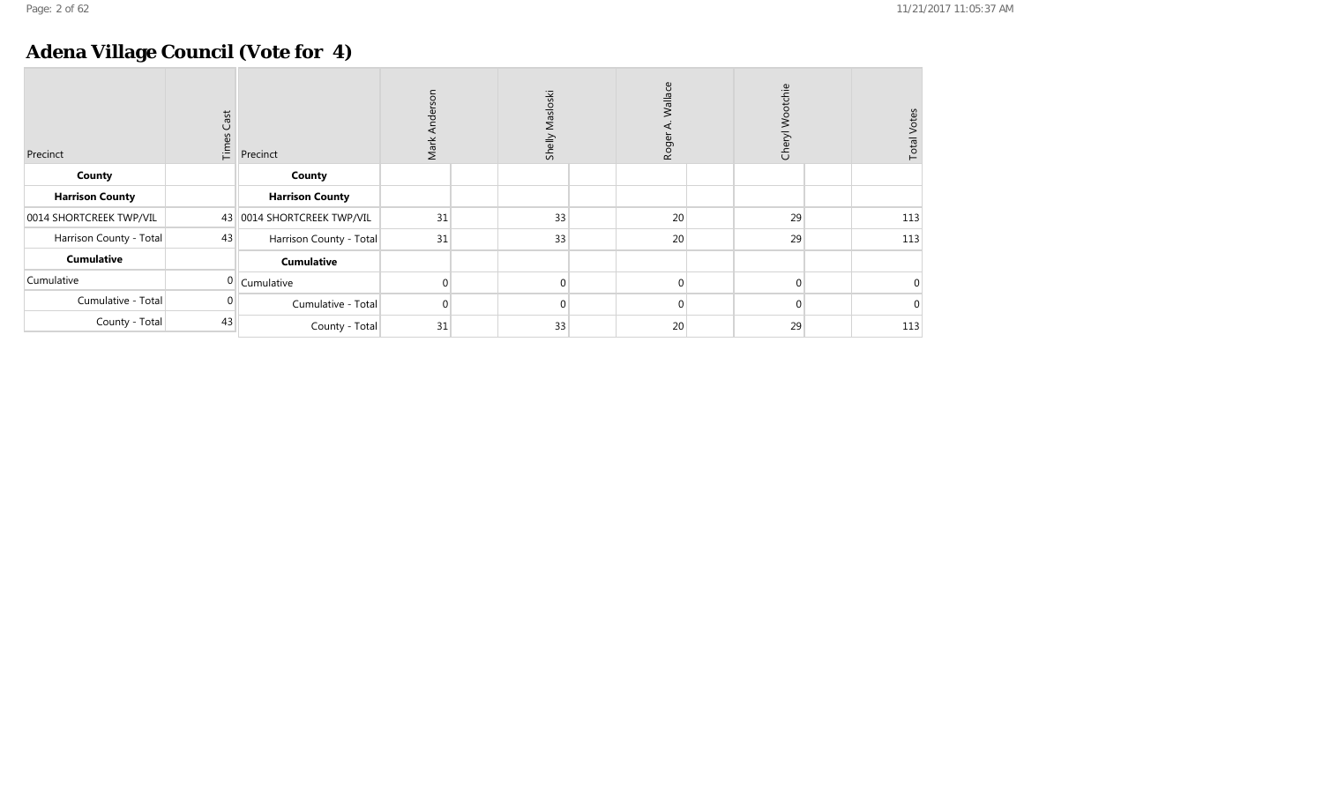## **Adena Village Council (Vote for 4)**

| Precinct                | $\mathsf{Cast}$<br>Times | Precinct                   | son<br>Ť<br>Mark | Masloski<br>Shelly | Wallace<br>Roge | Wootchie<br>Chery <sup>1</sup> | <b>Total Votes</b> |
|-------------------------|--------------------------|----------------------------|------------------|--------------------|-----------------|--------------------------------|--------------------|
| County                  |                          | County                     |                  |                    |                 |                                |                    |
| <b>Harrison County</b>  |                          | <b>Harrison County</b>     |                  |                    |                 |                                |                    |
| 0014 SHORTCREEK TWP/VIL |                          | 43 0014 SHORTCREEK TWP/VIL | 31               | 33                 | 20 <sup>°</sup> | 29                             | 113                |
| Harrison County - Total | 43                       | Harrison County - Total    | 31               | 33                 | 20 <sup>°</sup> | 29                             | 113                |
| <b>Cumulative</b>       |                          | <b>Cumulative</b>          |                  |                    |                 |                                |                    |
| Cumulative              |                          | Cumulative                 |                  | $\Omega$           | 0               | $\Omega$                       | $\Omega$           |
| Cumulative - Total      |                          | Cumulative - Total         |                  | $\Omega$           | 0               | $\Omega$                       | $\Omega$           |
| County - Total          | 43                       | County - Total             | 31               | 33                 | 20              | 29                             | 113                |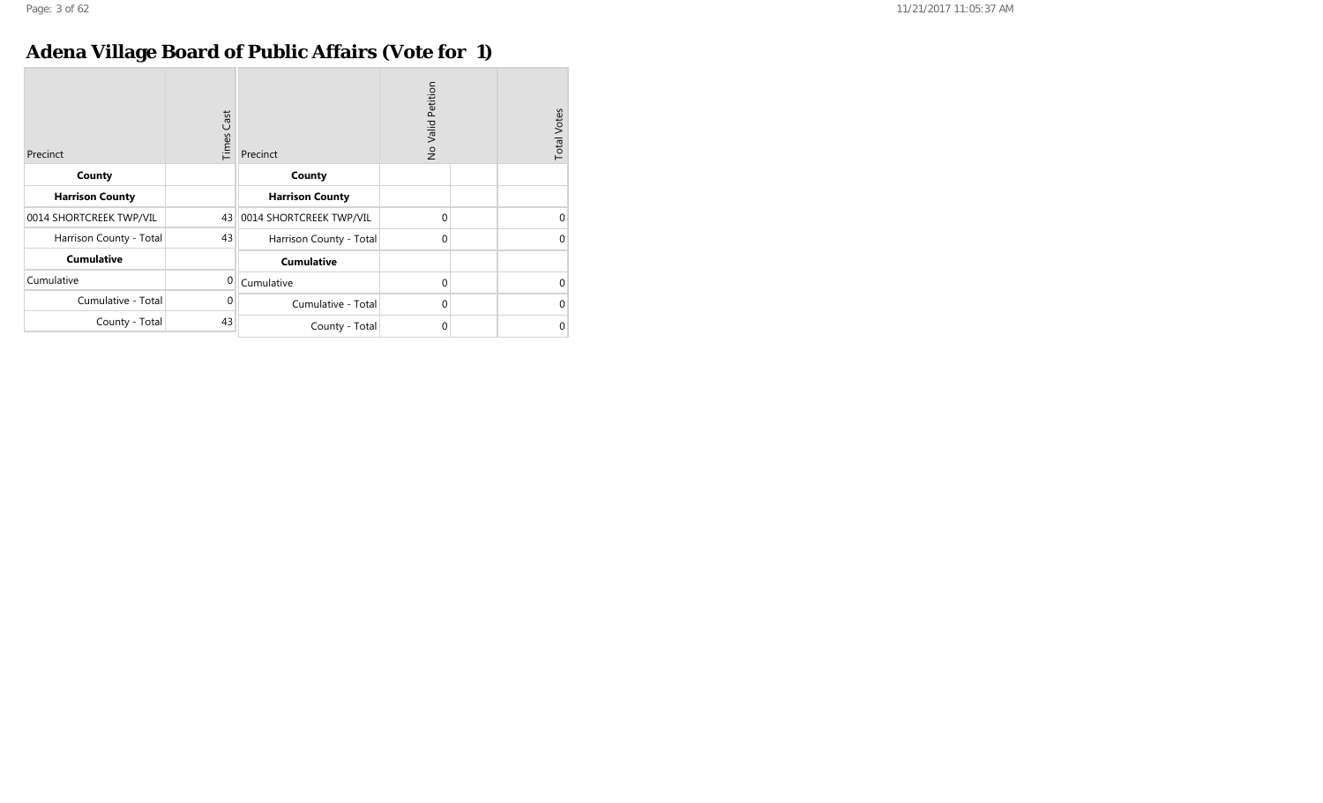## **Adena Village Board of Public Affairs (Vote for 1)**

| Precinct                | Cast<br>Times | Precinct                   | No Valid Petition | <b>Total Votes</b> |
|-------------------------|---------------|----------------------------|-------------------|--------------------|
| County                  |               | County                     |                   |                    |
| <b>Harrison County</b>  |               | <b>Harrison County</b>     |                   |                    |
| 0014 SHORTCREEK TWP/VIL |               | 43 0014 SHORTCREEK TWP/VIL | $\mathbf 0$       | $\Omega$           |
| Harrison County - Total | 43            | Harrison County - Total    | $\mathbf 0$       | $\Omega$           |
| <b>Cumulative</b>       |               | <b>Cumulative</b>          |                   |                    |
| Cumulative              | $\mathbf 0$   | Cumulative                 | $\Omega$          | $\Omega$           |
| Cumulative - Total      | $\Omega$      | Cumulative - Total         | $\overline{0}$    | $\Omega$           |
| County - Total          | 43            | County - Total             | $\mathbf 0$       | 0                  |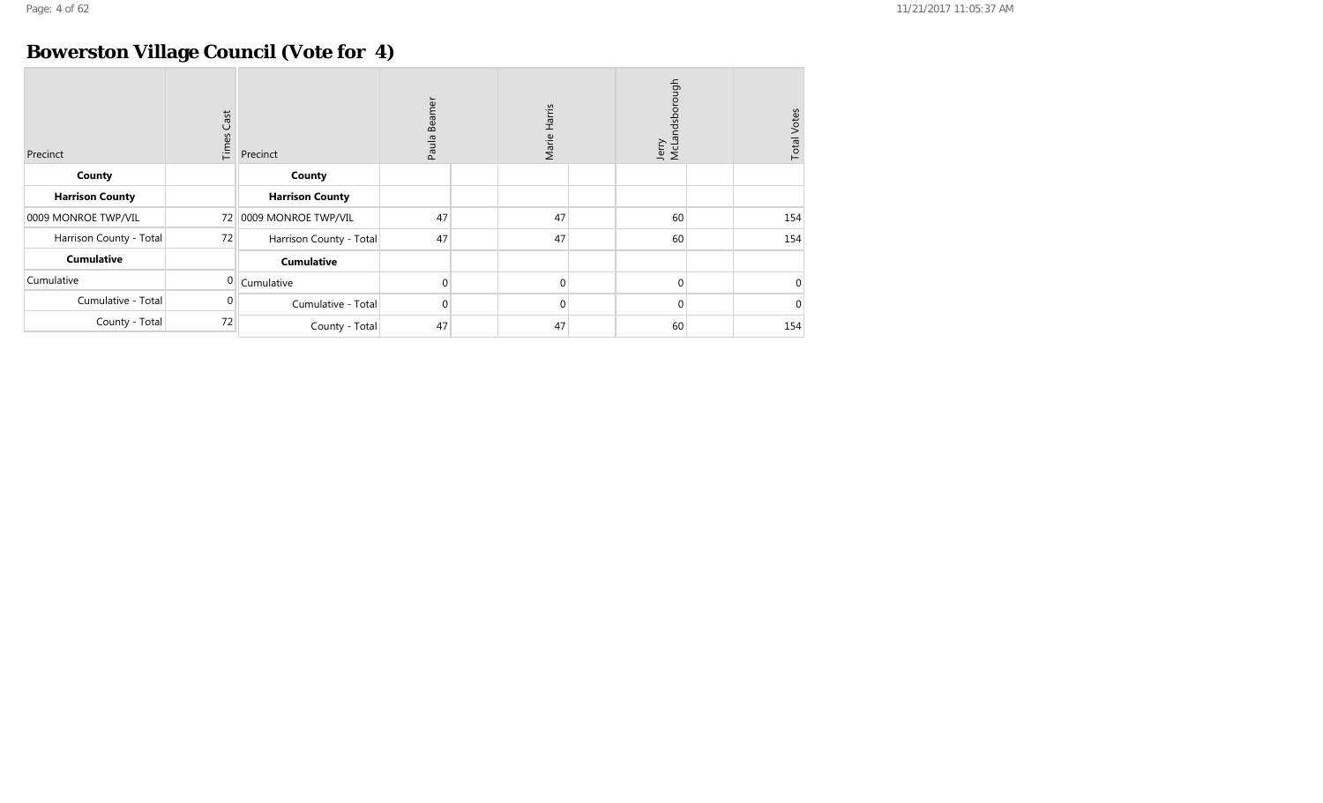## **Bowerston Village Council (Vote for 4)**

| Precinct                | $\mathsf{Cast}$<br>Times | Precinct                | Beamer<br>Paula | Marie Harris | Jerry<br>McLandsborough | <b>Total Votes</b> |
|-------------------------|--------------------------|-------------------------|-----------------|--------------|-------------------------|--------------------|
| County                  |                          | County                  |                 |              |                         |                    |
| <b>Harrison County</b>  |                          | <b>Harrison County</b>  |                 |              |                         |                    |
| 0009 MONROE TWP/VIL     | 72                       | 0009 MONROE TWP/VIL     | 47              | 47           | 60                      | 154                |
| Harrison County - Total | 72                       | Harrison County - Total | 47              | 47           | 60                      | 154                |
| <b>Cumulative</b>       |                          | <b>Cumulative</b>       |                 |              |                         |                    |
| Cumulative              | 0                        | Cumulative              | $\overline{0}$  | $\mathbf 0$  | $\mathbf{0}$            | $\overline{0}$     |
| Cumulative - Total      | $\Omega$                 | Cumulative - Total      | $\overline{0}$  | $\mathbf 0$  | $\mathbf{0}$            | $\overline{0}$     |
| County - Total          | 72                       | County - Total          | 47              | 47           | 60                      | 154                |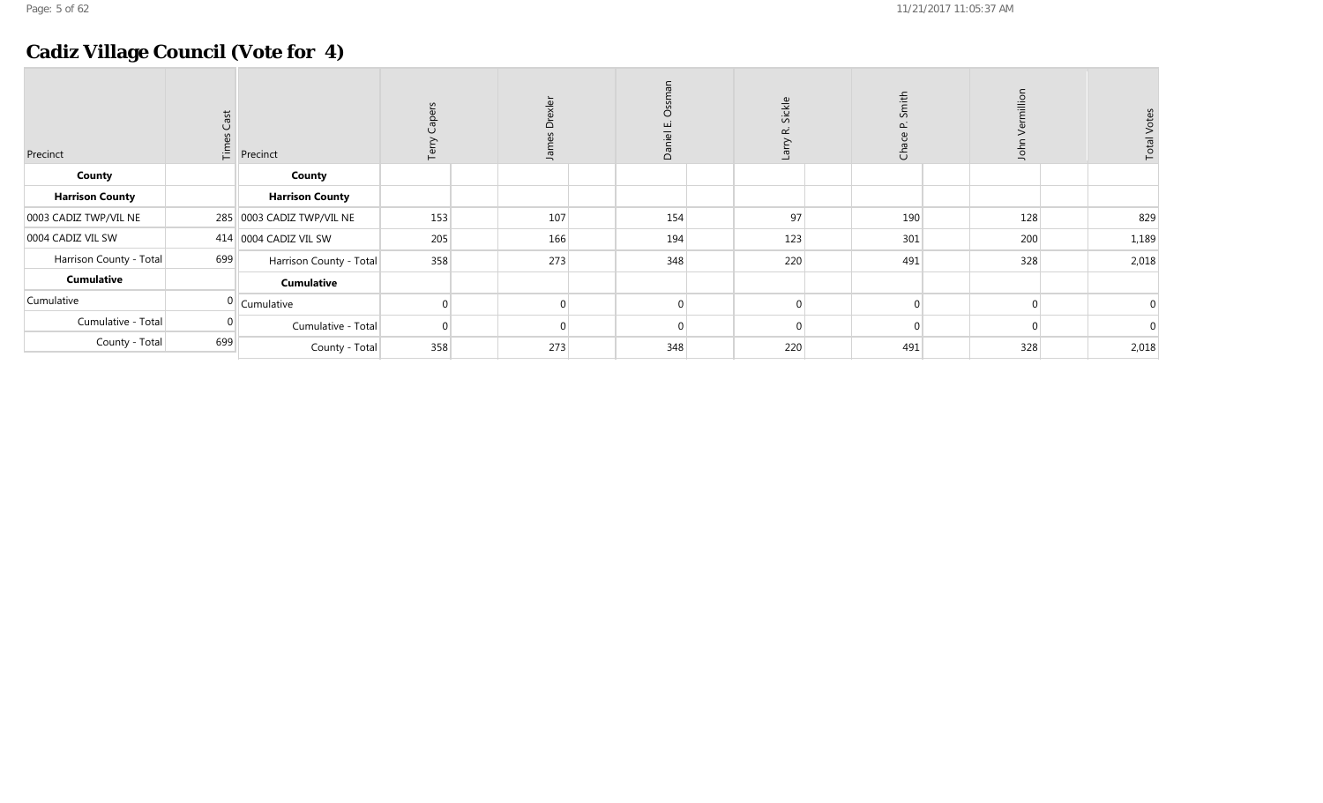## **Cadiz Village Council (Vote for 4)**

| Precinct                | ಕ<br>$\frac{15}{11}$ | Precinct                  | aper<br>은 | exler<br>$\overline{\Omega}$<br>Jam | Dani | Sickle<br>œ<br>Larry | Smith<br>ු<br>උ | lior<br>$\overline{a}$ | <b>Total Votes</b> |
|-------------------------|----------------------|---------------------------|-----------|-------------------------------------|------|----------------------|-----------------|------------------------|--------------------|
| County                  |                      | County                    |           |                                     |      |                      |                 |                        |                    |
| <b>Harrison County</b>  |                      | <b>Harrison County</b>    |           |                                     |      |                      |                 |                        |                    |
| 0003 CADIZ TWP/VIL NE   |                      | 285 0003 CADIZ TWP/VIL NE | 153       | 107                                 | 154  | 97                   | 190             | 128                    | 829                |
| 0004 CADIZ VIL SW       |                      | 414 0004 CADIZ VIL SW     | 205       | 166                                 | 194  | 123                  | 301             | 200                    | 1,189              |
| Harrison County - Total | 699                  | Harrison County - Total   | 358       | 273                                 | 348  | 220                  | 491             | 328                    | 2,018              |
| <b>Cumulative</b>       |                      | <b>Cumulative</b>         |           |                                     |      |                      |                 |                        |                    |
| Cumulative              |                      | $0$ Cumulative            |           |                                     |      |                      | $\Omega$        |                        | 0                  |
| Cumulative - Total      | $\overline{0}$       | Cumulative - Total        | $\Omega$  |                                     |      |                      | $\Omega$        |                        |                    |
| County - Total          | 699                  | County - Total            | 358       | 273                                 | 348  | 220                  | 491             | 328                    | 2,018              |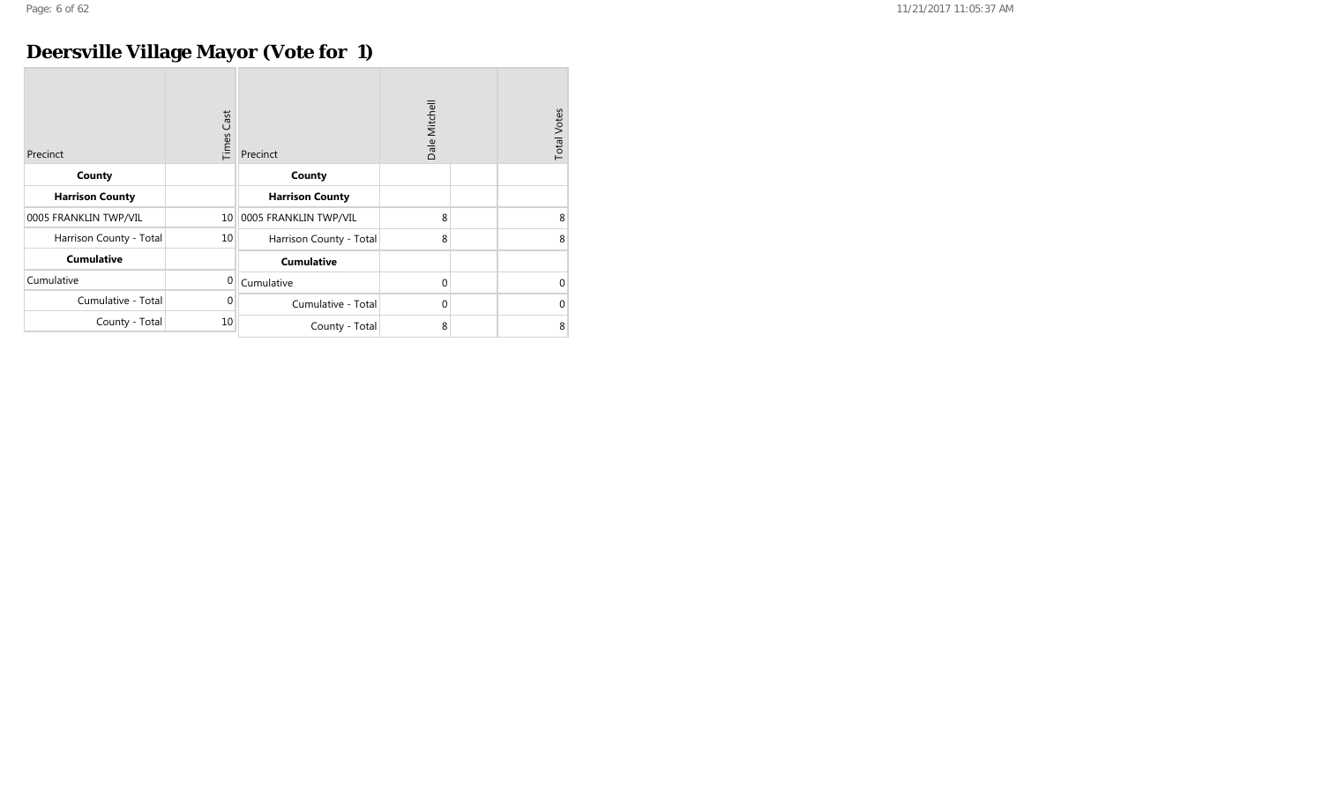## **Deersville Village Mayor (Vote for 1)**

| Precinct                | Cast<br>Times | Precinct                | Dale Mitchell | <b>Total Votes</b> |
|-------------------------|---------------|-------------------------|---------------|--------------------|
| County                  |               | County                  |               |                    |
| <b>Harrison County</b>  |               | <b>Harrison County</b>  |               |                    |
| 0005 FRANKLIN TWP/VIL   | 10            | 0005 FRANKLIN TWP/VIL   | 8             | 8                  |
| Harrison County - Total | 10            | Harrison County - Total | 8             | 8                  |
| <b>Cumulative</b>       |               | <b>Cumulative</b>       |               |                    |
| Cumulative              | $\mathbf{0}$  | Cumulative              | $\mathbf{0}$  | $\Omega$           |
| Cumulative - Total      | $\Omega$      | Cumulative - Total      | $\mathbf 0$   | $\Omega$           |
| County - Total          | 10            | County - Total          | 8             | 8                  |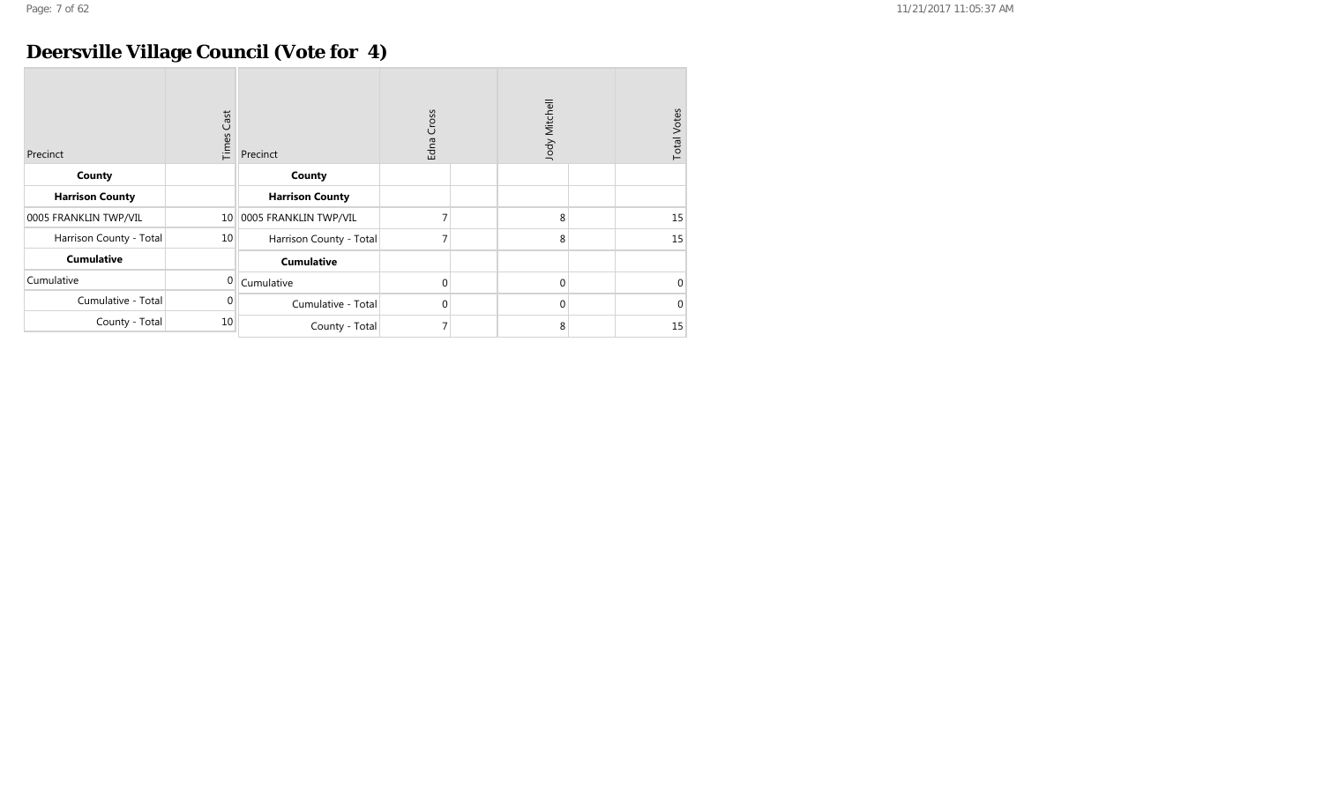## **Deersville Village Council (Vote for 4)**

| Precinct                | <b>Times Cast</b> | Precinct                | Cross<br>Edna | Jody Mitchell | <b>Total Votes</b> |
|-------------------------|-------------------|-------------------------|---------------|---------------|--------------------|
| County                  |                   | County                  |               |               |                    |
| <b>Harrison County</b>  |                   | <b>Harrison County</b>  |               |               |                    |
| 0005 FRANKLIN TWP/VIL   | 10 <sup>1</sup>   | 0005 FRANKLIN TWP/VIL   |               | 8             | 15                 |
| Harrison County - Total | 10                | Harrison County - Total |               | 8             | 15                 |
| <b>Cumulative</b>       |                   | <b>Cumulative</b>       |               |               |                    |
| Cumulative              | $\Omega$          | Cumulative              | 0             | $\mathbf{0}$  | $\mathbf{0}$       |
| Cumulative - Total      | 0                 | Cumulative - Total      | 0             | $\mathbf{0}$  | $\mathbf{0}$       |
| County - Total          | 10                | County - Total          |               | 8             | 15                 |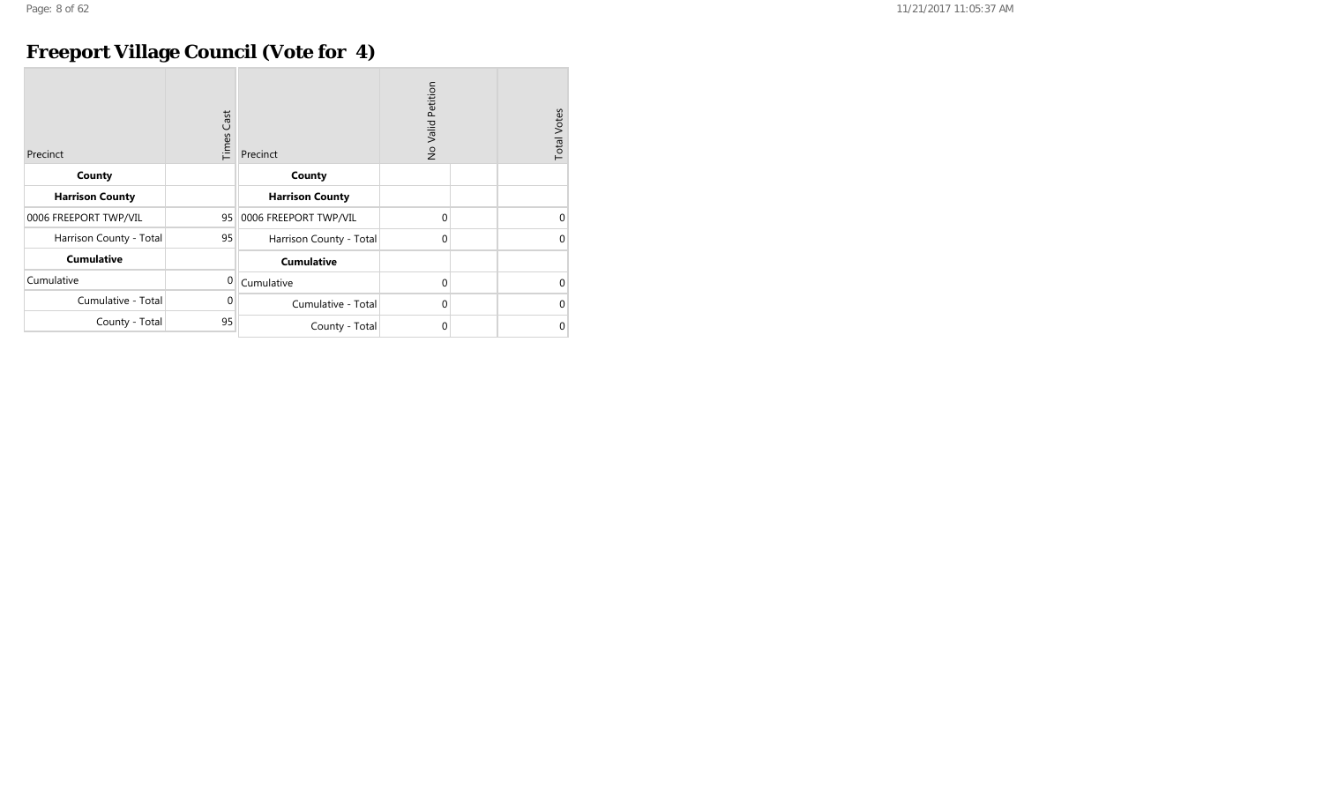## **Freeport Village Council (Vote for 4)**

| Precinct                | Cast<br>Times | Precinct                | No Valid Petition | <b>Total Votes</b> |
|-------------------------|---------------|-------------------------|-------------------|--------------------|
| County                  |               | County                  |                   |                    |
| <b>Harrison County</b>  |               | <b>Harrison County</b>  |                   |                    |
| 0006 FREEPORT TWP/VIL   | 95            | 0006 FREEPORT TWP/VIL   | 0                 | $\Omega$           |
| Harrison County - Total | 95            | Harrison County - Total | $\mathbf 0$       | $\Omega$           |
| <b>Cumulative</b>       |               | <b>Cumulative</b>       |                   |                    |
| Cumulative              | 0             | Cumulative              | $\mathbf{0}$      | $\Omega$           |
| Cumulative - Total      | $\Omega$      | Cumulative - Total      | $\mathbf{0}$      | $\Omega$           |
| County - Total          | 95            | County - Total          | 0                 | $\Omega$           |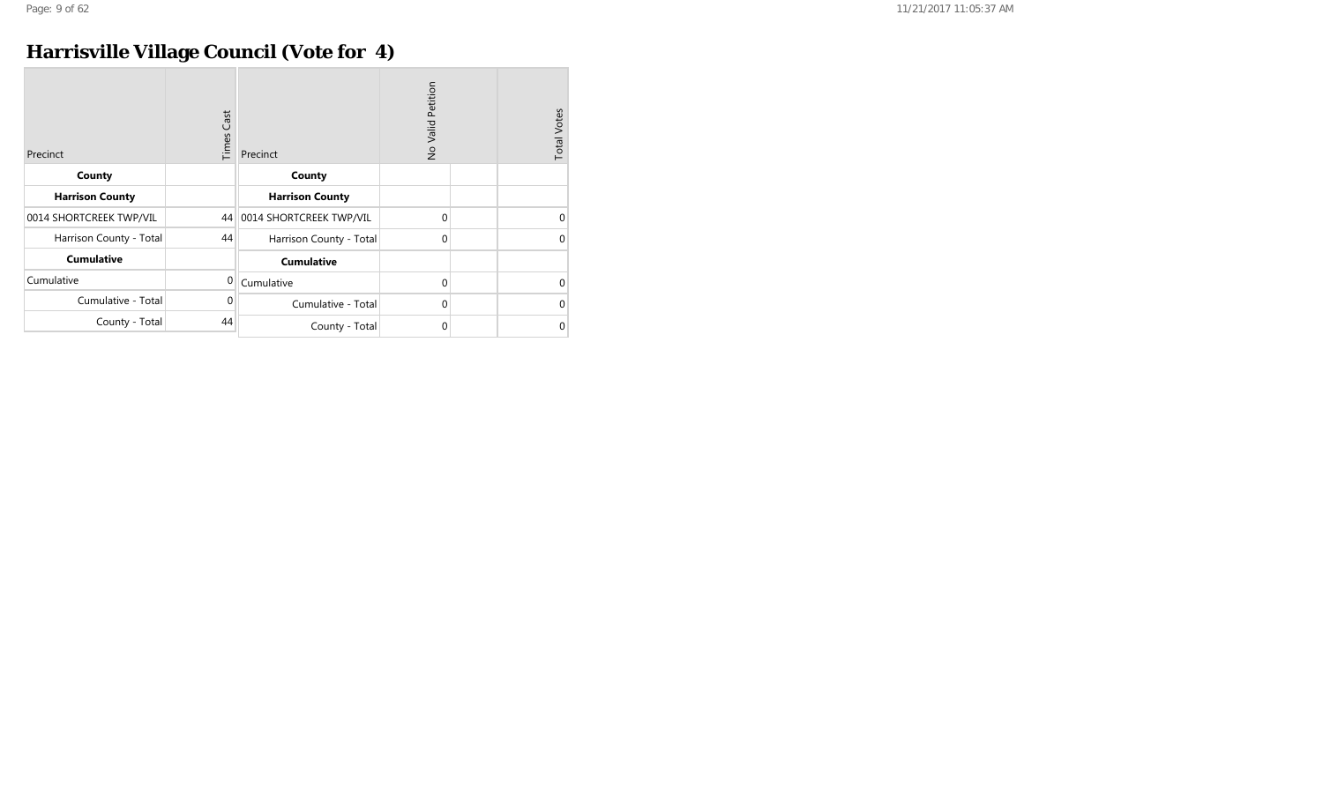## **Harrisville Village Council (Vote for 4)**

| Precinct                | Cast<br>Times | Precinct                   | No Valid Petition | <b>Total Votes</b> |
|-------------------------|---------------|----------------------------|-------------------|--------------------|
| County                  |               | County                     |                   |                    |
| <b>Harrison County</b>  |               | <b>Harrison County</b>     |                   |                    |
| 0014 SHORTCREEK TWP/VIL |               | 44 0014 SHORTCREEK TWP/VIL | $\mathbf{0}$      | $\Omega$           |
| Harrison County - Total | 44            | Harrison County - Total    | $\mathbf{0}$      | $\Omega$           |
| <b>Cumulative</b>       |               | <b>Cumulative</b>          |                   |                    |
| Cumulative              | $\mathbf 0$   | Cumulative                 | $\mathbf{0}$      | $\Omega$           |
| Cumulative - Total      | $\Omega$      | Cumulative - Total         | $\mathbf 0$       | $\Omega$           |
| County - Total          | 44            | County - Total             | $\mathbf 0$       | $\Omega$           |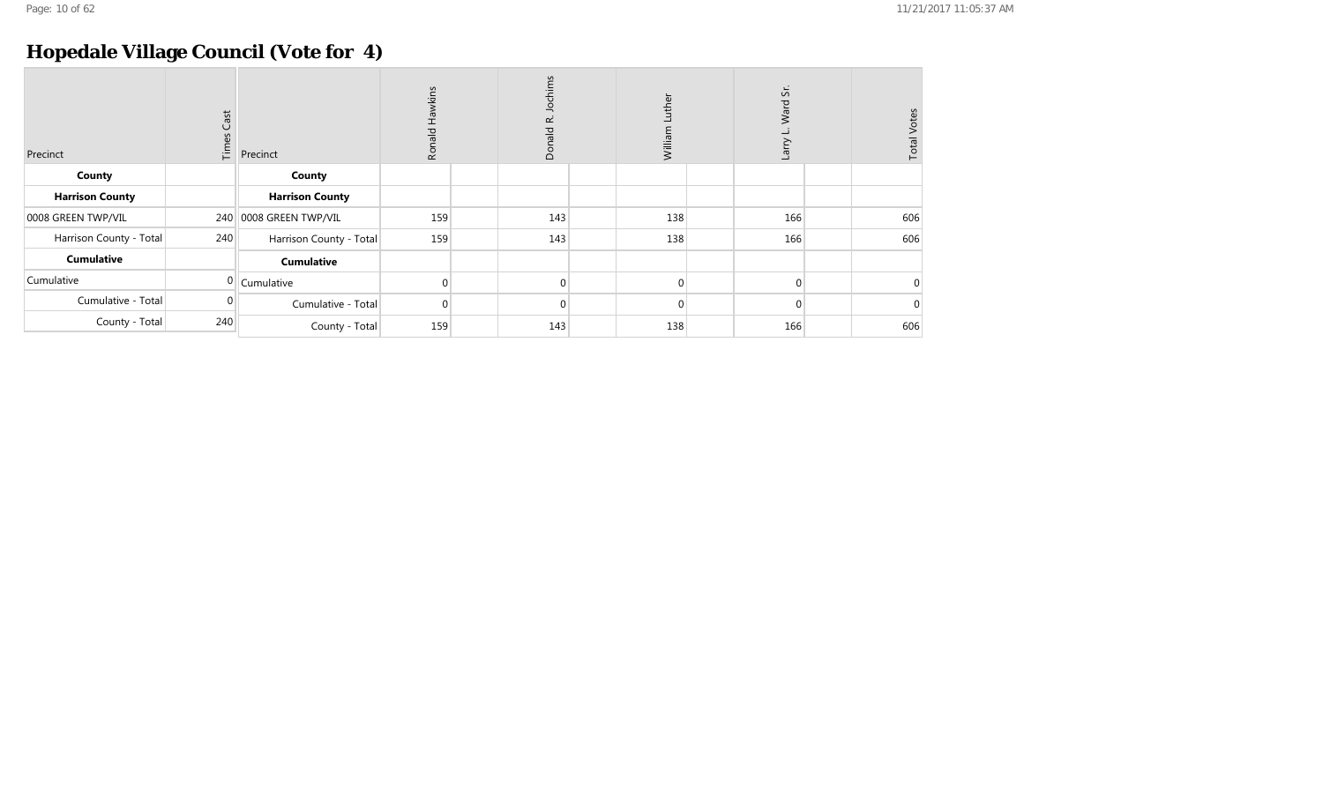## **Hopedale Village Council (Vote for 4)**

| Precinct                | $\mathsf{Cast}$<br>Times | Precinct                | Hawkins<br>Ronald | Jochims<br>nald R.<br>ā | ther<br>Willia | čί.<br>Ward<br><b>Larry</b> | <b>Total Votes</b> |
|-------------------------|--------------------------|-------------------------|-------------------|-------------------------|----------------|-----------------------------|--------------------|
| County                  |                          | County                  |                   |                         |                |                             |                    |
| <b>Harrison County</b>  |                          | <b>Harrison County</b>  |                   |                         |                |                             |                    |
| 0008 GREEN TWP/VIL      |                          | 240 0008 GREEN TWP/VIL  | 159               | 143                     | 138            | 166                         | 606                |
| Harrison County - Total | 240                      | Harrison County - Total | 159               | 143                     | 138            | 166                         | 606                |
| <b>Cumulative</b>       |                          | <b>Cumulative</b>       |                   |                         |                |                             |                    |
| Cumulative              |                          | $0$ Cumulative          |                   | $\Omega$                | $\Omega$       | $\Omega$                    | $\Omega$           |
| Cumulative - Total      |                          | Cumulative - Total      | $\Omega$          | $\Omega$                | $\Omega$       | $\Omega$                    | $\Omega$           |
| County - Total          | 240                      | County - Total          | 159               | 143                     | 138            | 166                         | 606                |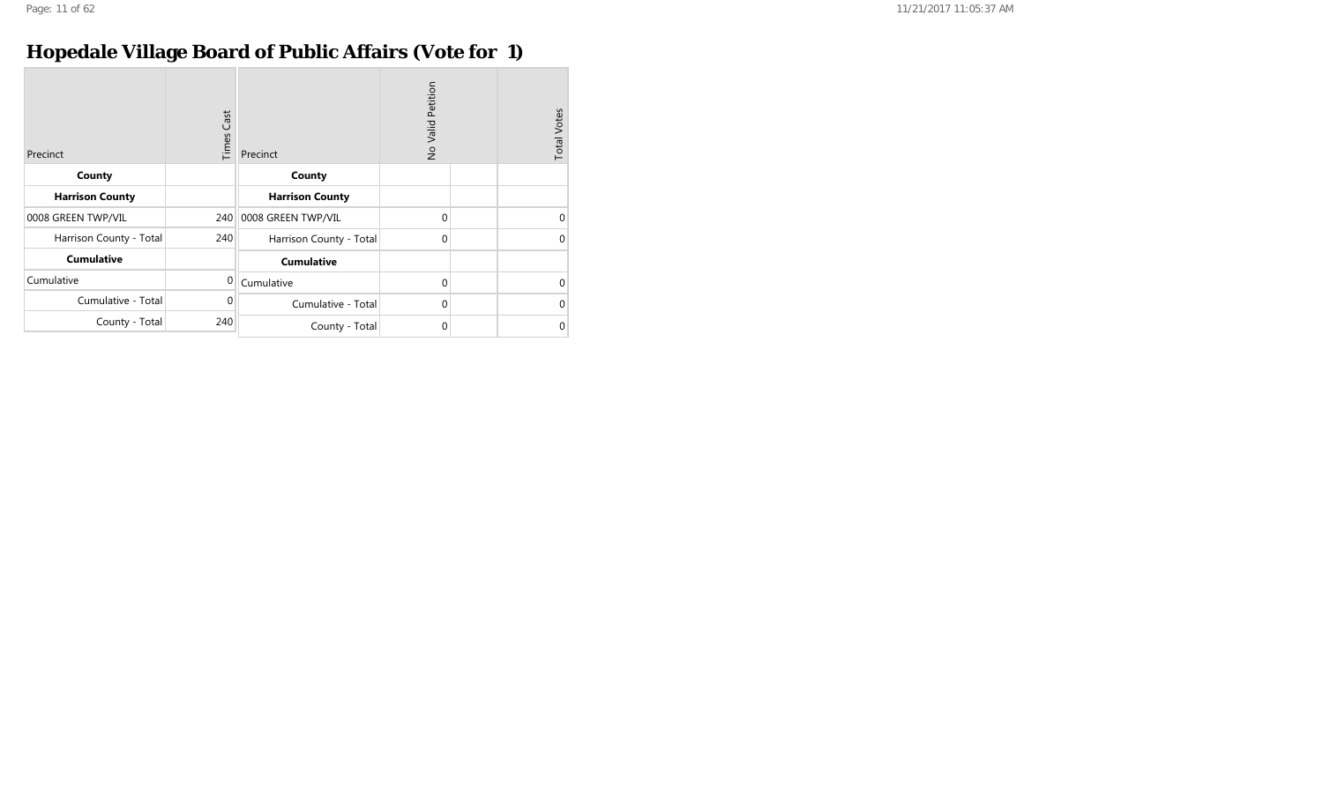## **Hopedale Village Board of Public Affairs (Vote for 1)**

| Precinct                | <b>Times Cast</b> | Precinct                | Petition<br>No Valid | <b>Total Votes</b> |
|-------------------------|-------------------|-------------------------|----------------------|--------------------|
| County                  |                   | County                  |                      |                    |
| <b>Harrison County</b>  |                   | <b>Harrison County</b>  |                      |                    |
| 0008 GREEN TWP/VIL      |                   | 240 0008 GREEN TWP/VIL  | $\Omega$             | 0                  |
| Harrison County - Total | 240               | Harrison County - Total | $\Omega$             | 0                  |
| <b>Cumulative</b>       |                   | <b>Cumulative</b>       |                      |                    |
| Cumulative              | $\Omega$          | Cumulative              | $\Omega$             | $\Omega$           |
| Cumulative - Total      | $\mathbf 0$       | Cumulative - Total      | $\Omega$             | $\Omega$           |
| County - Total          | 240               | County - Total          | $\Omega$             | 0                  |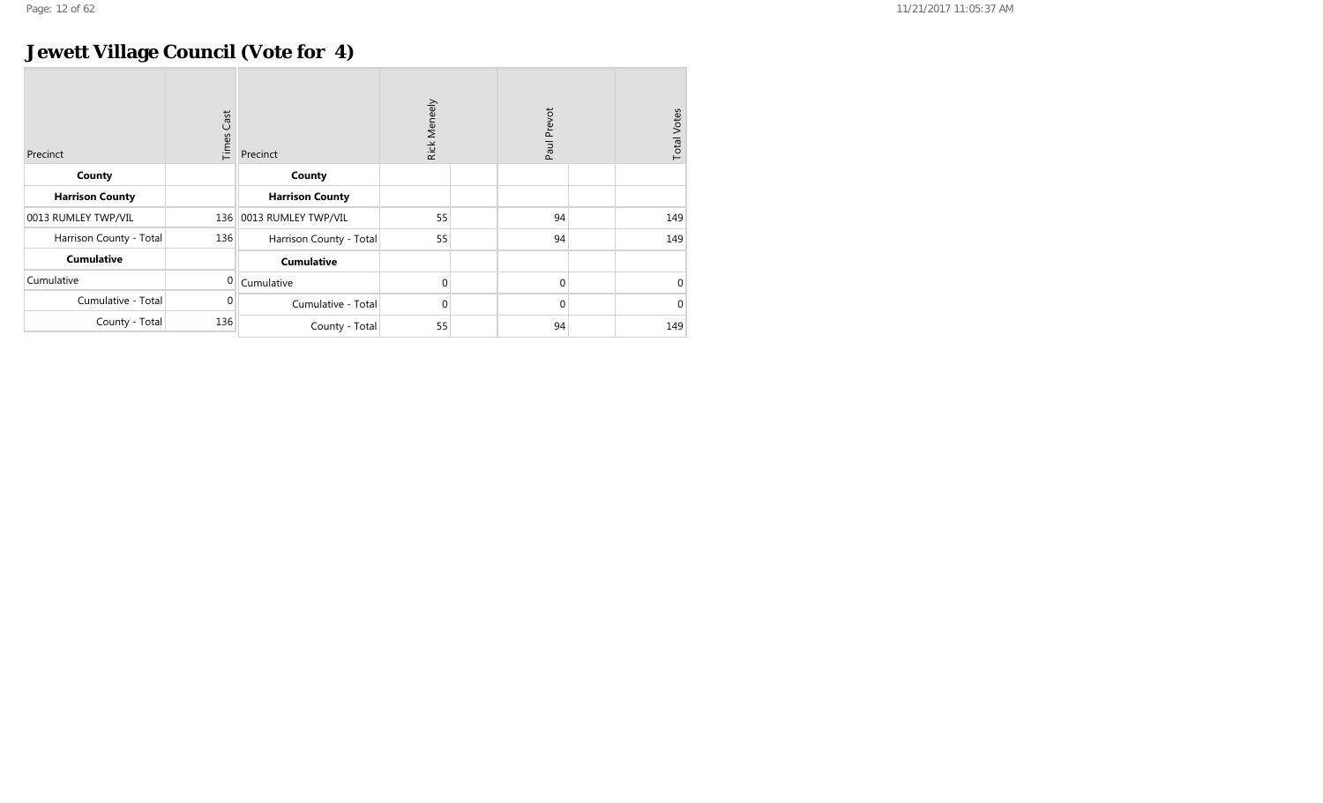## **Jewett Village Council (Vote for 4)**

| Precinct                | Cast<br>Times | Precinct                | Rick Meneely | Paul Prevot  | <b>Total Votes</b> |
|-------------------------|---------------|-------------------------|--------------|--------------|--------------------|
| County                  |               | County                  |              |              |                    |
| <b>Harrison County</b>  |               | <b>Harrison County</b>  |              |              |                    |
| 0013 RUMLEY TWP/VIL     | 136           | 0013 RUMLEY TWP/VIL     | 55           | 94           | 149                |
| Harrison County - Total | 136           | Harrison County - Total | 55           | 94           | 149                |
| <b>Cumulative</b>       |               | <b>Cumulative</b>       |              |              |                    |
| Cumulative              | $\Omega$      | Cumulative              | 0            | $\mathbf{0}$ | $\Omega$           |
| Cumulative - Total      | 0             | Cumulative - Total      | 0            | $\mathbf{0}$ | $\Omega$           |
| County - Total          | 136           | County - Total          | 55           | 94           | 149                |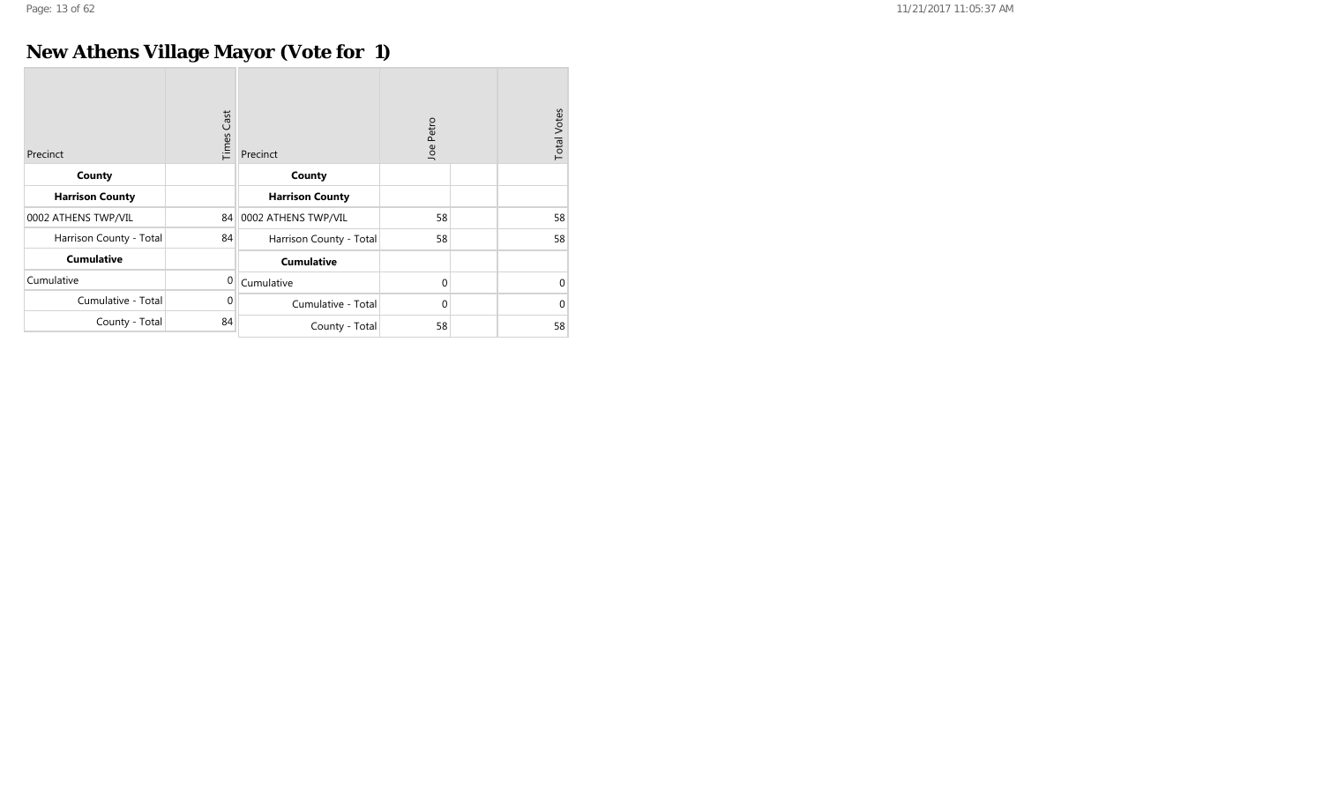## **New Athens Village Mayor (Vote for 1)**

| Precinct                | Cast<br>Times | Precinct                | Joe Petro    | <b>Total Votes</b> |
|-------------------------|---------------|-------------------------|--------------|--------------------|
| County                  |               | County                  |              |                    |
| <b>Harrison County</b>  |               | <b>Harrison County</b>  |              |                    |
| 0002 ATHENS TWP/VIL     | 84            | 0002 ATHENS TWP/VIL     | 58           | 58                 |
| Harrison County - Total | 84            | Harrison County - Total | 58           | 58                 |
| <b>Cumulative</b>       |               | <b>Cumulative</b>       |              |                    |
| Cumulative              | $\mathbf{0}$  | Cumulative              | $\mathbf{0}$ | 0                  |
| Cumulative - Total      | 0             | Cumulative - Total      | $\mathbf{0}$ | 0                  |
| County - Total          | 84            | County - Total          | 58           | 58                 |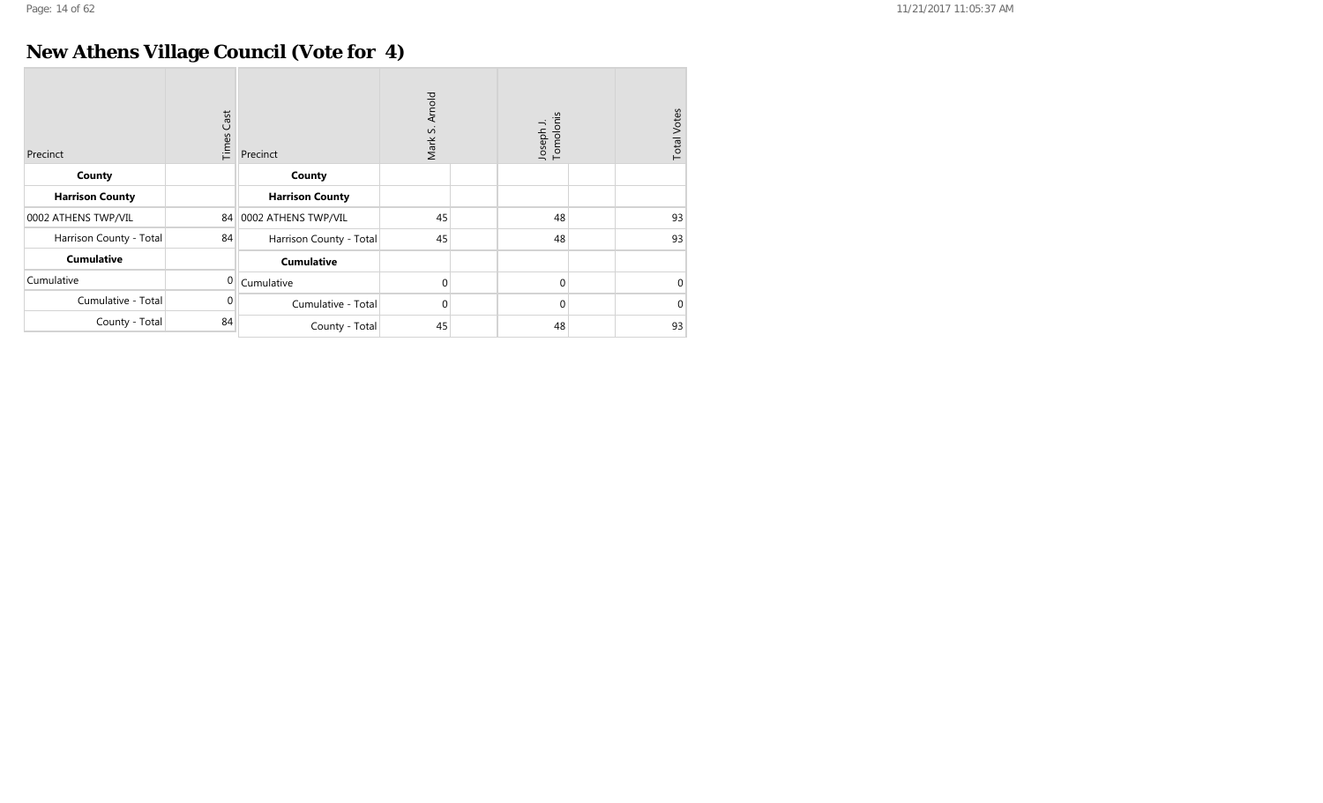## **New Athens Village Council (Vote for 4)**

| Precinct                | <b>Times Cast</b> | Precinct                | Arnold<br>vi<br>Mark | Joseph J.<br>Tomolonis | <b>Total Votes</b> |
|-------------------------|-------------------|-------------------------|----------------------|------------------------|--------------------|
| County                  |                   | County                  |                      |                        |                    |
| <b>Harrison County</b>  |                   | <b>Harrison County</b>  |                      |                        |                    |
| 0002 ATHENS TWP/VIL     | 84                | 0002 ATHENS TWP/VIL     | 45                   | 48                     | 93                 |
| Harrison County - Total | 84                | Harrison County - Total | 45                   | 48                     | 93                 |
| <b>Cumulative</b>       |                   | <b>Cumulative</b>       |                      |                        |                    |
| Cumulative              | $\Omega$          | Cumulative              | 0                    | $\mathbf 0$            | $\Omega$           |
| Cumulative - Total      | 0                 | Cumulative - Total      | $\mathbf 0$          | $\mathbf 0$            | $\Omega$           |
| County - Total          | 84                | County - Total          | 45                   | 48                     | 93                 |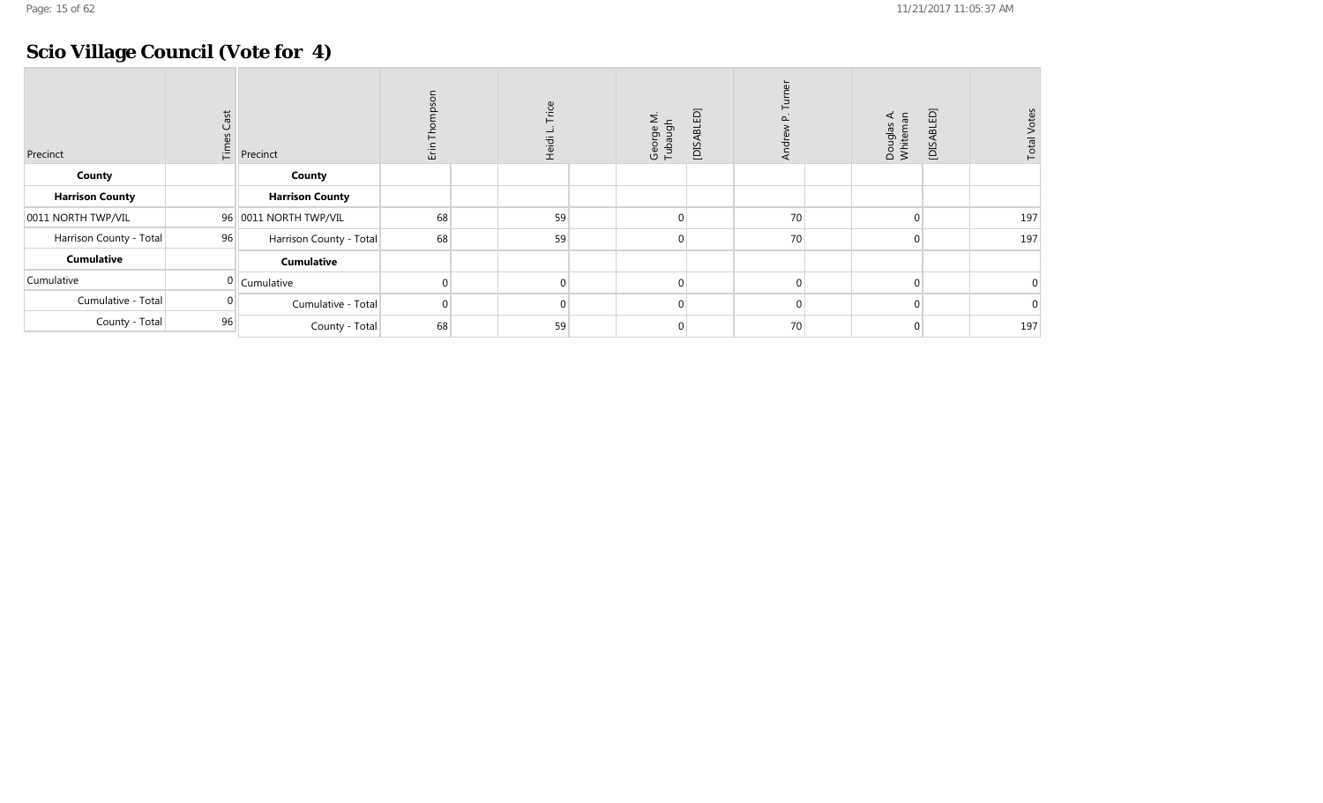## **Scio Village Council (Vote for 4)**

| Precinct                | Cast<br>Time | Precinct                | 温        | Trice<br>Heidi L. | George M.<br>Tubaugh | [DISABLED] | $\frac{1}{2}$ | Douglas A.<br>Whiteman | [DISABLED] | <b>Total Votes</b> |
|-------------------------|--------------|-------------------------|----------|-------------------|----------------------|------------|---------------|------------------------|------------|--------------------|
| County                  |              | County                  |          |                   |                      |            |               |                        |            |                    |
| <b>Harrison County</b>  |              | <b>Harrison County</b>  |          |                   |                      |            |               |                        |            |                    |
| 0011 NORTH TWP/VIL      |              | 96 0011 NORTH TWP/VIL   | 68       | 59                |                      |            | 70            |                        |            | 197                |
| Harrison County - Total | 96           | Harrison County - Total | 68       | 59                | 0                    |            | 70            | $\Omega$               |            | 197                |
| <b>Cumulative</b>       |              | <b>Cumulative</b>       |          |                   |                      |            |               |                        |            |                    |
| Cumulative              |              | $0$ Cumulative          |          | $\Omega$          |                      |            |               |                        |            |                    |
| Cumulative - Total      |              | Cumulative - Total      | $\Omega$ | $\Omega$          |                      |            | $\cap$        | $\Omega$               |            |                    |
| County - Total          | 96           | County - Total          | 68       | 59                |                      |            | 70            |                        |            | 197                |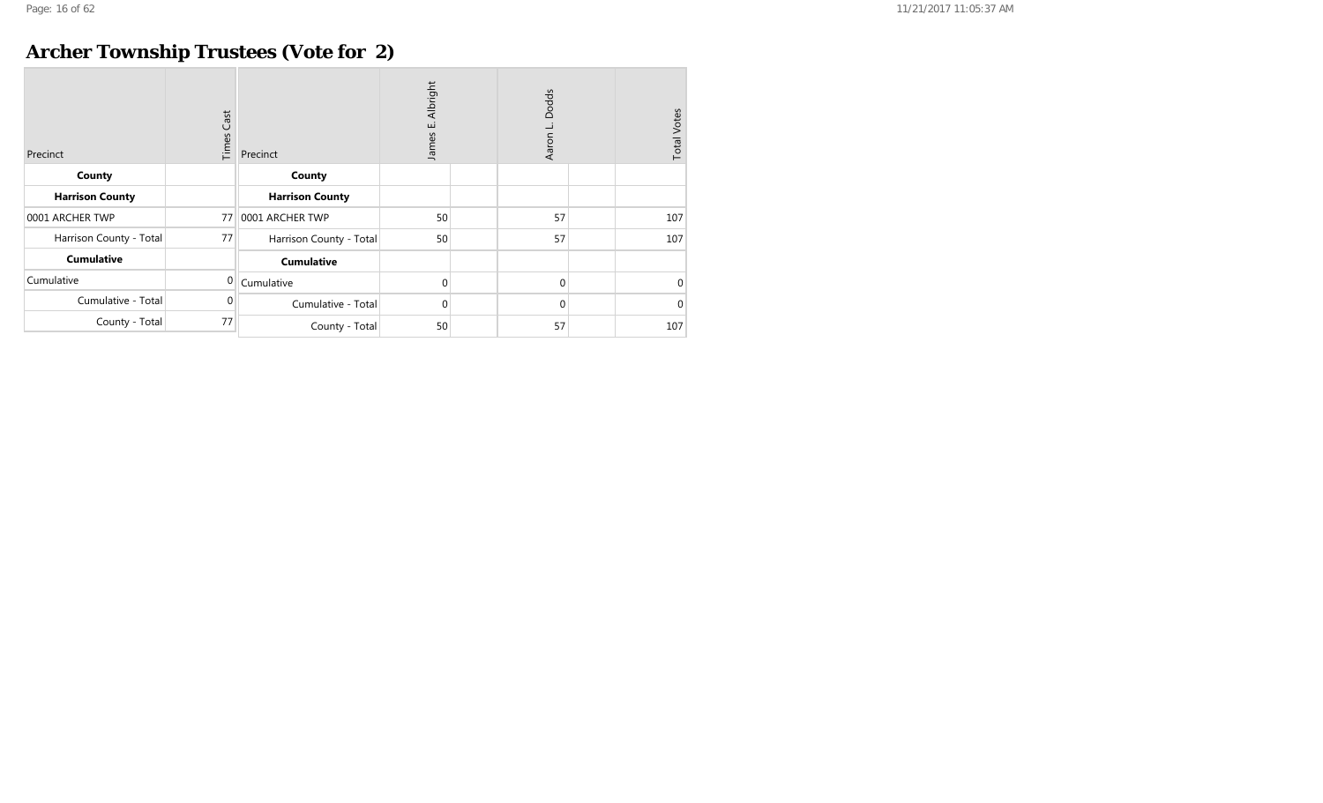## **Archer Township Trustees (Vote for 2)**

| Precinct                | <b>Times Cast</b> | Precinct                | Albright<br>نى<br>James | Dodds<br>Aaron L | <b>Total Votes</b> |
|-------------------------|-------------------|-------------------------|-------------------------|------------------|--------------------|
| County                  |                   | County                  |                         |                  |                    |
| <b>Harrison County</b>  |                   | <b>Harrison County</b>  |                         |                  |                    |
| 0001 ARCHER TWP         | 77                | 0001 ARCHER TWP         | 50                      | 57               | 107                |
| Harrison County - Total | 77                | Harrison County - Total | 50                      | 57               | 107                |
| <b>Cumulative</b>       |                   | <b>Cumulative</b>       |                         |                  |                    |
| Cumulative              | $\Omega$          | Cumulative              | $\mathbf{0}$            | $\overline{0}$   | $\Omega$           |
| Cumulative - Total      | 0                 | Cumulative - Total      | $\mathbf 0$             | $\overline{0}$   | $\Omega$           |
| County - Total          | 77                | County - Total          | 50                      | 57               | 107                |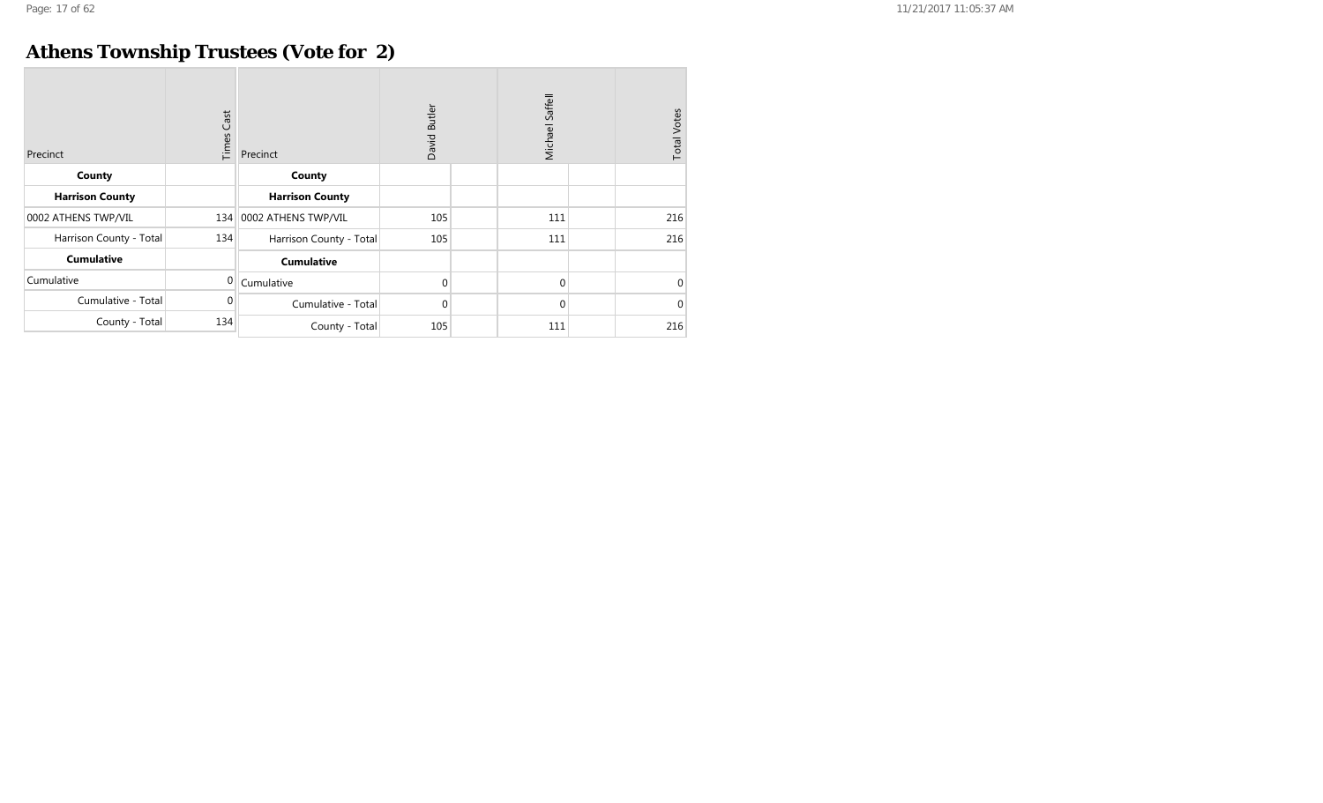## **Athens Township Trustees (Vote for 2)**

| Precinct                | <b>Times Cast</b> | Precinct                | David Butler |  | Michael Saffell | <b>Total Votes</b> |          |
|-------------------------|-------------------|-------------------------|--------------|--|-----------------|--------------------|----------|
| County                  |                   | County                  |              |  |                 |                    |          |
| <b>Harrison County</b>  |                   | <b>Harrison County</b>  |              |  |                 |                    |          |
| 0002 ATHENS TWP/VIL     | 134               | 0002 ATHENS TWP/VIL     | 105          |  | 111             |                    | 216      |
| Harrison County - Total | 134               | Harrison County - Total | 105          |  | 111             |                    | 216      |
| <b>Cumulative</b>       |                   | <b>Cumulative</b>       |              |  |                 |                    |          |
| Cumulative              | $\Omega$          | Cumulative              | 0            |  | 0               |                    | $\Omega$ |
| Cumulative - Total      | 0                 | Cumulative - Total      | 0            |  | 0               |                    | $\Omega$ |
| County - Total          | 134               | County - Total          | 105          |  | 111             |                    | 216      |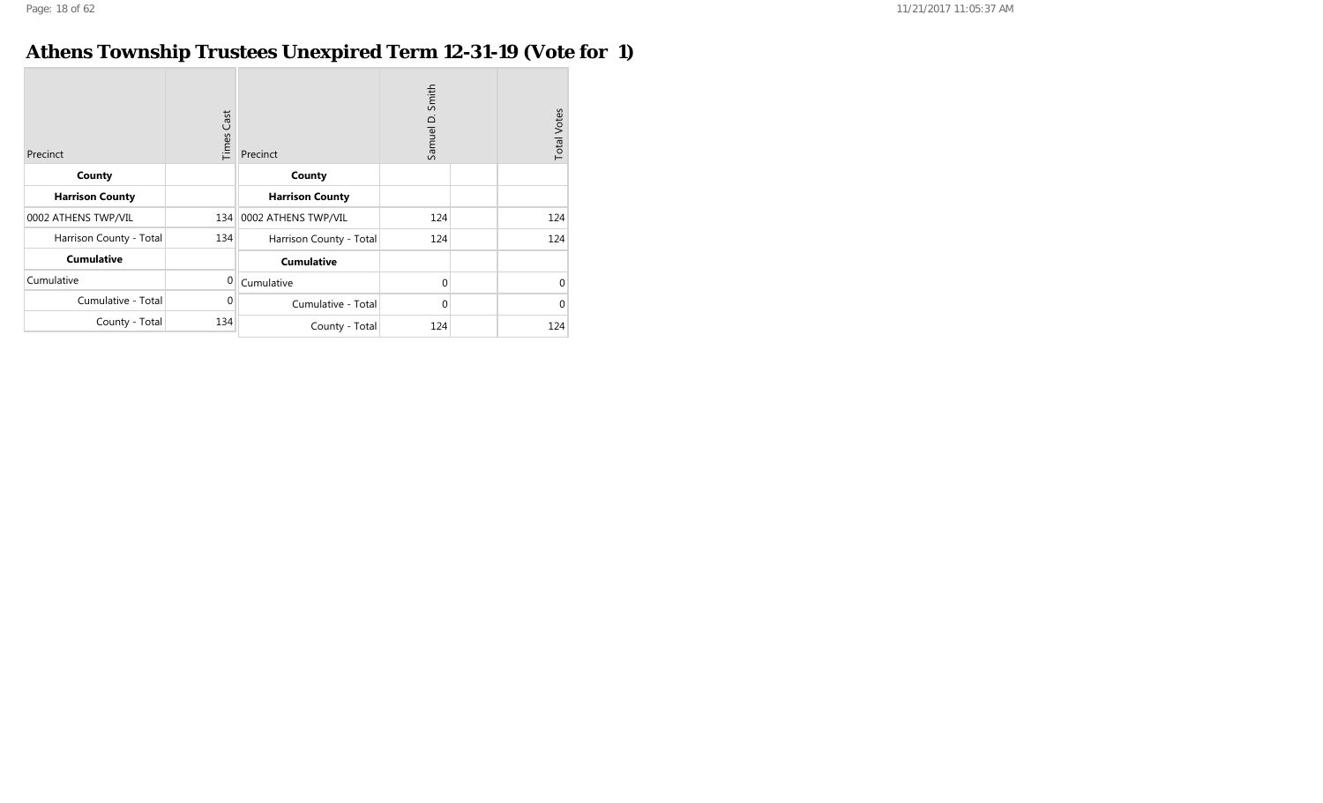## **Athens Township Trustees Unexpired Term 12-31-19 (Vote for 1)**

| Precinct                | Cast<br>Times | Precinct                | Smith<br>Samuel D. | <b>Total Votes</b> |
|-------------------------|---------------|-------------------------|--------------------|--------------------|
| County                  |               | County                  |                    |                    |
| <b>Harrison County</b>  |               | <b>Harrison County</b>  |                    |                    |
| 0002 ATHENS TWP/VIL     |               | 134 0002 ATHENS TWP/VIL | 124                | 124                |
| Harrison County - Total | 134           | Harrison County - Total | 124                | 124                |
| <b>Cumulative</b>       |               | <b>Cumulative</b>       |                    |                    |
| Cumulative              | $\mathbf 0$   | Cumulative              | $\mathbf 0$        | 0                  |
| Cumulative - Total      | $\Omega$      | Cumulative - Total      | $\mathbf 0$        | $\Omega$           |
| County - Total          | 134           | County - Total          | 124                | 124                |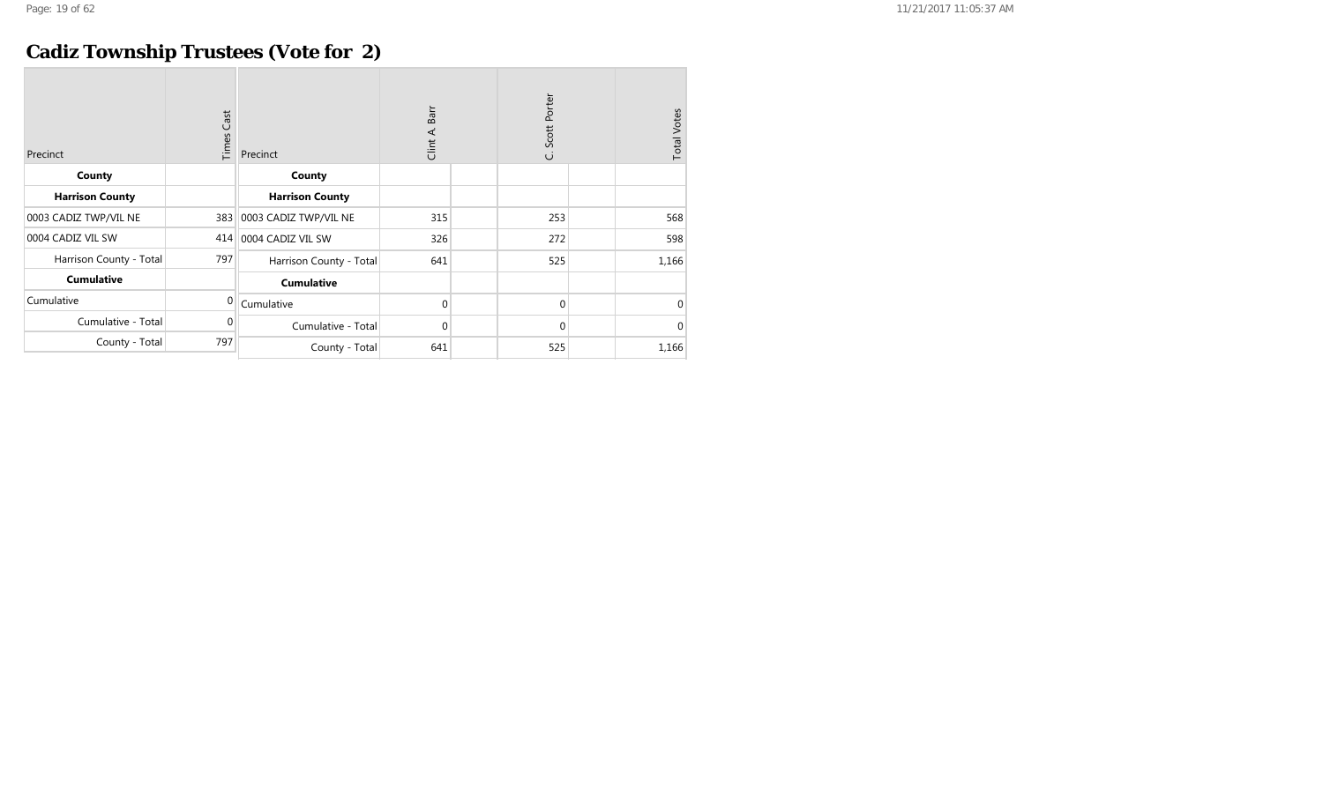## **Cadiz Township Trustees (Vote for 2)**

| Precinct                | <b>Times Cast</b> | Precinct                | Barr<br>Clint A. | Scott Porter<br>ن | <b>Total Votes</b> |
|-------------------------|-------------------|-------------------------|------------------|-------------------|--------------------|
| County                  |                   | County                  |                  |                   |                    |
| <b>Harrison County</b>  |                   | <b>Harrison County</b>  |                  |                   |                    |
| 0003 CADIZ TWP/VIL NE   | 383               | 0003 CADIZ TWP/VIL NE   | 315              | 253               | 568                |
| 0004 CADIZ VIL SW       | 414               | 0004 CADIZ VIL SW       | 326              | 272               | 598                |
| Harrison County - Total | 797               | Harrison County - Total | 641              | 525               | 1,166              |
| <b>Cumulative</b>       |                   | <b>Cumulative</b>       |                  |                   |                    |
| Cumulative              | $\Omega$          | Cumulative              | 0                | $\mathbf{0}$      | 0                  |
| Cumulative - Total      | 0                 | Cumulative - Total      | 0                | $\mathbf 0$       | $\Omega$           |
| County - Total          | 797               | County - Total          | 641              | 525               | 1,166              |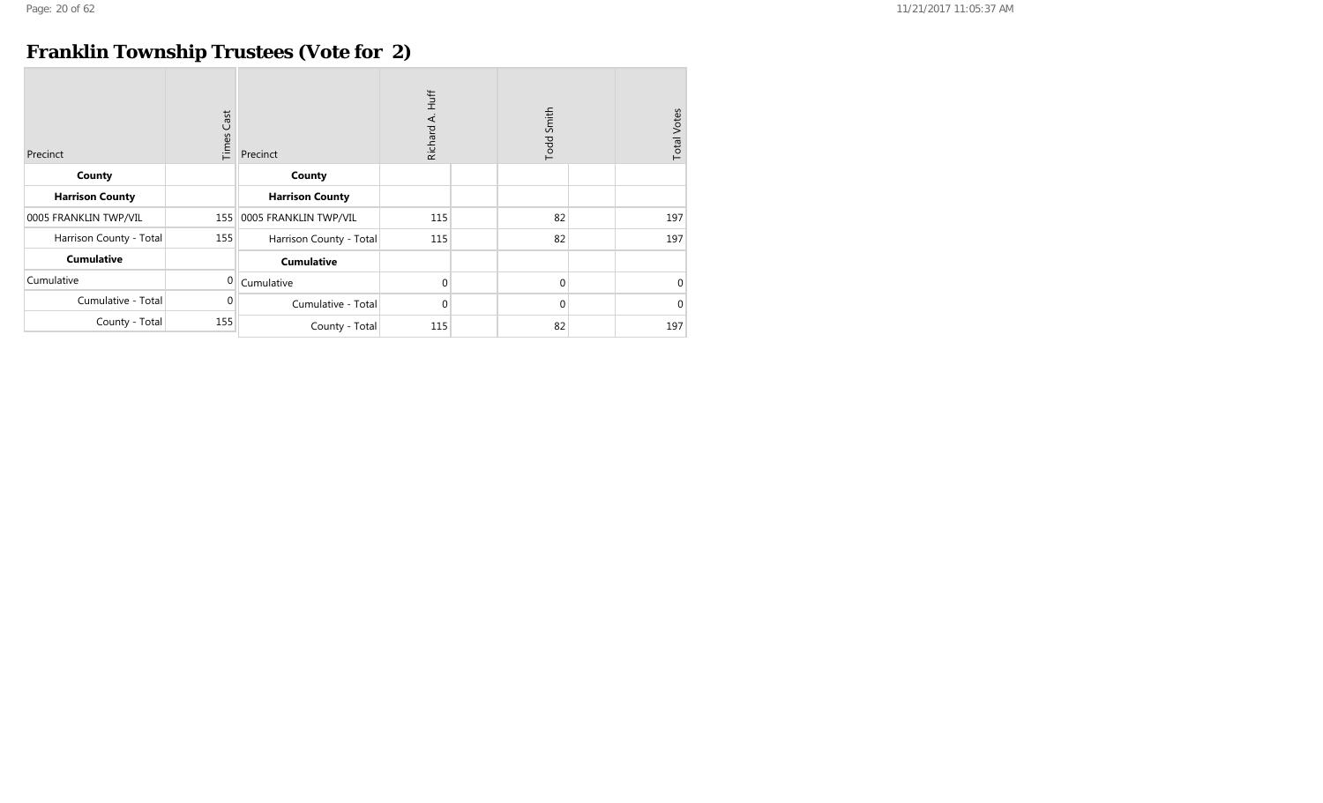## **Franklin Township Trustees (Vote for 2)**

| Precinct                | <b>Times Cast</b> | Precinct                | Huff<br>Richard A. |  | Todd Smith   | <b>Total Votes</b> |
|-------------------------|-------------------|-------------------------|--------------------|--|--------------|--------------------|
| County                  |                   | County                  |                    |  |              |                    |
| <b>Harrison County</b>  |                   | <b>Harrison County</b>  |                    |  |              |                    |
| 0005 FRANKLIN TWP/VIL   | 155               | 0005 FRANKLIN TWP/VIL   | 115                |  | 82           | 197                |
| Harrison County - Total | 155               | Harrison County - Total | 115                |  | 82           | 197                |
| <b>Cumulative</b>       |                   | <b>Cumulative</b>       |                    |  |              |                    |
| Cumulative              | $\overline{0}$    | Cumulative              | 0                  |  | $\mathbf{0}$ | $\Omega$           |
| Cumulative - Total      | $\mathbf 0$       | Cumulative - Total      | 0                  |  | 0            | $\Omega$           |
| County - Total          | 155               | County - Total          | 115                |  | 82           | 197                |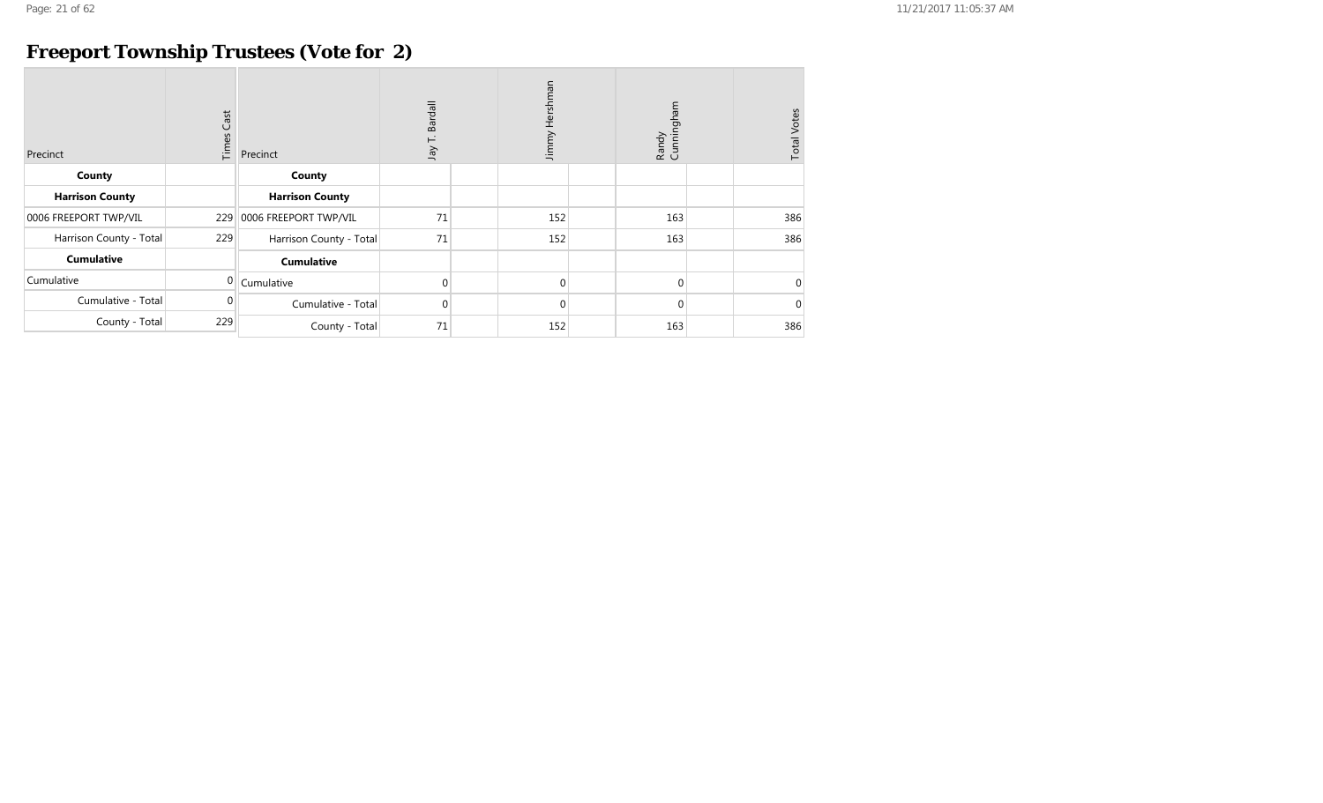## **Freeport Township Trustees (Vote for 2)**

| Precinct                | $\mathsf{Cast}$<br>Times | Precinct                | Bardall<br>⊢<br>yer | Jimmy Hershman | Cunningham<br>Randy | <b>Total Votes</b> |
|-------------------------|--------------------------|-------------------------|---------------------|----------------|---------------------|--------------------|
| County                  |                          | County                  |                     |                |                     |                    |
| <b>Harrison County</b>  |                          | <b>Harrison County</b>  |                     |                |                     |                    |
| 0006 FREEPORT TWP/VIL   | 229                      | 0006 FREEPORT TWP/VIL   | 71                  | 152            | 163                 | 386                |
| Harrison County - Total | 229                      | Harrison County - Total | 71                  | 152            | 163                 | 386                |
| <b>Cumulative</b>       |                          | <b>Cumulative</b>       |                     |                |                     |                    |
| Cumulative              | 0                        | Cumulative              | 0                   | $\mathbf{0}$   | $\mathbf{0}$        | $\Omega$           |
| Cumulative - Total      | 0                        | Cumulative - Total      | $\overline{0}$      | $\Omega$       | $\mathbf{0}$        | $\Omega$           |
| County - Total          | 229                      | County - Total          | 71                  | 152            | 163                 | 386                |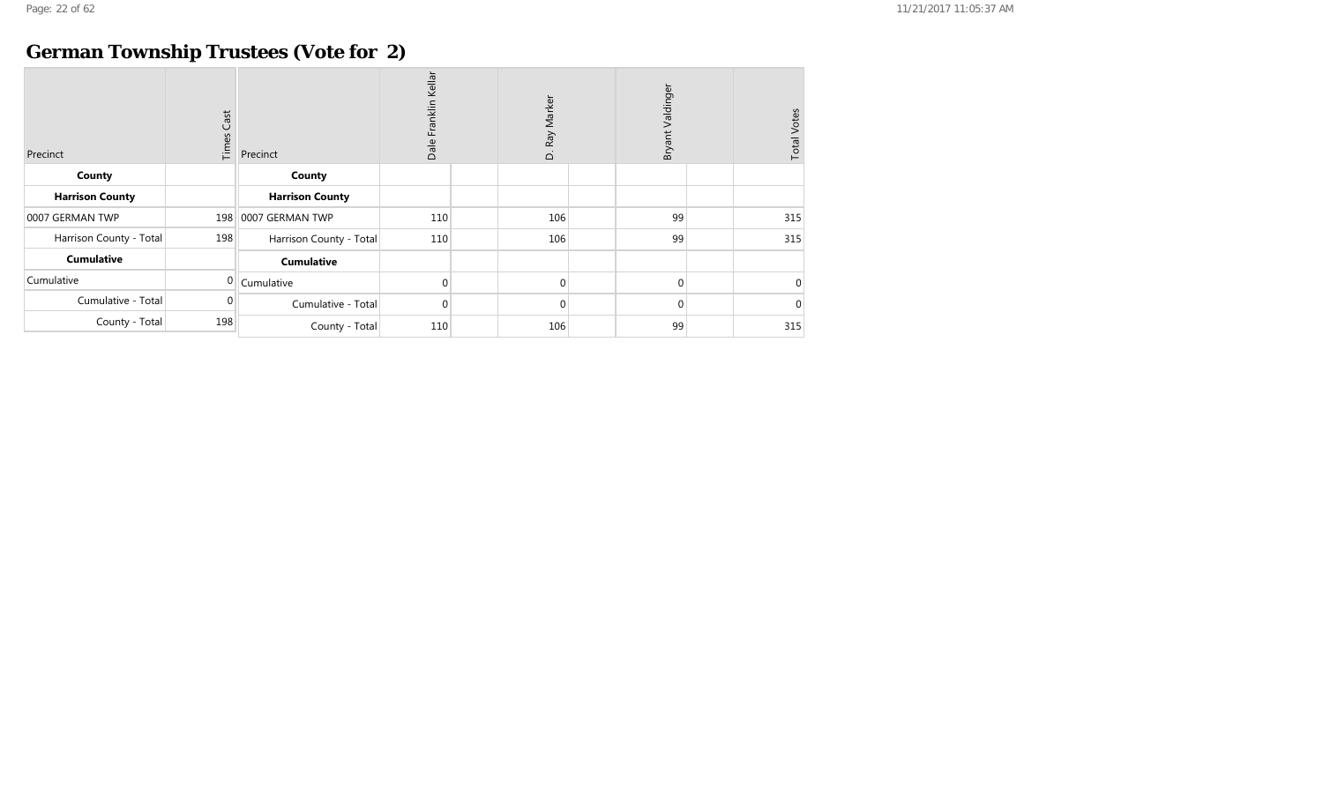## **German Township Trustees (Vote for 2)**

| Precinct                | Cast<br>Times | Precinct                | Franklin Kellar<br>Dale | D. Ray Marker | Valdinger<br>Bryant | <b>Total Votes</b> |
|-------------------------|---------------|-------------------------|-------------------------|---------------|---------------------|--------------------|
| County                  |               | County                  |                         |               |                     |                    |
| <b>Harrison County</b>  |               | <b>Harrison County</b>  |                         |               |                     |                    |
| 0007 GERMAN TWP         | 198           | 0007 GERMAN TWP         | 110                     | 106           | 99                  | 315                |
| Harrison County - Total | 198           | Harrison County - Total | 110                     | 106           | 99                  | 315                |
| <b>Cumulative</b>       |               | <b>Cumulative</b>       |                         |               |                     |                    |
| Cumulative              | 0             | Cumulative              | 0                       | $\Omega$      | $\mathbf{0}$        | $\Omega$           |
| Cumulative - Total      | 0             | Cumulative - Total      | $\mathbf 0$             | $\Omega$      | $\mathbf{0}$        | $\Omega$           |
| County - Total          | 198           | County - Total          | 110                     | 106           | 99                  | 315                |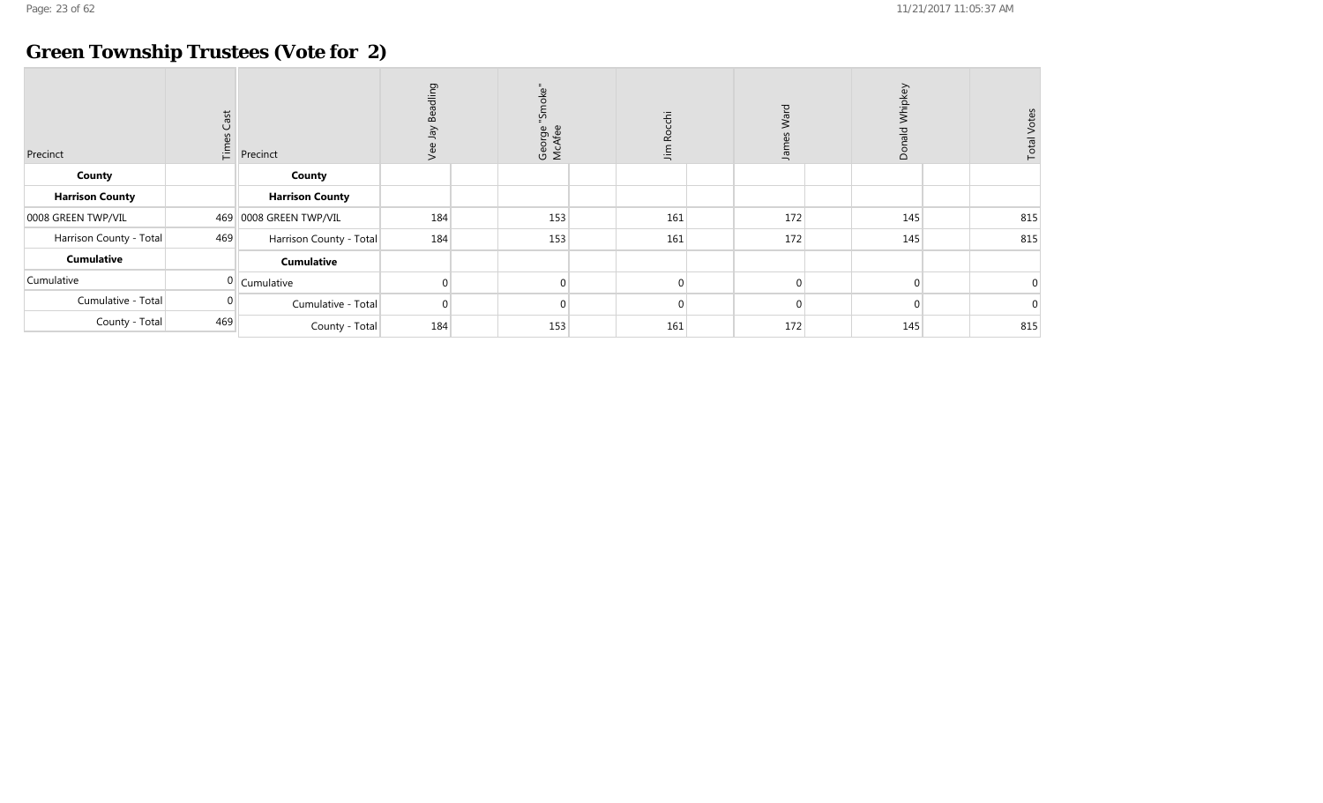## **Green Township Trustees (Vote for 2)**

| Precinct                | Cast | $\sum_{i=1}^{6}$ Precinct | adling<br>œ٥<br>Š | ້ບ<br>종<br>ັນ<br>ເດັ<br>George<br>McAfee | cchi<br>œ<br>Jim | Ward<br>흑 | Whipkey<br>$\frac{1}{6}$<br><sub>o</sub> | otes        |
|-------------------------|------|---------------------------|-------------------|------------------------------------------|------------------|-----------|------------------------------------------|-------------|
| County                  |      | County                    |                   |                                          |                  |           |                                          |             |
| <b>Harrison County</b>  |      | <b>Harrison County</b>    |                   |                                          |                  |           |                                          |             |
| 0008 GREEN TWP/VIL      |      | 469 0008 GREEN TWP/VIL    | 184               | 153                                      | 161              | 172       | 145                                      | 815         |
| Harrison County - Total | 469  | Harrison County - Total   | 184               | 153                                      | 161              | 172       | 145                                      | 815         |
| <b>Cumulative</b>       |      | <b>Cumulative</b>         |                   |                                          |                  |           |                                          |             |
| Cumulative              |      | $0$ Cumulative            |                   | $\Omega$                                 | $\Omega$         | $\Omega$  | $\Omega$                                 | $\mathbf 0$ |
| Cumulative - Total      |      | Cumulative - Total        | $\Omega$          | $\Omega$                                 | 0                |           | $\Omega$                                 | $\mathbf 0$ |
| County - Total          | 469  | County - Total            | 184               | 153                                      | 161              | 172       | 145                                      | 815         |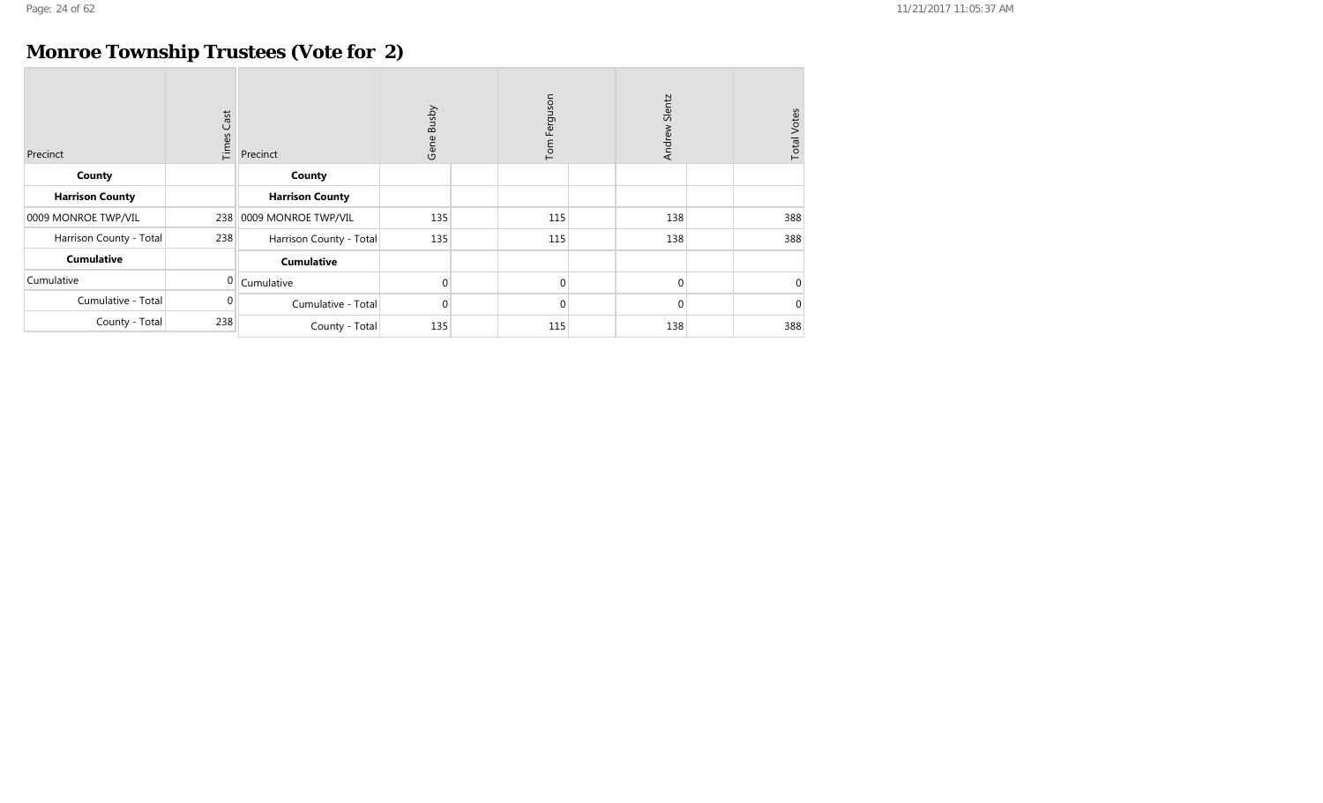## **Monroe Township Trustees (Vote for 2)**

| Precinct                | Cast<br>Times | Precinct                | Busby<br>Gene | Tom Ferguson | Slentz<br>Andrew | <b>Total Votes</b> |
|-------------------------|---------------|-------------------------|---------------|--------------|------------------|--------------------|
| County                  |               | County                  |               |              |                  |                    |
| <b>Harrison County</b>  |               | <b>Harrison County</b>  |               |              |                  |                    |
| 0009 MONROE TWP/VIL     | 238           | 0009 MONROE TWP/VIL     | 135           | 115          | 138              | 388                |
| Harrison County - Total | 238           | Harrison County - Total | 135           | 115          | 138              | 388                |
| <b>Cumulative</b>       |               | <b>Cumulative</b>       |               |              |                  |                    |
| Cumulative              | 0             | Cumulative              | 0             | $\Omega$     | $\mathbf{0}$     | $\Omega$           |
| Cumulative - Total      | $\Omega$      | Cumulative - Total      | $\mathbf 0$   | $\Omega$     | $\mathbf{0}$     | $\Omega$           |
| County - Total          | 238           | County - Total          | 135           | 115          | 138              | 388                |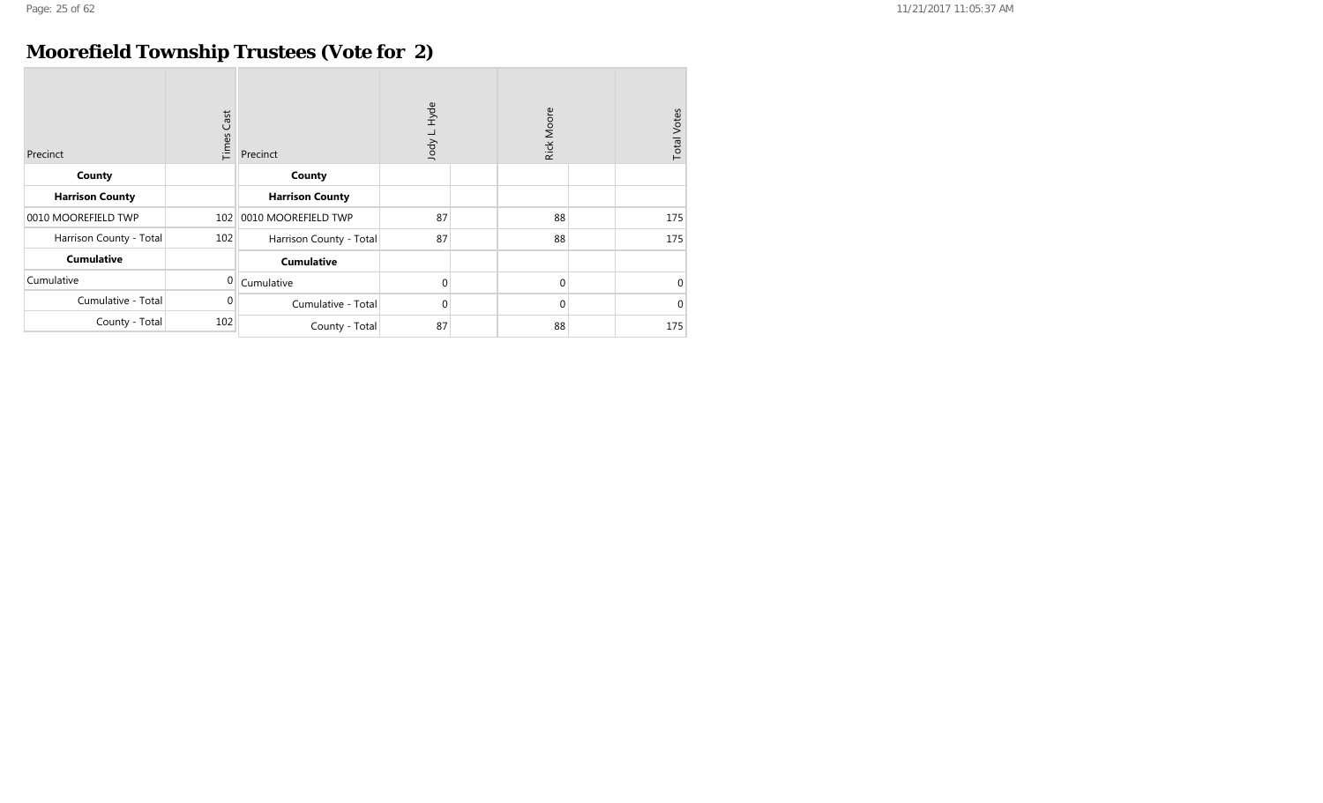## **Moorefield Township Trustees (Vote for 2)**

| Precinct                | <b>Times Cast</b> | Precinct                | Hyde<br>Jody L. |  | Rick Moore   | <b>Total Votes</b> |          |
|-------------------------|-------------------|-------------------------|-----------------|--|--------------|--------------------|----------|
| County                  |                   | County                  |                 |  |              |                    |          |
| <b>Harrison County</b>  |                   | <b>Harrison County</b>  |                 |  |              |                    |          |
| 0010 MOOREFIELD TWP     | 102               | 0010 MOOREFIELD TWP     | 87              |  | 88           |                    | 175      |
| Harrison County - Total | 102               | Harrison County - Total | 87              |  | 88           |                    | 175      |
| <b>Cumulative</b>       |                   | <b>Cumulative</b>       |                 |  |              |                    |          |
| Cumulative              | 0                 | Cumulative              | $\mathbf 0$     |  | $\mathbf{0}$ |                    | $\Omega$ |
| Cumulative - Total      | 0                 | Cumulative - Total      | $\overline{0}$  |  | 0            |                    | $\Omega$ |
| County - Total          | 102               | County - Total          | 87              |  | 88           |                    | 175      |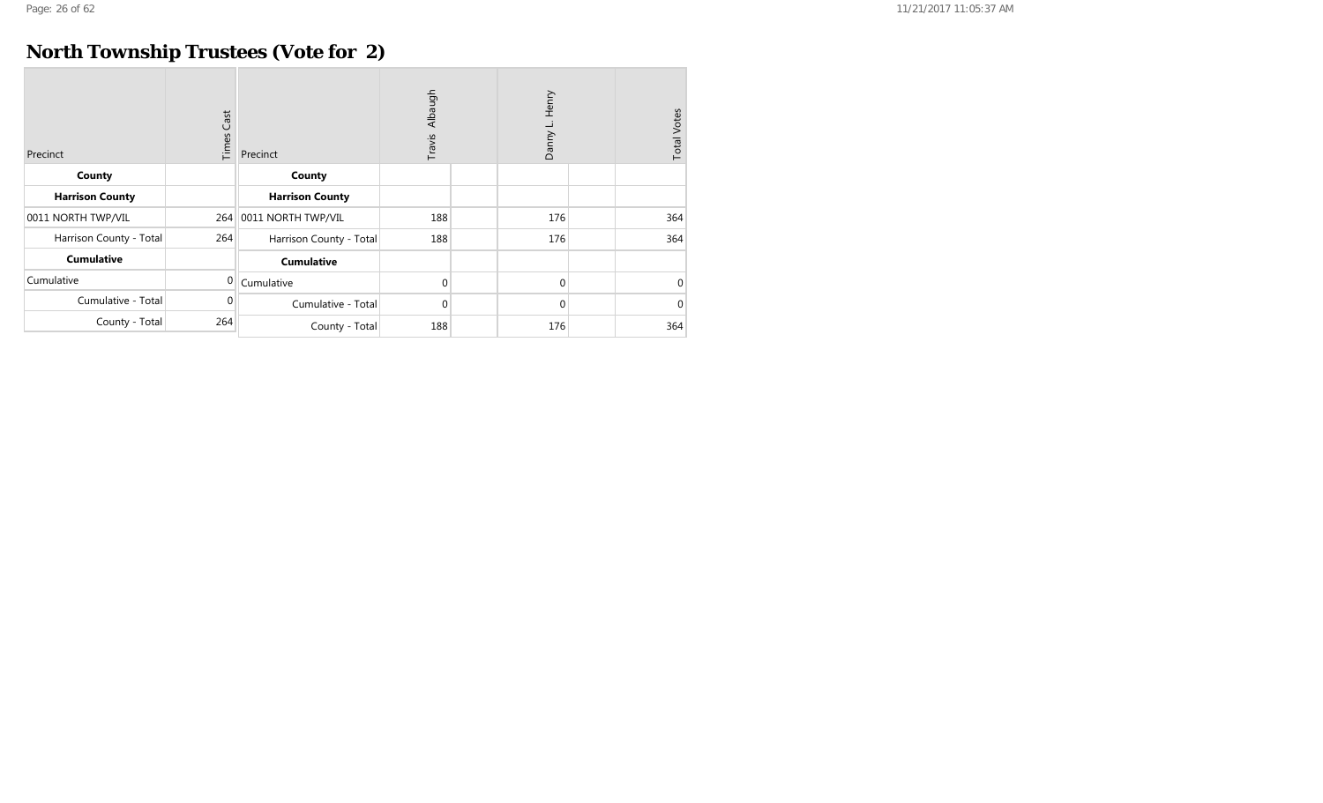## **North Township Trustees (Vote for 2)**

| Precinct                | $\mathsf{Cast}$<br>Times | Precinct                | Albaugh<br>Travis |  | Henry<br>Danny L. |  | <b>Total Votes</b> |
|-------------------------|--------------------------|-------------------------|-------------------|--|-------------------|--|--------------------|
| County                  |                          | County                  |                   |  |                   |  |                    |
| <b>Harrison County</b>  |                          | <b>Harrison County</b>  |                   |  |                   |  |                    |
| 0011 NORTH TWP/VIL      | 264                      | 0011 NORTH TWP/VIL      | 188               |  | 176               |  | 364                |
| Harrison County - Total | 264                      | Harrison County - Total | 188               |  | 176               |  | 364                |
| <b>Cumulative</b>       |                          | <b>Cumulative</b>       |                   |  |                   |  |                    |
| Cumulative              | $\Omega$                 | Cumulative              | $\mathbf 0$       |  | $\overline{0}$    |  | $\Omega$           |
| Cumulative - Total      | 0                        | Cumulative - Total      | $\mathbf 0$       |  | $\overline{0}$    |  | $\Omega$           |
| County - Total          | 264                      | County - Total          | 188               |  | 176               |  | 364                |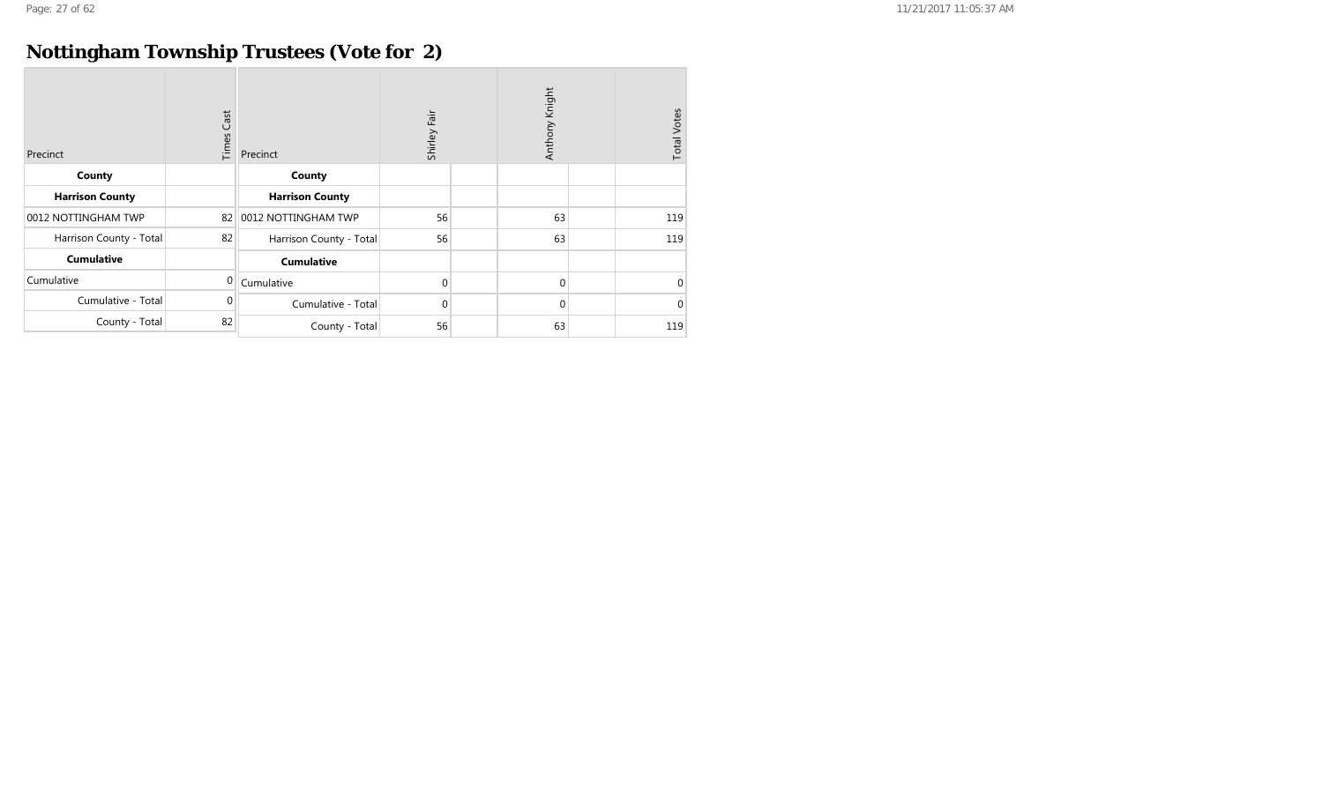## **Nottingham Township Trustees (Vote for 2)**

| Precinct                | <b>Times Cast</b> | Precinct                | Shirley Fair |  | Anthony Knight | <b>Total Votes</b> |          |
|-------------------------|-------------------|-------------------------|--------------|--|----------------|--------------------|----------|
| County                  |                   | County                  |              |  |                |                    |          |
| <b>Harrison County</b>  |                   | <b>Harrison County</b>  |              |  |                |                    |          |
| 0012 NOTTINGHAM TWP     | 82                | 0012 NOTTINGHAM TWP     | 56           |  | 63             |                    | 119      |
| Harrison County - Total | 82                | Harrison County - Total | 56           |  | 63             |                    | 119      |
| <b>Cumulative</b>       |                   | <b>Cumulative</b>       |              |  |                |                    |          |
| Cumulative              | $\Omega$          | Cumulative              | 0            |  | 0              |                    | $\Omega$ |
| Cumulative - Total      | 0                 | Cumulative - Total      | 0            |  | 0              |                    | $\Omega$ |
| County - Total          | 82                | County - Total          | 56           |  | 63             |                    | 119      |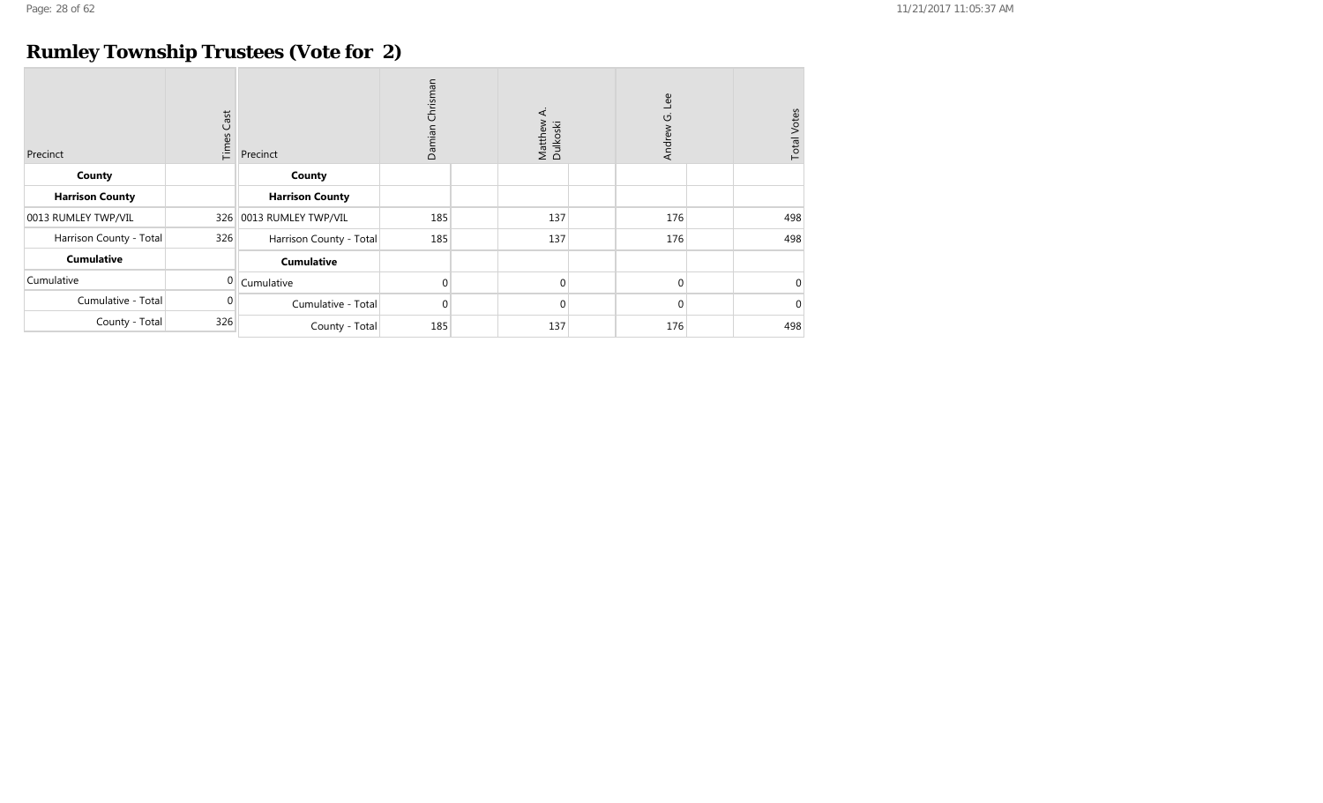## **Rumley Township Trustees (Vote for 2)**

| Precinct                | $\mathsf{Cast}$<br>Times | Precinct                | Chrisman<br>Damian | ∢<br>Matthew<br>Dulkoski | Lee<br>Andrew G. | <b>Total Votes</b> |
|-------------------------|--------------------------|-------------------------|--------------------|--------------------------|------------------|--------------------|
| County                  |                          | County                  |                    |                          |                  |                    |
| <b>Harrison County</b>  |                          | <b>Harrison County</b>  |                    |                          |                  |                    |
| 0013 RUMLEY TWP/VIL     | 326                      | 0013 RUMLEY TWP/VIL     | 185                | 137                      | 176              | 498                |
| Harrison County - Total | 326                      | Harrison County - Total | 185                | 137                      | 176              | 498                |
| <b>Cumulative</b>       |                          | <b>Cumulative</b>       |                    |                          |                  |                    |
| Cumulative              | 0                        | Cumulative              | $\mathbf 0$        | $\Omega$                 | $\Omega$         | $\overline{0}$     |
| Cumulative - Total      | 0                        | Cumulative - Total      | 0                  | $\mathbf 0$              | $\Omega$         | $\mathbf 0$        |
| County - Total          | 326                      | County - Total          | 185                | 137                      | 176              | 498                |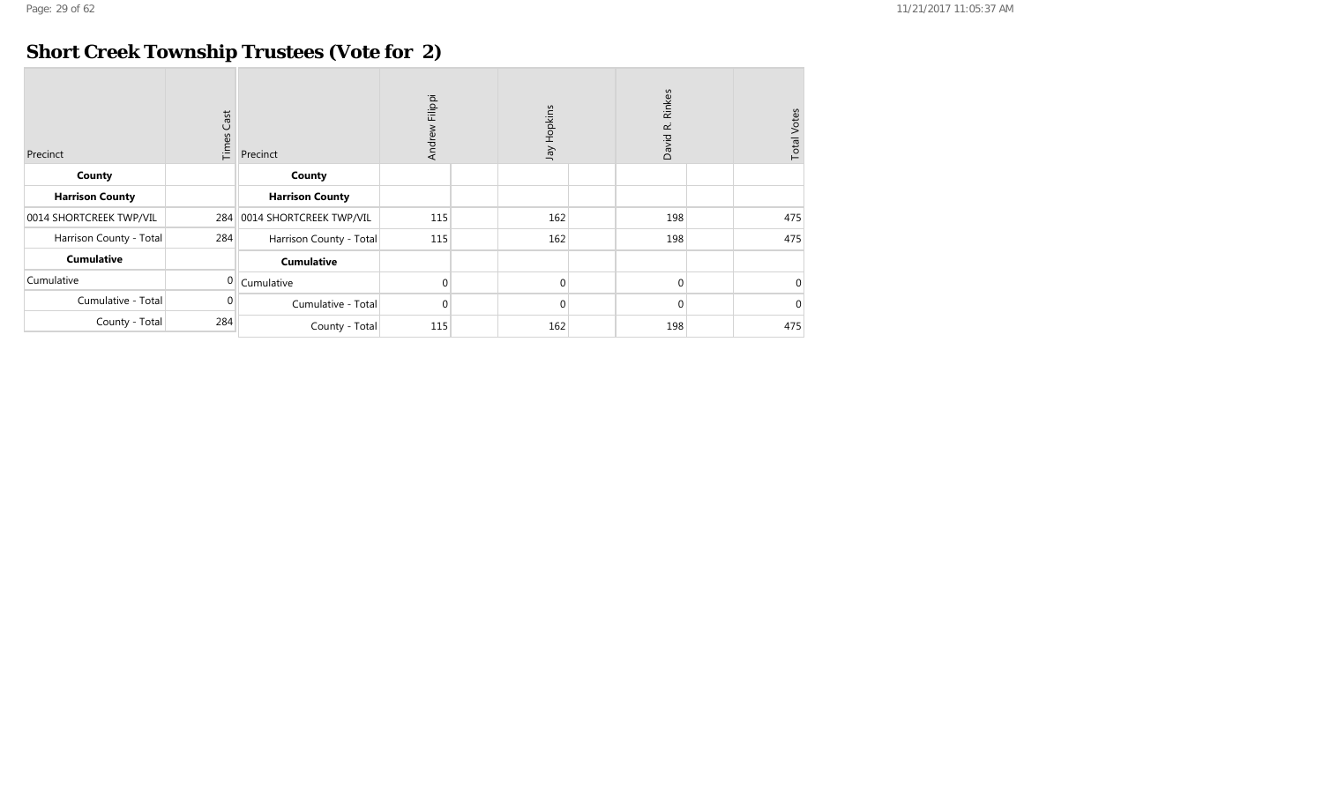## **Short Creek Township Trustees (Vote for 2)**

| Precinct                | Cast<br>Times | Filippi<br>Jay Hopkins<br>Andrew<br>Precinct |             | Rinkes<br>David R. |          | <b>Total Votes</b> |          |
|-------------------------|---------------|----------------------------------------------|-------------|--------------------|----------|--------------------|----------|
| County                  |               | County                                       |             |                    |          |                    |          |
| <b>Harrison County</b>  |               | <b>Harrison County</b>                       |             |                    |          |                    |          |
| 0014 SHORTCREEK TWP/VIL | 284           | 0014 SHORTCREEK TWP/VIL                      | 115         | 162                | 198      |                    | 475      |
| Harrison County - Total | 284           | Harrison County - Total                      | 115         | 162                | 198      |                    | 475      |
| <b>Cumulative</b>       |               | <b>Cumulative</b>                            |             |                    |          |                    |          |
| Cumulative              | 0             | Cumulative                                   | $\mathbf 0$ | $\Omega$           | $\Omega$ |                    | $\Omega$ |
| Cumulative - Total      | $\Omega$      | Cumulative - Total                           | $\mathbf 0$ | $\Omega$           | $\Omega$ |                    | $\Omega$ |
| County - Total          | 284           | County - Total                               | 115         | 162                | 198      |                    | 475      |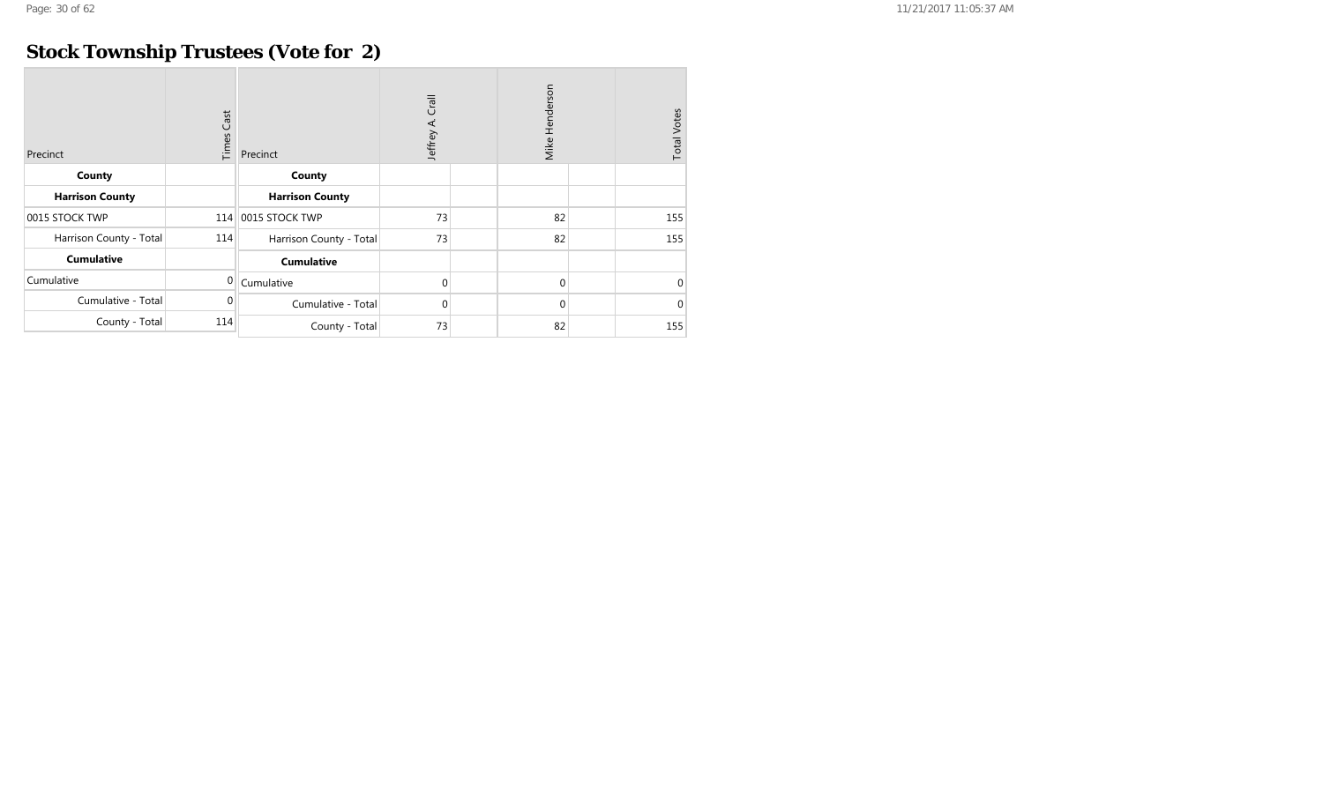## **Stock Township Trustees (Vote for 2)**

| Precinct                | <b>Times Cast</b> | Precinct                | Crall<br>Jeffrey A. |  | Mike Henderson | <b>Total Votes</b> |          |
|-------------------------|-------------------|-------------------------|---------------------|--|----------------|--------------------|----------|
| County                  |                   | County                  |                     |  |                |                    |          |
| <b>Harrison County</b>  |                   | <b>Harrison County</b>  |                     |  |                |                    |          |
| 0015 STOCK TWP          |                   | 114 0015 STOCK TWP      | 73                  |  | 82             |                    | 155      |
| Harrison County - Total | 114               | Harrison County - Total | 73                  |  | 82             |                    | 155      |
| <b>Cumulative</b>       |                   | <b>Cumulative</b>       |                     |  |                |                    |          |
| Cumulative              | 0                 | Cumulative              | $\mathbf 0$         |  | $\mathbf{0}$   |                    | $\Omega$ |
| Cumulative - Total      | 0                 | Cumulative - Total      | $\overline{0}$      |  | $\mathbf 0$    |                    | $\Omega$ |
| County - Total          | 114               | County - Total          | 73                  |  | 82             |                    | 155      |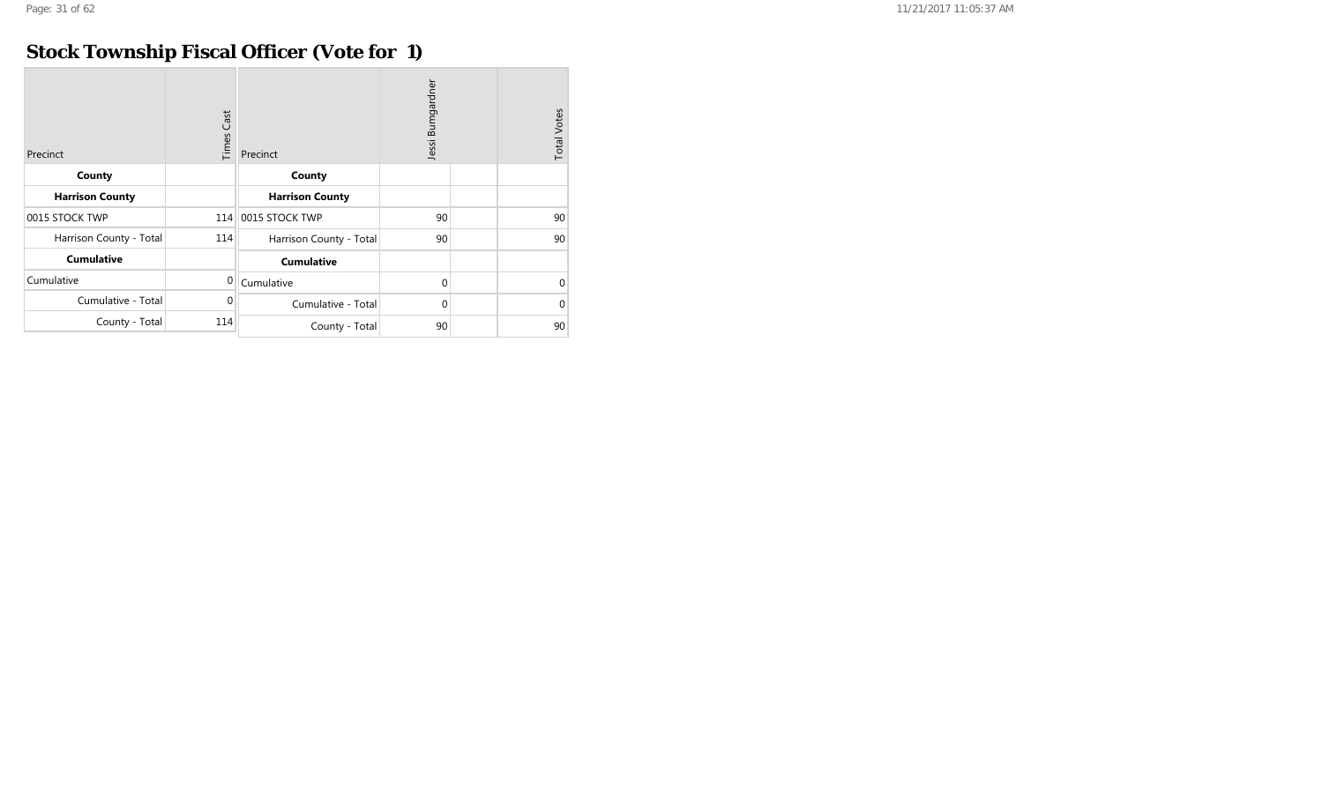## **Stock Township Fiscal Officer (Vote for 1)**

| Precinct                | Cast<br>Times | Precinct                | Jessi Bumgardner | <b>Total Votes</b> |          |
|-------------------------|---------------|-------------------------|------------------|--------------------|----------|
| County                  |               | County                  |                  |                    |          |
| <b>Harrison County</b>  |               | <b>Harrison County</b>  |                  |                    |          |
| 0015 STOCK TWP          |               | 114 0015 STOCK TWP      | 90               |                    | 90       |
| Harrison County - Total | 114           | Harrison County - Total | 90               |                    | 90       |
| <b>Cumulative</b>       |               | <b>Cumulative</b>       |                  |                    |          |
| Cumulative              | $\mathbf{0}$  | Cumulative              | $\mathbf{0}$     |                    | $\Omega$ |
| Cumulative - Total      | $\mathbf 0$   | Cumulative - Total      | $\mathbf{0}$     |                    | $\Omega$ |
| County - Total          | 114           | County - Total          | 90               |                    | 90       |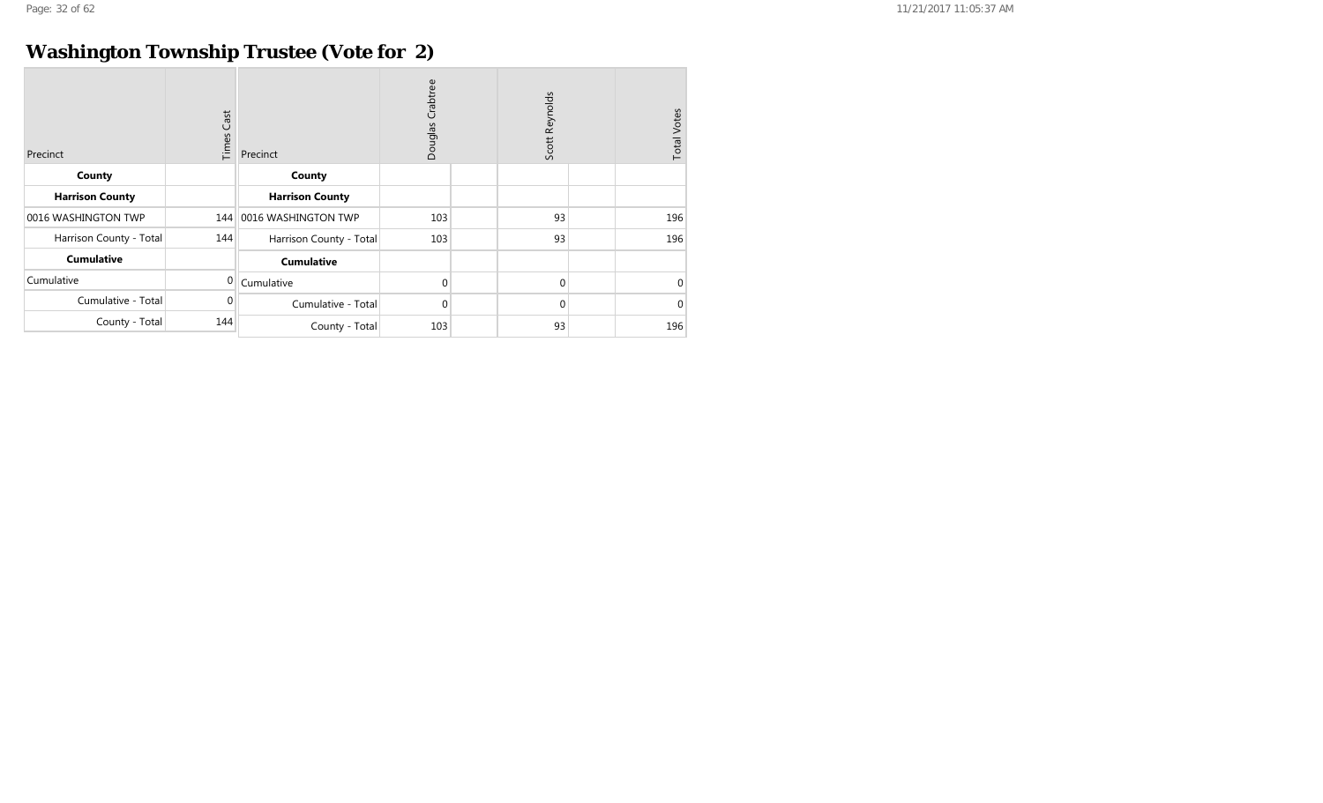## **Washington Township Trustee (Vote for 2)**

| Precinct                | <b>Times Cast</b> | Precinct                | Crabtree<br>Douglas |  | Scott Reynolds |  | <b>Total Votes</b> |
|-------------------------|-------------------|-------------------------|---------------------|--|----------------|--|--------------------|
| County                  |                   | County                  |                     |  |                |  |                    |
| <b>Harrison County</b>  |                   | <b>Harrison County</b>  |                     |  |                |  |                    |
| 0016 WASHINGTON TWP     | 144               | 0016 WASHINGTON TWP     | 103                 |  | 93             |  | 196                |
| Harrison County - Total | 144               | Harrison County - Total | 103                 |  | 93             |  | 196                |
| <b>Cumulative</b>       |                   | <b>Cumulative</b>       |                     |  |                |  |                    |
| Cumulative              | $\Omega$          | Cumulative              | 0                   |  | 0              |  | $\Omega$           |
| Cumulative - Total      | 0                 | Cumulative - Total      | 0                   |  | 0              |  | $\Omega$           |
| County - Total          | 144               | County - Total          | 103                 |  | 93             |  | 196                |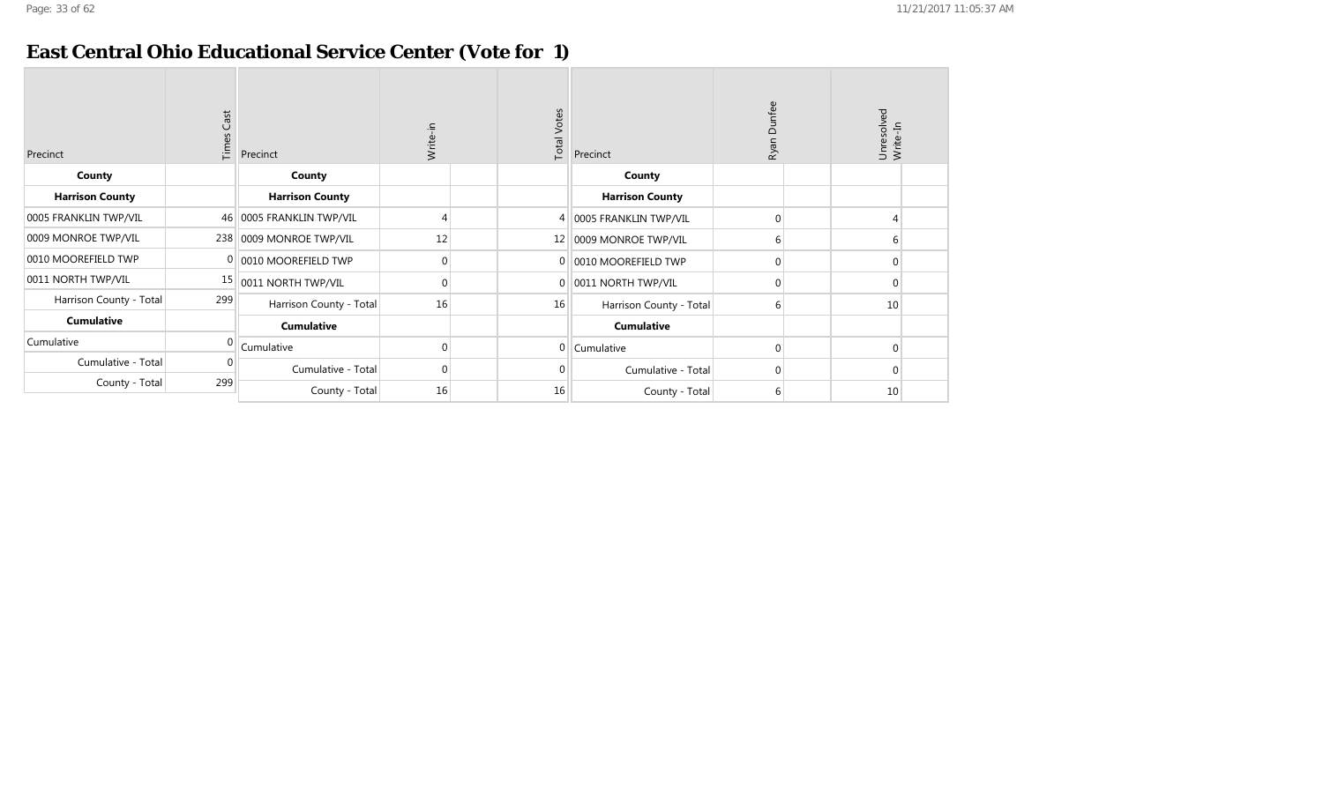#### **East Central Ohio Educational Service Center (Vote for 1)**

| Precinct                | <b>Times Cast</b> | Precinct                 | Write-in     | <b>Total Votes</b> | Precinct                | Dunfee<br>Ryan | Unresolved<br>Write-In |              |
|-------------------------|-------------------|--------------------------|--------------|--------------------|-------------------------|----------------|------------------------|--------------|
| County                  |                   | County                   |              |                    | County                  |                |                        |              |
| <b>Harrison County</b>  |                   | <b>Harrison County</b>   |              |                    | <b>Harrison County</b>  |                |                        |              |
| 0005 FRANKLIN TWP/VIL   |                   | 46 0005 FRANKLIN TWP/VIL |              | 4                  | 0005 FRANKLIN TWP/VIL   | $\Omega$       | 4                      |              |
| 0009 MONROE TWP/VIL     |                   | 238 0009 MONROE TWP/VIL  | 12           | 12                 | 0009 MONROE TWP/VIL     | 6              |                        | 6            |
| 0010 MOOREFIELD TWP     |                   | 0010 MOOREFIELD TWP      | 0            | 0                  | 0010 MOOREFIELD TWP     | 0              |                        | $\mathbf{0}$ |
| 0011 NORTH TWP/VIL      | 15                | 0011 NORTH TWP/VIL       | $\mathbf 0$  | $\mathbf 0$        | 0011 NORTH TWP/VIL      | $\Omega$       |                        | $\mathbf{0}$ |
| Harrison County - Total | 299               | Harrison County - Total  | 16           | 16                 | Harrison County - Total | 6              | 10                     |              |
| <b>Cumulative</b>       |                   | <b>Cumulative</b>        |              |                    | <b>Cumulative</b>       |                |                        |              |
| Cumulative              |                   | Cumulative               | $\Omega$     | $\overline{0}$     | Cumulative              | $\Omega$       |                        | $\Omega$     |
| Cumulative - Total      |                   | Cumulative - Total       | $\mathbf{0}$ | <sup>n</sup>       | Cumulative - Total      | $\Omega$       |                        | $\Omega$     |
| County - Total          | 299               | County - Total           | 16           | 16                 | County - Total          | 6              | 10                     |              |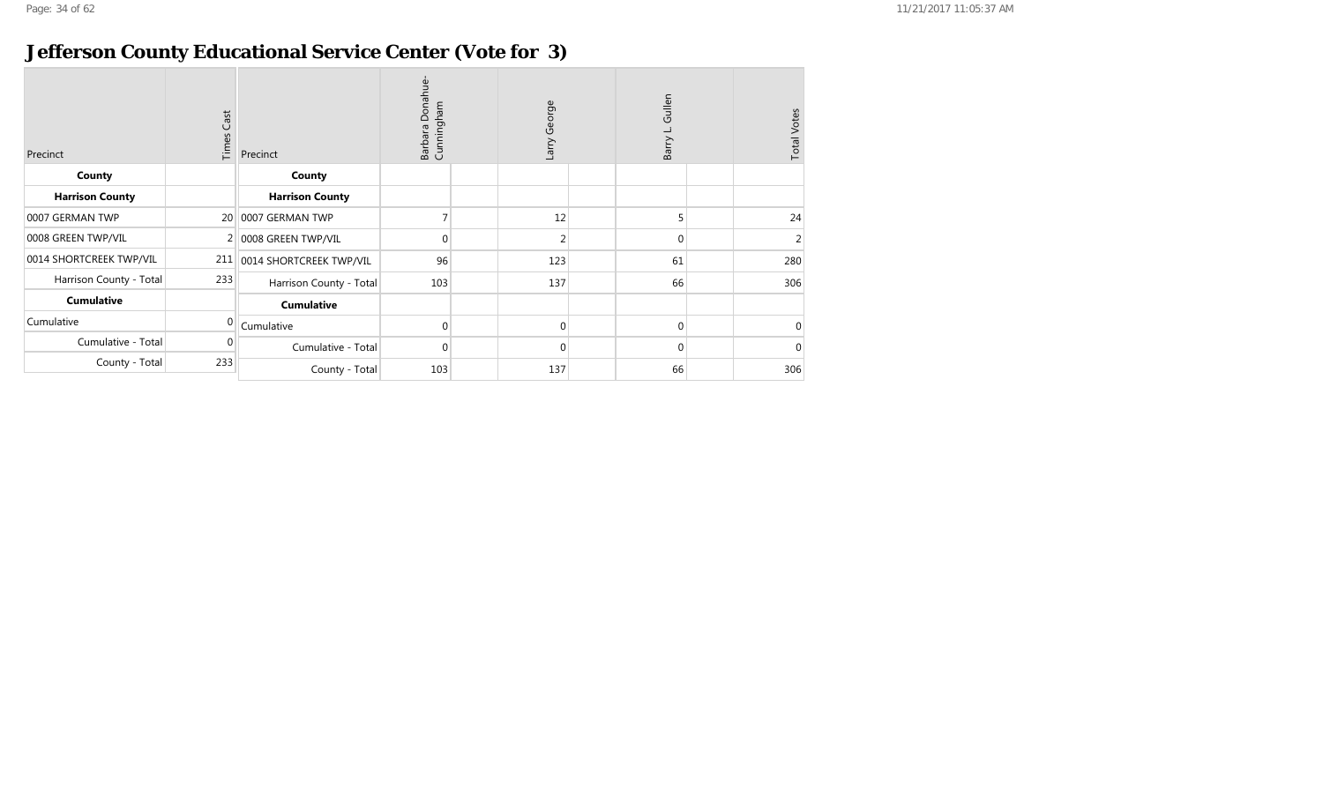#### **Jefferson County Educational Service Center (Vote for 3)**

| Precinct                | $\mathsf{Cast}$<br>Times | Precinct                | Barbara Donahue<br>Cunningham | Larry George   | Gullen<br>Barry | <b>Total Votes</b> |
|-------------------------|--------------------------|-------------------------|-------------------------------|----------------|-----------------|--------------------|
| County                  |                          | County                  |                               |                |                 |                    |
| <b>Harrison County</b>  |                          | <b>Harrison County</b>  |                               |                |                 |                    |
| 0007 GERMAN TWP         | 20                       | 0007 GERMAN TWP         |                               | 12             | 5               | 24                 |
| 0008 GREEN TWP/VIL      |                          | 0008 GREEN TWP/VIL      | $\mathbf{0}$                  | $\overline{2}$ | $\Omega$        | 2                  |
| 0014 SHORTCREEK TWP/VIL | 211                      | 0014 SHORTCREEK TWP/VIL | 96                            | 123            | 61              | 280                |
| Harrison County - Total | 233                      | Harrison County - Total | 103                           | 137            | 66              | 306                |
| <b>Cumulative</b>       |                          | <b>Cumulative</b>       |                               |                |                 |                    |
| Cumulative              | $\Omega$                 | Cumulative              | $\overline{0}$                | $\Omega$       | $\Omega$        | $\Omega$           |
| Cumulative - Total      | 0                        | Cumulative - Total      | $\overline{0}$                | 0              | $\Omega$        | $\Omega$           |
| County - Total          | 233                      | County - Total          | 103                           | 137            | 66              | 306                |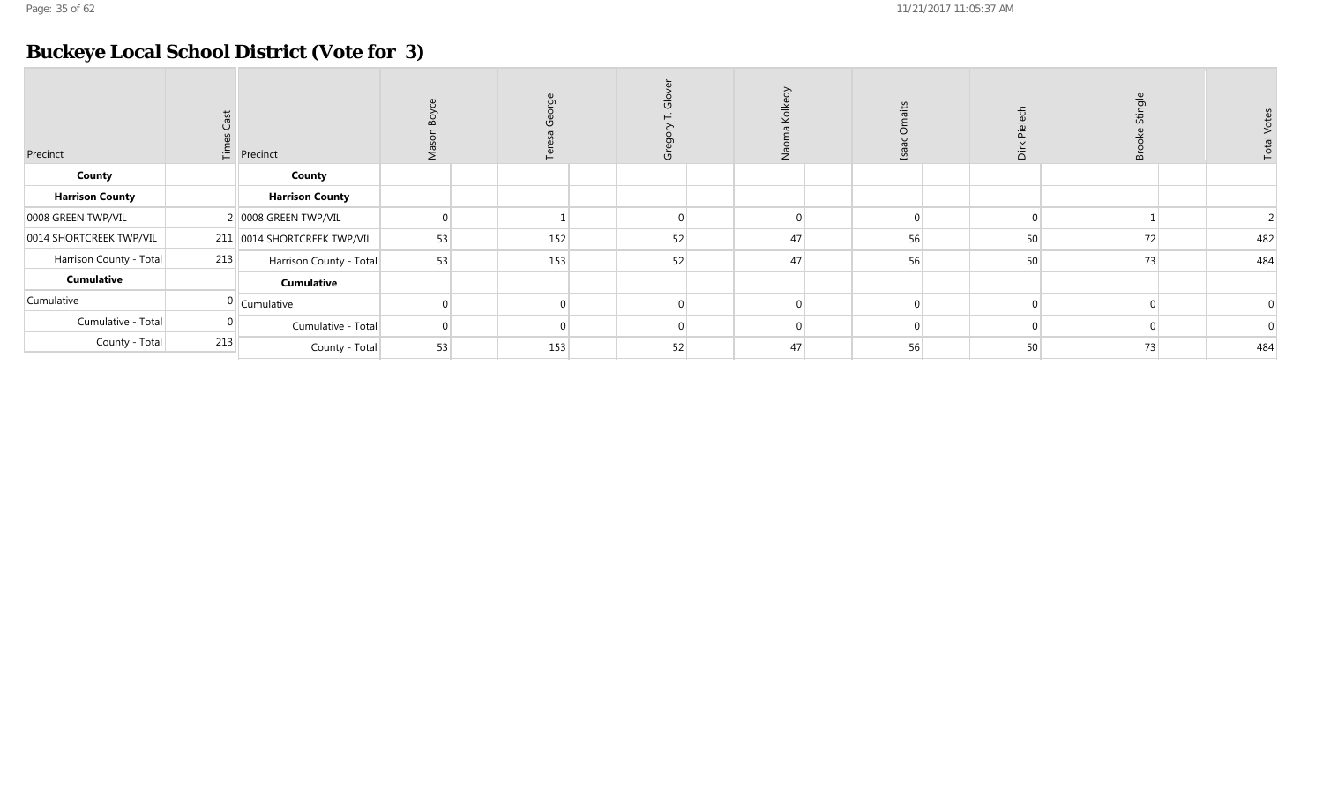## **Buckeye Local School District (Vote for 3)**

| Precinct                |     | $\frac{E}{L}$ Precinct      |    |     |    |    |    | ≏  | B  |     |
|-------------------------|-----|-----------------------------|----|-----|----|----|----|----|----|-----|
| County                  |     | County                      |    |     |    |    |    |    |    |     |
| <b>Harrison County</b>  |     | <b>Harrison County</b>      |    |     |    |    |    |    |    |     |
| 0008 GREEN TWP/VIL      |     | 2 0008 GREEN TWP/VIL        |    |     |    |    |    |    |    |     |
| 0014 SHORTCREEK TWP/VIL |     | 211 0014 SHORTCREEK TWP/VIL | 53 | 152 | 52 | 47 | 56 | 50 | 72 | 482 |
| Harrison County - Total | 213 | Harrison County - Total     | 53 | 153 | 52 | 47 | 56 | 50 | 73 | 484 |
| Cumulative              |     | <b>Cumulative</b>           |    |     |    |    |    |    |    |     |
| Cumulative              |     | $0$ Cumulative              |    |     |    |    |    |    |    |     |
| Cumulative - Total      |     | Cumulative - Total          |    |     |    |    |    |    |    |     |
| County - Total          | 213 | County - Total              | 53 | 153 | 52 | 47 | 56 | 50 | 73 | 484 |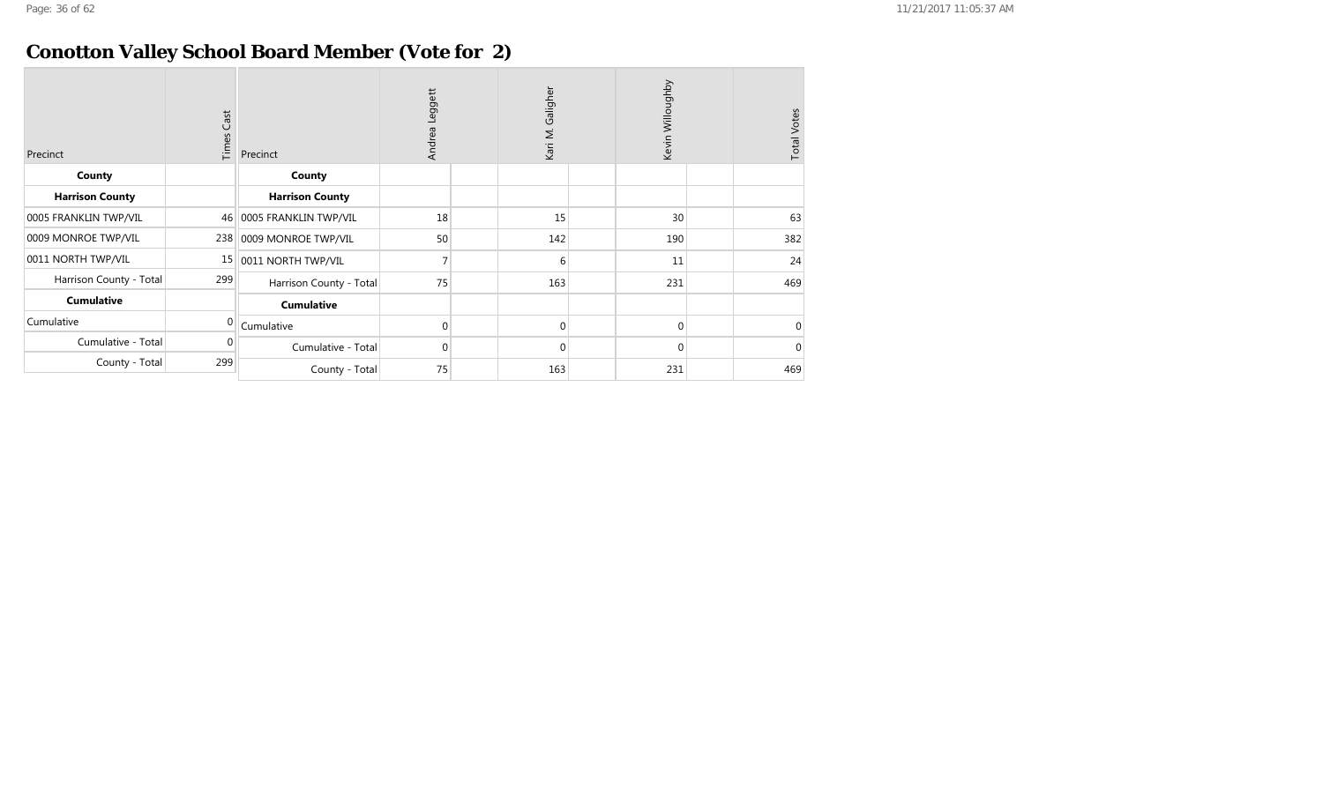## **Conotton Valley School Board Member (Vote for 2)**

| Precinct                | Cast<br>Times | Precinct                | Leggett<br>Andrea | Kari M. Galigher | Kevin Willoughby | <b>Total Votes</b> |
|-------------------------|---------------|-------------------------|-------------------|------------------|------------------|--------------------|
| County                  |               | County                  |                   |                  |                  |                    |
| <b>Harrison County</b>  |               | <b>Harrison County</b>  |                   |                  |                  |                    |
| 0005 FRANKLIN TWP/VIL   | 46            | 0005 FRANKLIN TWP/VIL   | 18                | 15               | 30               | 63                 |
| 0009 MONROE TWP/VIL     | 238           | 0009 MONROE TWP/VIL     | 50                | 142              | 190              | 382                |
| 0011 NORTH TWP/VIL      | 15            | 0011 NORTH TWP/VIL      | 7                 | 6                | 11               | 24                 |
| Harrison County - Total | 299           | Harrison County - Total | 75                | 163              | 231              | 469                |
| <b>Cumulative</b>       |               | <b>Cumulative</b>       |                   |                  |                  |                    |
| Cumulative              | $\Omega$      | Cumulative              | $\mathbf 0$       | $\Omega$         | $\Omega$         | $\Omega$           |
| Cumulative - Total      | 0             | Cumulative - Total      | 0                 | $\Omega$         | $\Omega$         | $\Omega$           |
| County - Total          | 299           | County - Total          | 75                | 163              | 231              | 469                |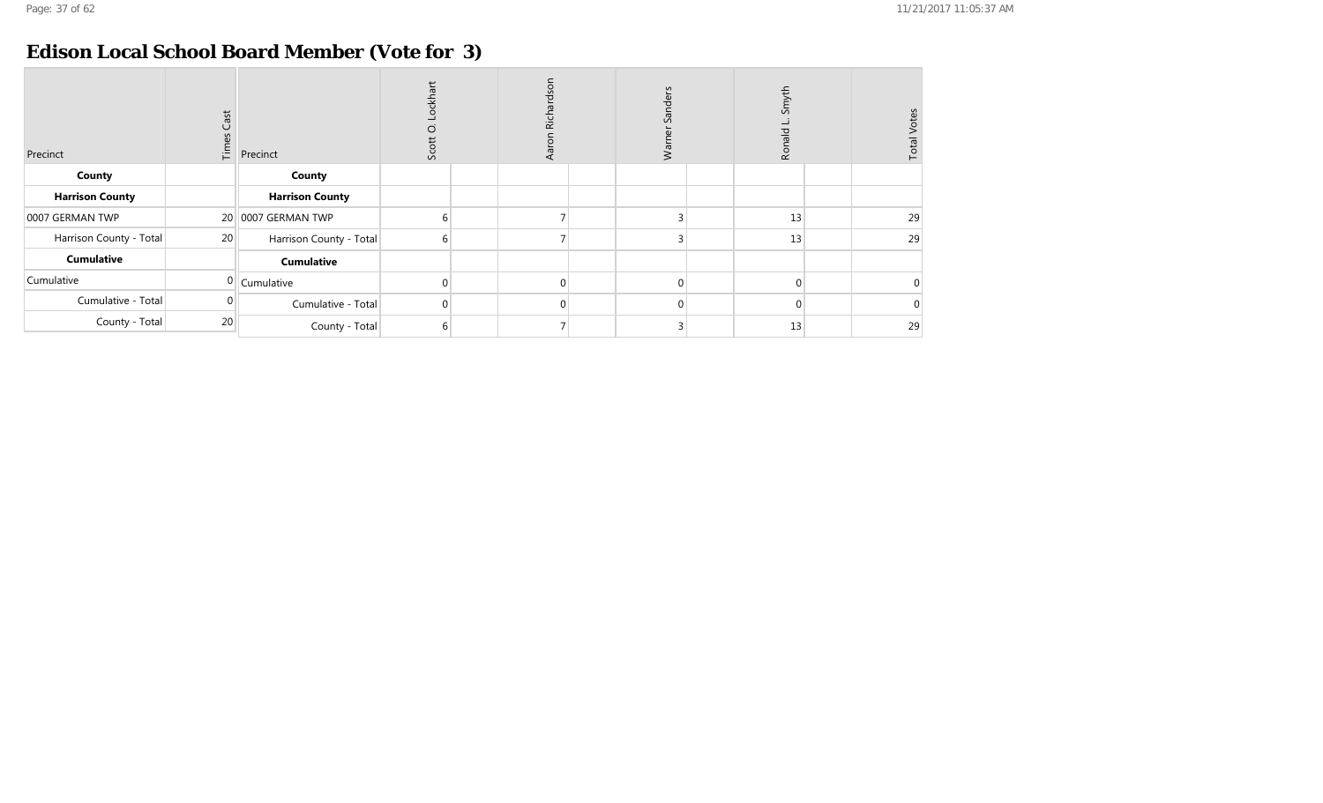#### **Edison Local School Board Member (Vote for 3)**

| Precinct                | $\mathsf{Cast}$<br>Times | Precinct                | ckhart<br>O<br>Scott | Richardson<br><b>Aa</b> |  | nders<br>$\Omega$<br>⋧ |  | Smyth<br>Ronald |  | <b>Total Votes</b> |
|-------------------------|--------------------------|-------------------------|----------------------|-------------------------|--|------------------------|--|-----------------|--|--------------------|
| County                  |                          | County                  |                      |                         |  |                        |  |                 |  |                    |
| <b>Harrison County</b>  |                          | <b>Harrison County</b>  |                      |                         |  |                        |  |                 |  |                    |
| 0007 GERMAN TWP         |                          | 20 0007 GERMAN TWP      | h                    | $\overline{ }$          |  |                        |  | 13              |  | 29                 |
| Harrison County - Total | 20                       | Harrison County - Total | 6                    | $\overline{7}$          |  |                        |  | 13              |  | 29                 |
| <b>Cumulative</b>       |                          | <b>Cumulative</b>       |                      |                         |  |                        |  |                 |  |                    |
| Cumulative              |                          | $0$ Cumulative          | $\Omega$             | $\mathbf 0$             |  | $\mathbf{0}$           |  | $\overline{0}$  |  |                    |
| Cumulative - Total      |                          | Cumulative - Total      | $\Omega$             | $\mathbf 0$             |  | $\Omega$               |  | $\Omega$        |  | 0                  |
| County - Total          | 20                       | County - Total          |                      |                         |  |                        |  | 13              |  | 29                 |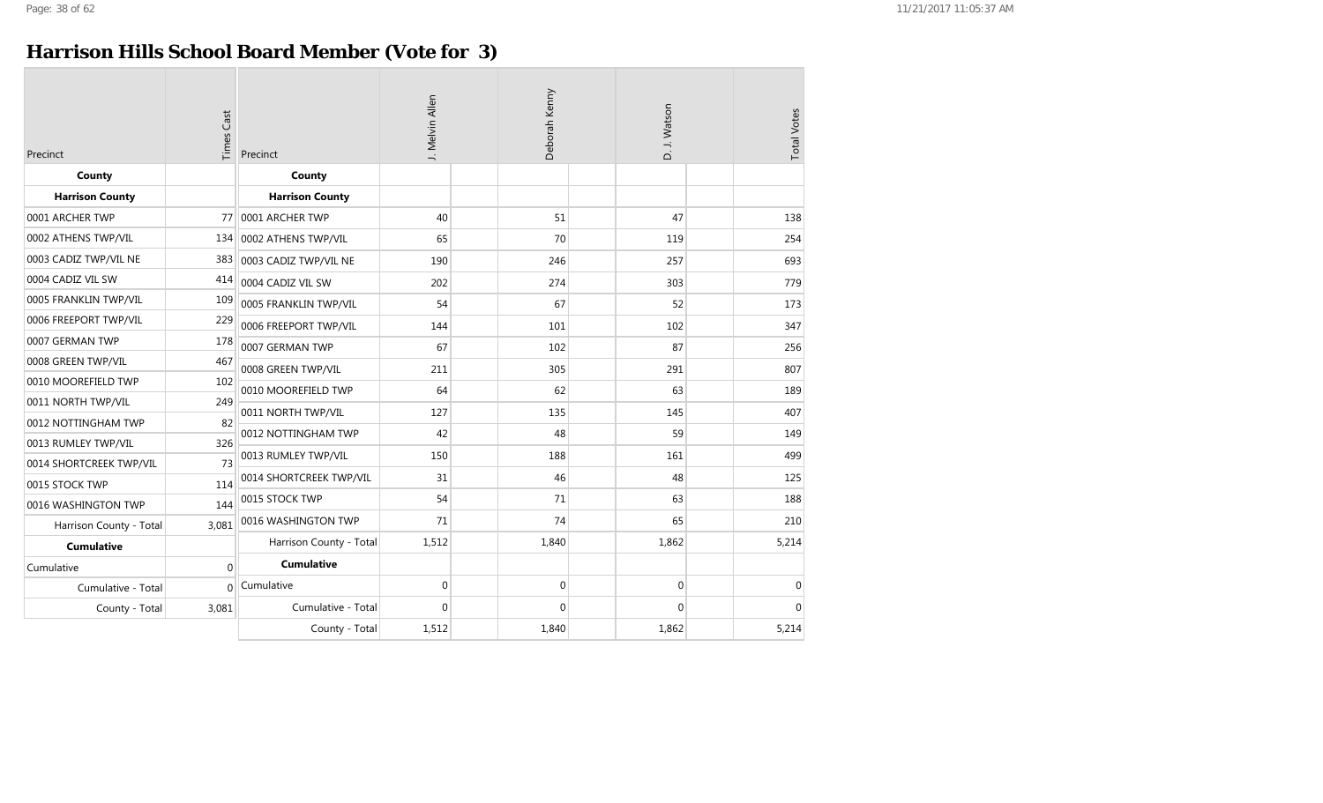#### **Harrison Hills School Board Member (Vote for 3)**

| Precinct                | <b>Times Cast</b> | Precinct                | J. Melvin Allen  | Deborah Kenny    | D. J. Watson     | <b>Total Votes</b> |
|-------------------------|-------------------|-------------------------|------------------|------------------|------------------|--------------------|
| County                  |                   | County                  |                  |                  |                  |                    |
| <b>Harrison County</b>  |                   | <b>Harrison County</b>  |                  |                  |                  |                    |
| 0001 ARCHER TWP         | 77                | 0001 ARCHER TWP         | 40               | 51               | 47               | 138                |
| 0002 ATHENS TWP/VIL     | 134               | 0002 ATHENS TWP/VIL     | 65               | 70               | 119              | 254                |
| 0003 CADIZ TWP/VIL NE   | 383               | 0003 CADIZ TWP/VIL NE   | 190              | 246              | 257              | 693                |
| 0004 CADIZ VIL SW       | 414               | 0004 CADIZ VIL SW       | 202              | 274              | 303              | 779                |
| 0005 FRANKLIN TWP/VIL   | 109               | 0005 FRANKLIN TWP/VIL   | 54               | 67               | 52               | 173                |
| 0006 FREEPORT TWP/VIL   | 229               | 0006 FREEPORT TWP/VIL   | 144              | 101              | 102              | 347                |
| 0007 GERMAN TWP         | 178               | 0007 GERMAN TWP         | 67               | 102              | 87               | 256                |
| 0008 GREEN TWP/VIL      | 467               | 0008 GREEN TWP/VIL      | 211              | 305              | 291              | 807                |
| 0010 MOOREFIELD TWP     | 102               | 0010 MOOREFIELD TWP     | 64               | 62               | 63               | 189                |
| 0011 NORTH TWP/VIL      | 249               |                         |                  |                  |                  |                    |
| 0012 NOTTINGHAM TWP     | 82                | 0011 NORTH TWP/VIL      | 127              | 135              | 145              | 407                |
| 0013 RUMLEY TWP/VIL     | 326               | 0012 NOTTINGHAM TWP     | 42               | 48               | 59               | 149                |
| 0014 SHORTCREEK TWP/VIL | 73                | 0013 RUMLEY TWP/VIL     | 150              | 188              | 161              | 499                |
| 0015 STOCK TWP          | 114               | 0014 SHORTCREEK TWP/VIL | 31               | 46               | 48               | 125                |
| 0016 WASHINGTON TWP     | 144               | 0015 STOCK TWP          | 54               | 71               | 63               | 188                |
| Harrison County - Total | 3,081             | 0016 WASHINGTON TWP     | 71               | 74               | 65               | 210                |
| <b>Cumulative</b>       |                   | Harrison County - Total | 1,512            | 1,840            | 1,862            | 5,214              |
| Cumulative              | $\mathbf{0}$      | <b>Cumulative</b>       |                  |                  |                  |                    |
| Cumulative - Total      | $\overline{0}$    | Cumulative              | $\boldsymbol{0}$ | $\boldsymbol{0}$ | $\boldsymbol{0}$ | $\boldsymbol{0}$   |
| County - Total          | 3,081             | Cumulative - Total      | $\Omega$         | $\mathbf 0$      | $\mathbf 0$      | $\Omega$           |
|                         |                   | County - Total          | 1,512            | 1,840            | 1,862            | 5,214              |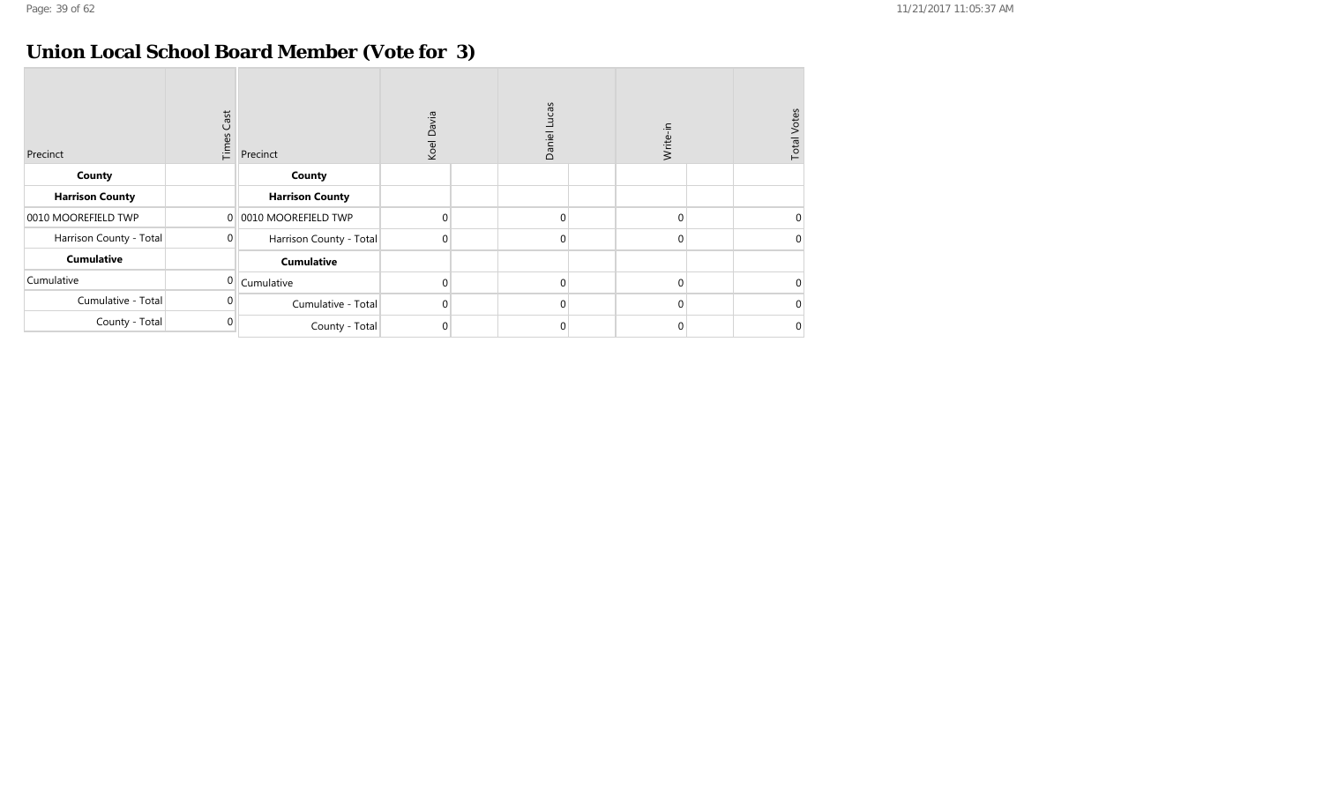#### **Union Local School Board Member (Vote for 3)**

| Precinct                | Cast<br>Times | Precinct                | Koel Davia       | Daniel Lucas | Write-in     | <b>Total Votes</b> |
|-------------------------|---------------|-------------------------|------------------|--------------|--------------|--------------------|
| County                  |               | County                  |                  |              |              |                    |
| <b>Harrison County</b>  |               | <b>Harrison County</b>  |                  |              |              |                    |
| 0010 MOOREFIELD TWP     | $\Omega$      | 0010 MOOREFIELD TWP     | $\boldsymbol{0}$ | $\Omega$     | $\mathbf{0}$ | $\Omega$           |
| Harrison County - Total | $\mathbf 0$   | Harrison County - Total | $\overline{0}$   | $\Omega$     | $\mathbf 0$  | $\mathbf 0$        |
| <b>Cumulative</b>       |               | <b>Cumulative</b>       |                  |              |              |                    |
| Cumulative              | $\mathbf 0$   | Cumulative              | $\boldsymbol{0}$ | $\Omega$     | $\mathbf{0}$ | $\Omega$           |
| Cumulative - Total      | $\Omega$      | Cumulative - Total      | $\overline{0}$   | $\Omega$     | $\mathbf{0}$ | $\Omega$           |
| County - Total          | $\Omega$      | County - Total          | 0                |              | 0            | $\mathbf 0$        |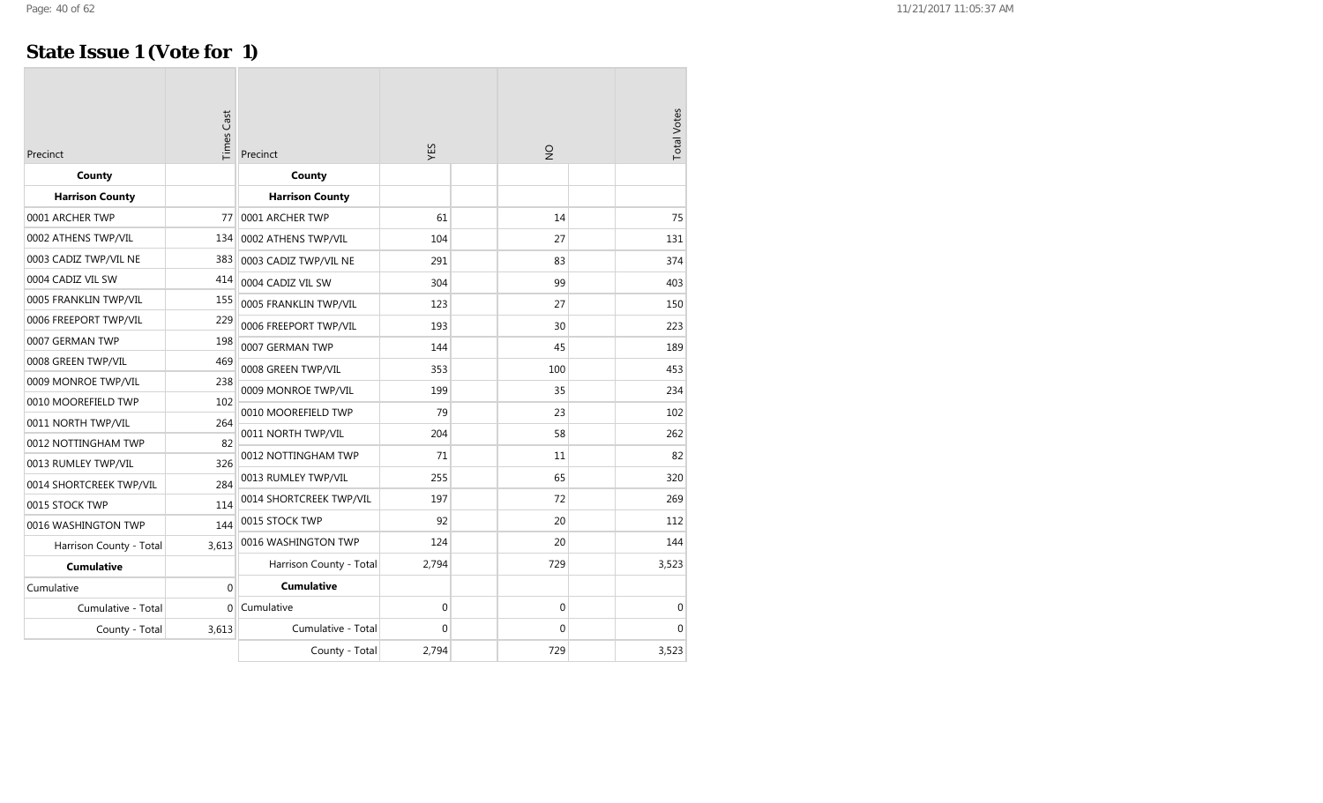#### **State Issue 1 (Vote for 1)**

| Precinct                | <b>Times Cast</b> | Precinct                | ΥÉS         | $\frac{1}{2}$ | <b>Total Votes</b> |
|-------------------------|-------------------|-------------------------|-------------|---------------|--------------------|
| County                  |                   | County                  |             |               |                    |
| <b>Harrison County</b>  |                   | <b>Harrison County</b>  |             |               |                    |
| 0001 ARCHER TWP         | 77                | 0001 ARCHER TWP         | 61          | 14            | 75                 |
| 0002 ATHENS TWP/VIL     | 134               | 0002 ATHENS TWP/VIL     | 104         | 27            | 131                |
| 0003 CADIZ TWP/VIL NE   | 383               | 0003 CADIZ TWP/VIL NE   | 291         | 83            | 374                |
| 0004 CADIZ VIL SW       | 414               | 0004 CADIZ VIL SW       | 304         | 99            | 403                |
| 0005 FRANKLIN TWP/VIL   | 155               | 0005 FRANKLIN TWP/VIL   | 123         | 27            | 150                |
| 0006 FREEPORT TWP/VIL   | 229               | 0006 FREEPORT TWP/VIL   | 193         | 30            | 223                |
| 0007 GERMAN TWP         | 198               | 0007 GERMAN TWP         | 144         | 45            | 189                |
| 0008 GREEN TWP/VIL      | 469               | 0008 GREEN TWP/VIL      | 353         | 100           | 453                |
| 0009 MONROE TWP/VIL     | 238               | 0009 MONROE TWP/VIL     | 199         | 35            | 234                |
| 0010 MOOREFIELD TWP     | 102               | 0010 MOOREFIELD TWP     | 79          | 23            | 102                |
| 0011 NORTH TWP/VIL      | 264               |                         |             |               |                    |
| 0012 NOTTINGHAM TWP     | 82                | 0011 NORTH TWP/VIL      | 204         | 58            | 262                |
| 0013 RUMLEY TWP/VIL     | 326               | 0012 NOTTINGHAM TWP     | 71          | 11            | 82                 |
| 0014 SHORTCREEK TWP/VIL | 284               | 0013 RUMLEY TWP/VIL     | 255         | 65            | 320                |
| 0015 STOCK TWP          | 114               | 0014 SHORTCREEK TWP/VIL | 197         | 72            | 269                |
| 0016 WASHINGTON TWP     | 144               | 0015 STOCK TWP          | 92          | 20            | 112                |
| Harrison County - Total | 3,613             | 0016 WASHINGTON TWP     | 124         | 20            | 144                |
| <b>Cumulative</b>       |                   | Harrison County - Total | 2,794       | 729           | 3,523              |
| Cumulative              | $\Omega$          | <b>Cumulative</b>       |             |               |                    |
| Cumulative - Total      | $\Omega$          | Cumulative              | $\mathbf 0$ | 0             | $\mathbf 0$        |
| County - Total          | 3,613             | Cumulative - Total      | 0           | 0             | $\Omega$           |
|                         |                   | County - Total          | 2,794       | 729           | 3,523              |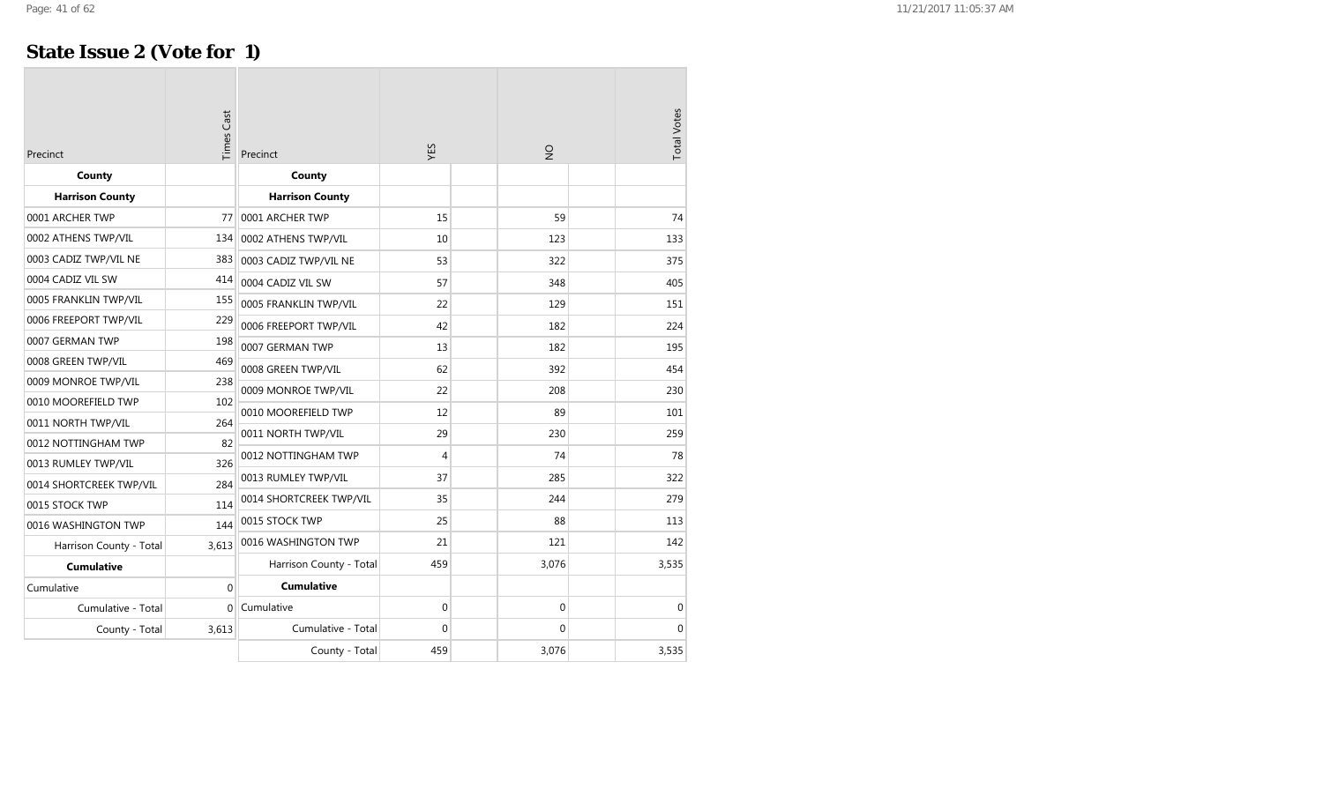#### **State Issue 2 (Vote for 1)**

| Precinct                | <b>Times Cast</b> | Precinct                | ΥES          | $\frac{1}{2}$ | <b>Total Votes</b> |
|-------------------------|-------------------|-------------------------|--------------|---------------|--------------------|
| County                  |                   | County                  |              |               |                    |
| <b>Harrison County</b>  |                   | <b>Harrison County</b>  |              |               |                    |
| 0001 ARCHER TWP         | 77                | 0001 ARCHER TWP         | 15           | 59            | 74                 |
| 0002 ATHENS TWP/VIL     | 134               | 0002 ATHENS TWP/VIL     | 10           | 123           | 133                |
| 0003 CADIZ TWP/VIL NE   | 383               | 0003 CADIZ TWP/VIL NE   | 53           | 322           | 375                |
| 0004 CADIZ VIL SW       | 414               | 0004 CADIZ VIL SW       | 57           | 348           | 405                |
| 0005 FRANKLIN TWP/VIL   | 155               | 0005 FRANKLIN TWP/VIL   | 22           | 129           | 151                |
| 0006 FREEPORT TWP/VIL   | 229               | 0006 FREEPORT TWP/VIL   | 42           | 182           | 224                |
| 0007 GERMAN TWP         | 198               | 0007 GERMAN TWP         | 13           | 182           | 195                |
| 0008 GREEN TWP/VIL      | 469               | 0008 GREEN TWP/VIL      | 62           | 392           | 454                |
| 0009 MONROE TWP/VIL     | 238               | 0009 MONROE TWP/VIL     | 22           | 208           | 230                |
| 0010 MOOREFIELD TWP     | 102               | 0010 MOOREFIELD TWP     | 12           | 89            | 101                |
| 0011 NORTH TWP/VIL      | 264               |                         |              |               |                    |
| 0012 NOTTINGHAM TWP     | 82                | 0011 NORTH TWP/VIL      | 29           | 230           | 259                |
| 0013 RUMLEY TWP/VIL     | 326               | 0012 NOTTINGHAM TWP     | 4            | 74            | 78                 |
| 0014 SHORTCREEK TWP/VIL | 284               | 0013 RUMLEY TWP/VIL     | 37           | 285           | 322                |
| 0015 STOCK TWP          | 114               | 0014 SHORTCREEK TWP/VIL | 35           | 244           | 279                |
| 0016 WASHINGTON TWP     | 144               | 0015 STOCK TWP          | 25           | 88            | 113                |
| Harrison County - Total | 3,613             | 0016 WASHINGTON TWP     | 21           | 121           | 142                |
| <b>Cumulative</b>       |                   | Harrison County - Total | 459          | 3,076         | 3,535              |
| Cumulative              | $\theta$          | <b>Cumulative</b>       |              |               |                    |
| Cumulative - Total      | $\Omega$          | Cumulative              | $\mathbf 0$  | 0             | $\mathbf{0}$       |
| County - Total          | 3,613             | Cumulative - Total      | $\mathbf{0}$ | 0             | 0                  |
|                         |                   | County - Total          | 459          | 3,076         | 3,535              |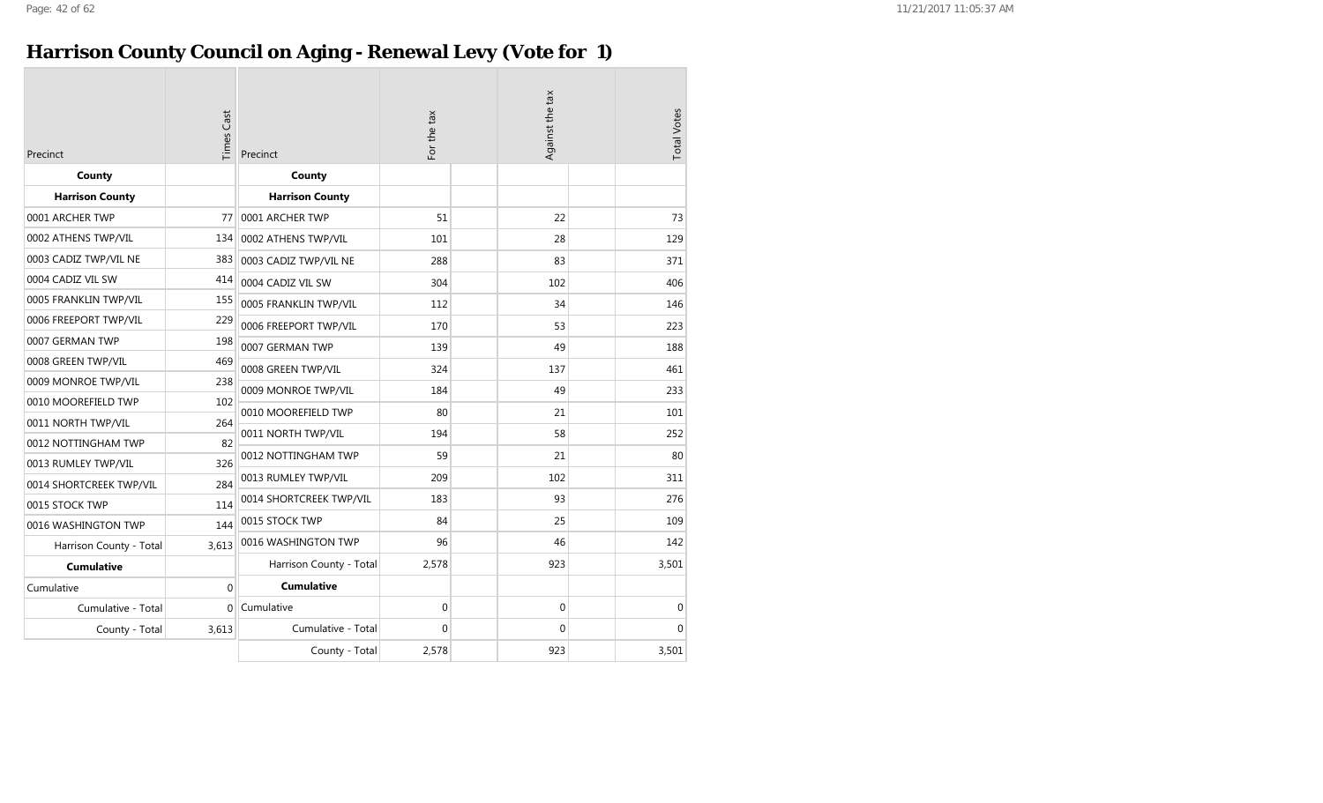## **Harrison County Council on Aging - Renewal Levy (Vote for 1)**

| Precinct                | <b>Times Cast</b> | Precinct                | For the tax |  | Against the tax |  | <b>Total Votes</b> |
|-------------------------|-------------------|-------------------------|-------------|--|-----------------|--|--------------------|
| County                  |                   | County                  |             |  |                 |  |                    |
| <b>Harrison County</b>  |                   | <b>Harrison County</b>  |             |  |                 |  |                    |
| 0001 ARCHER TWP         | 77                | 0001 ARCHER TWP         | 51          |  | 22              |  | 73                 |
| 0002 ATHENS TWP/VIL     | 134               | 0002 ATHENS TWP/VIL     | 101         |  | 28              |  | 129                |
| 0003 CADIZ TWP/VIL NE   | 383               | 0003 CADIZ TWP/VIL NE   | 288         |  | 83              |  | 371                |
| 0004 CADIZ VIL SW       | 414               | 0004 CADIZ VIL SW       | 304         |  | 102             |  | 406                |
| 0005 FRANKLIN TWP/VIL   | 155               | 0005 FRANKLIN TWP/VIL   | 112         |  | 34              |  | 146                |
| 0006 FREEPORT TWP/VIL   | 229               | 0006 FREEPORT TWP/VIL   | 170         |  | 53              |  | 223                |
| 0007 GERMAN TWP         | 198               | 0007 GERMAN TWP         | 139         |  | 49              |  | 188                |
| 0008 GREEN TWP/VIL      | 469               | 0008 GREEN TWP/VIL      | 324         |  | 137             |  | 461                |
| 0009 MONROE TWP/VIL     | 238               | 0009 MONROE TWP/VIL     | 184         |  | 49              |  | 233                |
| 0010 MOOREFIELD TWP     | 102               | 0010 MOOREFIELD TWP     | 80          |  | 21              |  | 101                |
| 0011 NORTH TWP/VIL      | 264               |                         | 194         |  | 58              |  | 252                |
| 0012 NOTTINGHAM TWP     | 82                | 0011 NORTH TWP/VIL      |             |  |                 |  |                    |
| 0013 RUMLEY TWP/VIL     | 326               | 0012 NOTTINGHAM TWP     | 59          |  | 21              |  | 80                 |
| 0014 SHORTCREEK TWP/VIL | 284               | 0013 RUMLEY TWP/VIL     | 209         |  | 102             |  | 311                |
| 0015 STOCK TWP          | 114               | 0014 SHORTCREEK TWP/VIL | 183         |  | 93              |  | 276                |
| 0016 WASHINGTON TWP     | 144               | 0015 STOCK TWP          | 84          |  | 25              |  | 109                |
| Harrison County - Total | 3,613             | 0016 WASHINGTON TWP     | 96          |  | 46              |  | 142                |
| <b>Cumulative</b>       |                   | Harrison County - Total | 2,578       |  | 923             |  | 3,501              |
| Cumulative              | 0                 | <b>Cumulative</b>       |             |  |                 |  |                    |
| Cumulative - Total      | $\Omega$          | Cumulative              | 0           |  | 0               |  | $\mathbf 0$        |
| County - Total          | 3,613             | Cumulative - Total      | 0           |  | 0               |  | $\Omega$           |
|                         |                   | County - Total          | 2,578       |  | 923             |  | 3,501              |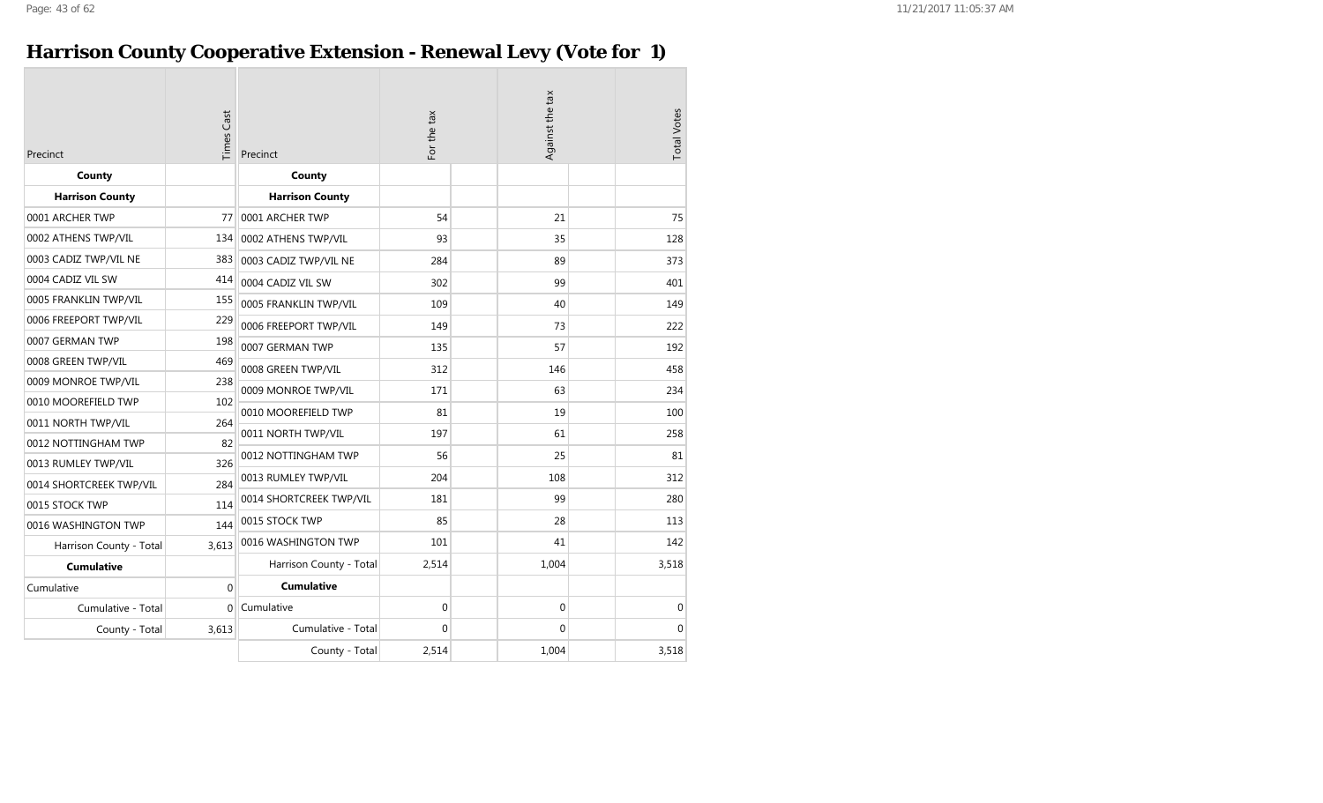## **Harrison County Cooperative Extension - Renewal Levy (Vote for 1)**

| Precinct                | <b>Times Cast</b> | Precinct                | For the tax |  | Against the tax |  | <b>Total Votes</b> |
|-------------------------|-------------------|-------------------------|-------------|--|-----------------|--|--------------------|
| County                  |                   | County                  |             |  |                 |  |                    |
| <b>Harrison County</b>  |                   | <b>Harrison County</b>  |             |  |                 |  |                    |
| 0001 ARCHER TWP         | 77                | 0001 ARCHER TWP         | 54          |  | 21              |  | 75                 |
| 0002 ATHENS TWP/VIL     | 134               | 0002 ATHENS TWP/VIL     | 93          |  | 35              |  | 128                |
| 0003 CADIZ TWP/VIL NE   | 383               | 0003 CADIZ TWP/VIL NE   | 284         |  | 89              |  | 373                |
| 0004 CADIZ VIL SW       | 414               | 0004 CADIZ VIL SW       | 302         |  | 99              |  | 401                |
| 0005 FRANKLIN TWP/VIL   | 155               | 0005 FRANKLIN TWP/VIL   | 109         |  | 40              |  | 149                |
| 0006 FREEPORT TWP/VIL   | 229               | 0006 FREEPORT TWP/VIL   | 149         |  | 73              |  | 222                |
| 0007 GERMAN TWP         | 198               | 0007 GERMAN TWP         | 135         |  | 57              |  | 192                |
| 0008 GREEN TWP/VIL      | 469               | 0008 GREEN TWP/VIL      | 312         |  | 146             |  | 458                |
| 0009 MONROE TWP/VIL     | 238               | 0009 MONROE TWP/VIL     | 171         |  | 63              |  | 234                |
| 0010 MOOREFIELD TWP     | 102               | 0010 MOOREFIELD TWP     | 81          |  | 19              |  | 100                |
| 0011 NORTH TWP/VIL      | 264               | 0011 NORTH TWP/VIL      | 197         |  | 61              |  | 258                |
| 0012 NOTTINGHAM TWP     | 82                |                         |             |  |                 |  |                    |
| 0013 RUMLEY TWP/VIL     | 326               | 0012 NOTTINGHAM TWP     | 56          |  | 25              |  | 81                 |
| 0014 SHORTCREEK TWP/VIL | 284               | 0013 RUMLEY TWP/VIL     | 204         |  | 108             |  | 312                |
| 0015 STOCK TWP          | 114               | 0014 SHORTCREEK TWP/VIL | 181         |  | 99              |  | 280                |
| 0016 WASHINGTON TWP     | 144               | 0015 STOCK TWP          | 85          |  | 28              |  | 113                |
| Harrison County - Total | 3,613             | 0016 WASHINGTON TWP     | 101         |  | 41              |  | 142                |
| <b>Cumulative</b>       |                   | Harrison County - Total | 2,514       |  | 1,004           |  | 3,518              |
| Cumulative              | $\mathbf 0$       | <b>Cumulative</b>       |             |  |                 |  |                    |
| Cumulative - Total      | $\overline{0}$    | Cumulative              | 0           |  | 0               |  | 0                  |
| County - Total          | 3,613             | Cumulative - Total      | 0           |  | 0               |  | $\Omega$           |
|                         |                   | County - Total          | 2,514       |  | 1,004           |  | 3,518              |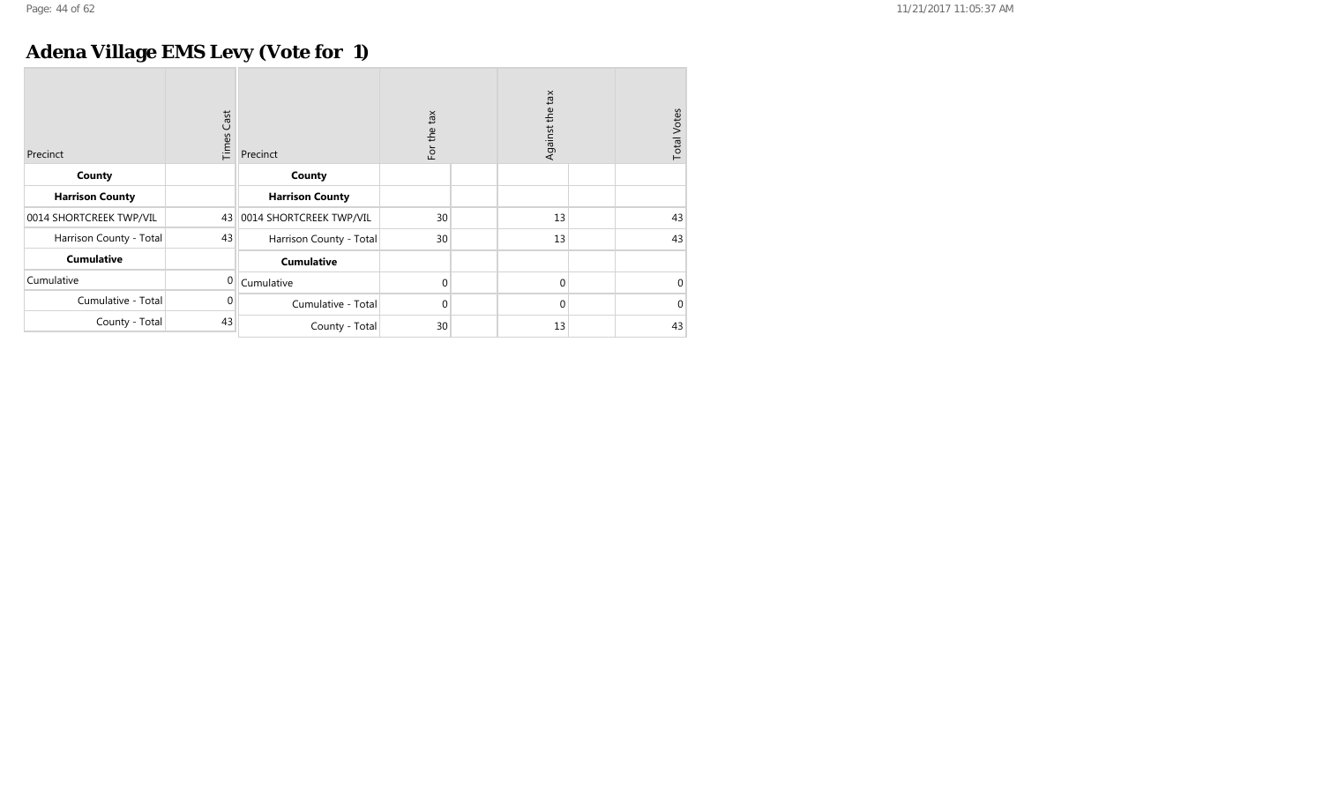## **Adena Village EMS Levy (Vote for 1)**

| Precinct                | <b>Times Cast</b> | Precinct                | For the tax | Against the tax | <b>Total Votes</b> |
|-------------------------|-------------------|-------------------------|-------------|-----------------|--------------------|
| County                  |                   | County                  |             |                 |                    |
| <b>Harrison County</b>  |                   | <b>Harrison County</b>  |             |                 |                    |
| 0014 SHORTCREEK TWP/VIL | 43                | 0014 SHORTCREEK TWP/VIL | 30          | 13              | 43                 |
| Harrison County - Total | 43                | Harrison County - Total | 30          | 13              | 43                 |
| <b>Cumulative</b>       |                   | <b>Cumulative</b>       |             |                 |                    |
| Cumulative              | $\Omega$          | Cumulative              | $\mathbf 0$ | $\mathbf{0}$    | $\mathbf 0$        |
| Cumulative - Total      | 0                 | Cumulative - Total      | 0           | $\mathbf{0}$    | $\mathbf{0}$       |
| County - Total          | 43                | County - Total          | 30          | 13              | 43                 |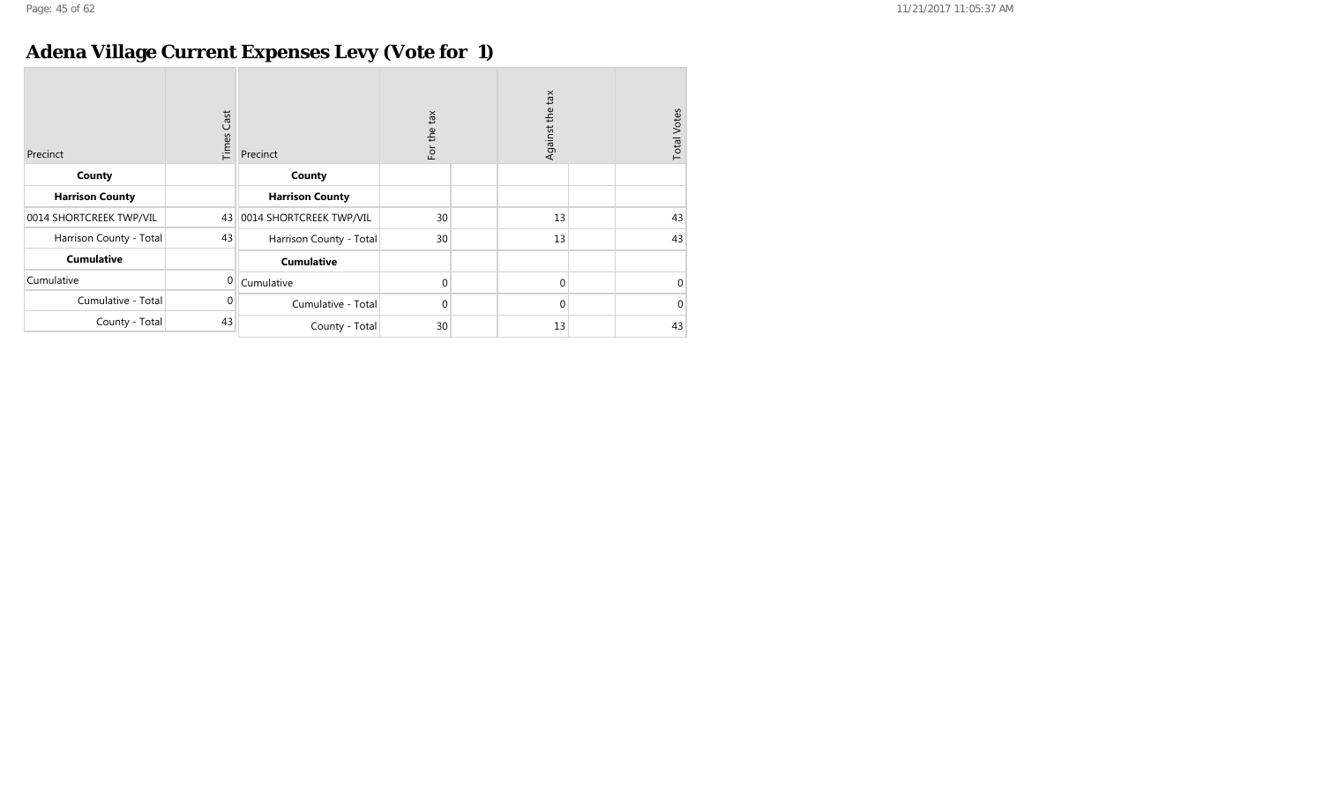## **Adena Village Current Expenses Levy (Vote for 1)**

| Precinct                | <b>Times Cast</b> | Precinct                | For the tax | Against the tax | <b>Total Votes</b> |
|-------------------------|-------------------|-------------------------|-------------|-----------------|--------------------|
| County                  |                   | County                  |             |                 |                    |
| <b>Harrison County</b>  |                   | <b>Harrison County</b>  |             |                 |                    |
| 0014 SHORTCREEK TWP/VIL | 43                | 0014 SHORTCREEK TWP/VIL | 30          | 13              | 43                 |
| Harrison County - Total | 43                | Harrison County - Total | 30          | 13              | 43                 |
| <b>Cumulative</b>       |                   | <b>Cumulative</b>       |             |                 |                    |
| Cumulative              | $\Omega$          | Cumulative              | $\mathbf 0$ | $\mathbf 0$     | $\mathbf 0$        |
| Cumulative - Total      | 0                 | Cumulative - Total      | $\mathbf 0$ | $\mathbf 0$     | $\mathbf{0}$       |
| County - Total          | 43                | County - Total          | 30          | 13              | 43                 |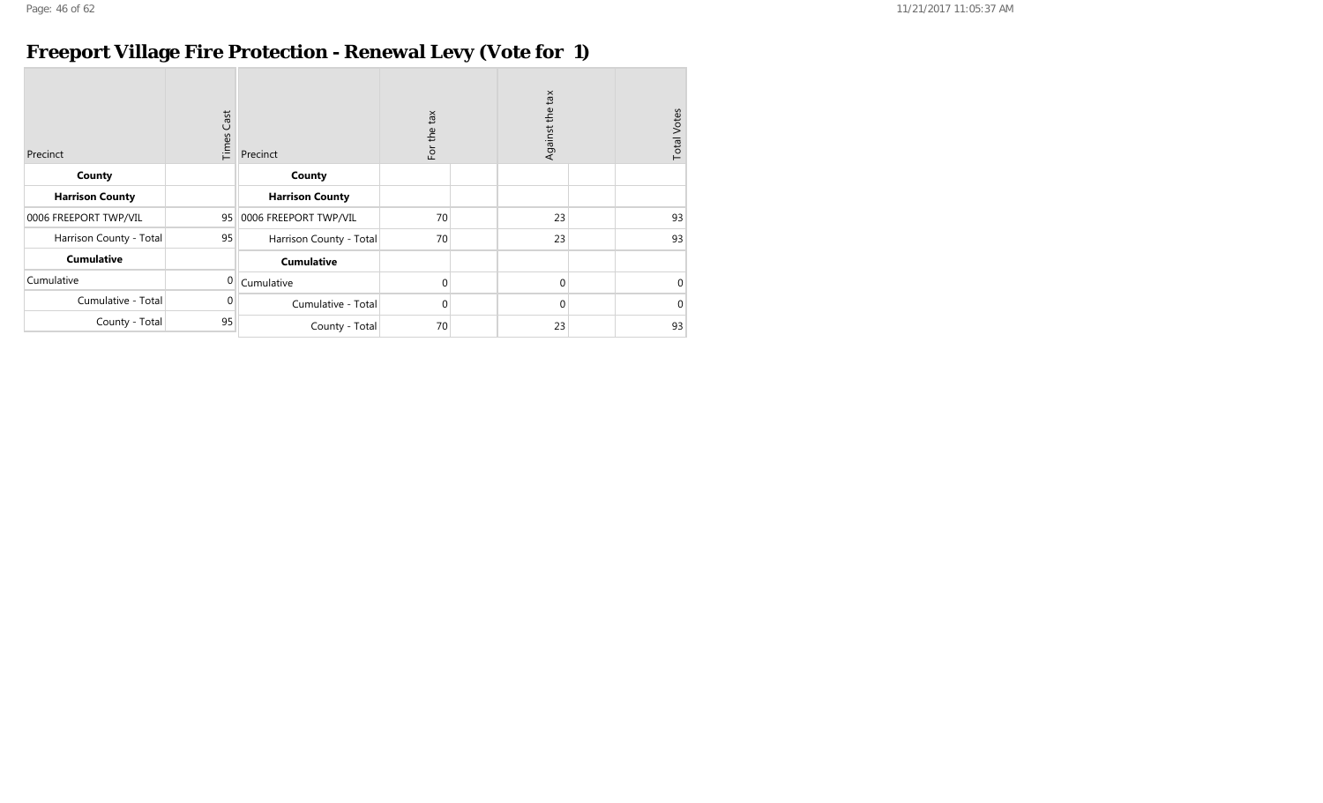## **Freeport Village Fire Protection - Renewal Levy (Vote for 1)**

| Precinct                | <b>Times Cast</b> | Precinct                | For the tax | Against the tax | <b>Total Votes</b> |
|-------------------------|-------------------|-------------------------|-------------|-----------------|--------------------|
| County                  |                   | County                  |             |                 |                    |
| <b>Harrison County</b>  |                   | <b>Harrison County</b>  |             |                 |                    |
| 0006 FREEPORT TWP/VIL   | 95                | 0006 FREEPORT TWP/VIL   | 70          | 23              | 93                 |
| Harrison County - Total | 95                | Harrison County - Total | 70          | 23              | 93                 |
| <b>Cumulative</b>       |                   | <b>Cumulative</b>       |             |                 |                    |
| Cumulative              | $\Omega$          | Cumulative              | $\mathbf 0$ | $\mathbf 0$     | $\Omega$           |
| Cumulative - Total      | $\Omega$          | Cumulative - Total      | 0           | 0               | $\Omega$           |
| County - Total          | 95                | County - Total          | 70          | 23              | 93                 |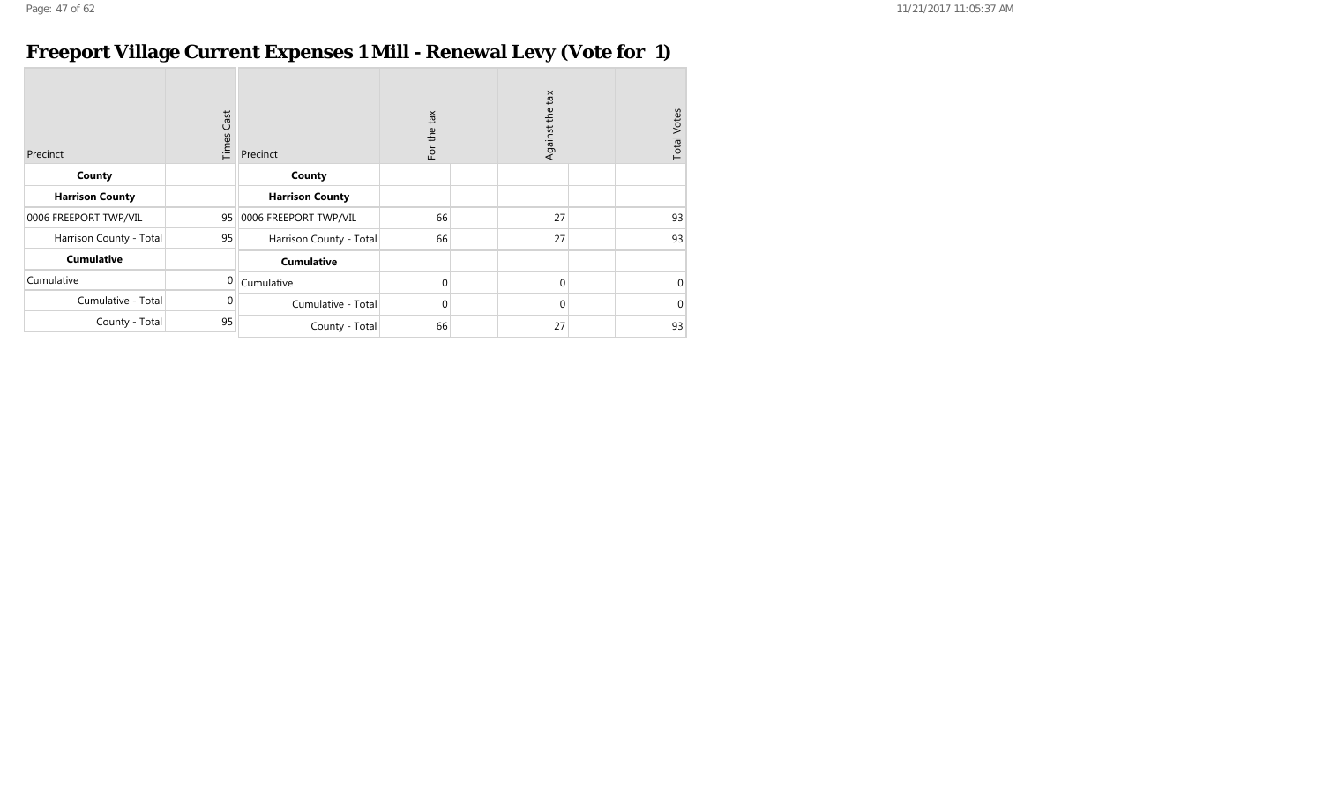#### **Freeport Village Current Expenses 1 Mill - Renewal Levy (Vote for 1)**

| Precinct                | Cast<br>Times | Precinct                | For the tax | Against the tax | <b>Total Votes</b> |
|-------------------------|---------------|-------------------------|-------------|-----------------|--------------------|
| County                  |               | County                  |             |                 |                    |
| <b>Harrison County</b>  |               | <b>Harrison County</b>  |             |                 |                    |
| 0006 FREEPORT TWP/VIL   | 95            | 0006 FREEPORT TWP/VIL   | 66          | 27              | 93                 |
| Harrison County - Total | 95            | Harrison County - Total | 66          | 27              | 93                 |
| <b>Cumulative</b>       |               | <b>Cumulative</b>       |             |                 |                    |
| Cumulative              | $\mathbf{0}$  | Cumulative              | $\Omega$    | $\mathbf{0}$    | $\mathbf 0$        |
| Cumulative - Total      | 0             | Cumulative - Total      | $\Omega$    | $\mathbf{0}$    | $\mathbf{0}$       |
| County - Total          | 95            | County - Total          | 66          | 27              | 93                 |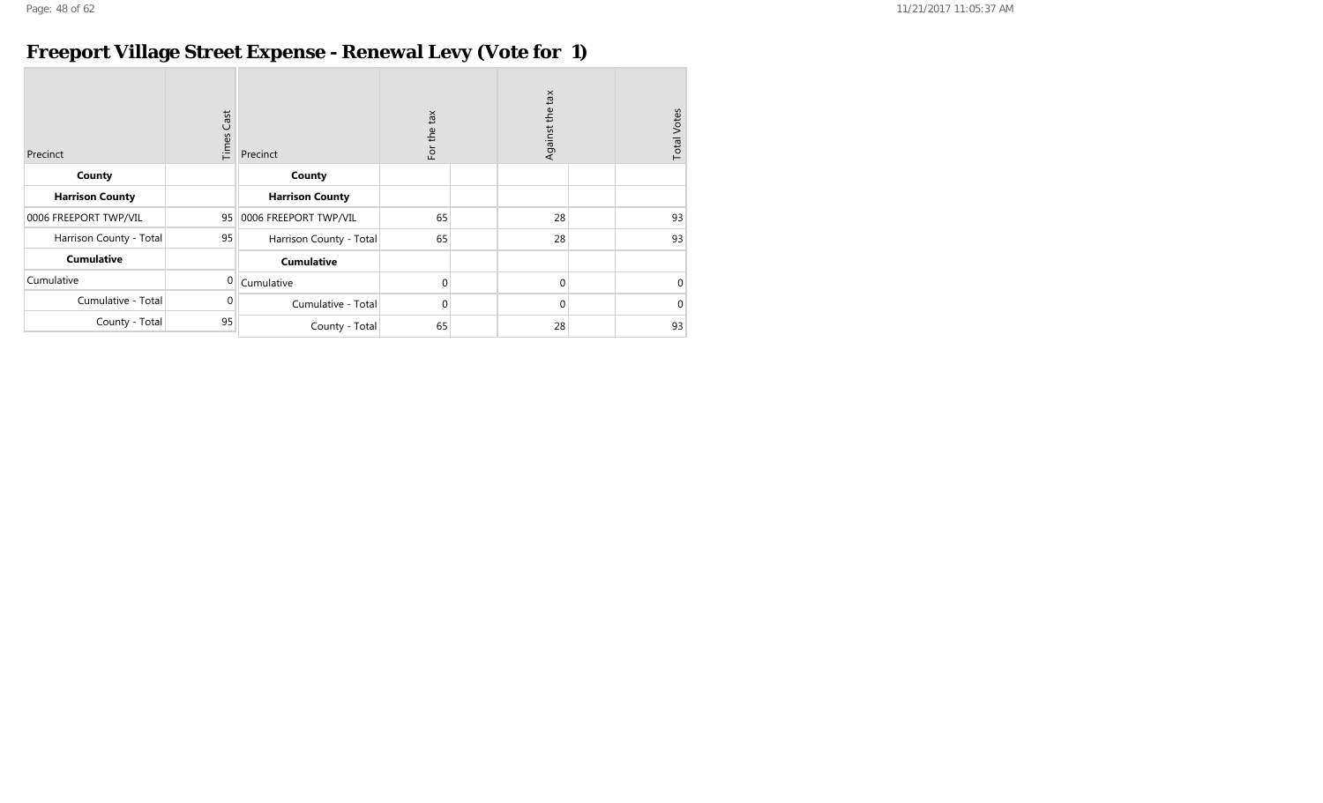## **Freeport Village Street Expense - Renewal Levy (Vote for 1)**

| Precinct                | Cast<br>Times | Precinct                | For the tax | tax<br>Against the | <b>Total Votes</b> |
|-------------------------|---------------|-------------------------|-------------|--------------------|--------------------|
| County                  |               | County                  |             |                    |                    |
| <b>Harrison County</b>  |               | <b>Harrison County</b>  |             |                    |                    |
| 0006 FREEPORT TWP/VIL   | 95            | 0006 FREEPORT TWP/VIL   | 65          | 28                 | 93                 |
| Harrison County - Total | 95            | Harrison County - Total | 65          | 28                 | 93                 |
| <b>Cumulative</b>       |               | <b>Cumulative</b>       |             |                    |                    |
| Cumulative              | 0             | Cumulative              | $\mathbf 0$ | $\mathbf{0}$       | $\mathbf{0}$       |
| Cumulative - Total      | 0             | Cumulative - Total      | $\mathbf 0$ | $\mathbf{0}$       | $\mathbf{0}$       |
| County - Total          | 95            | County - Total          | 65          | 28                 | 93                 |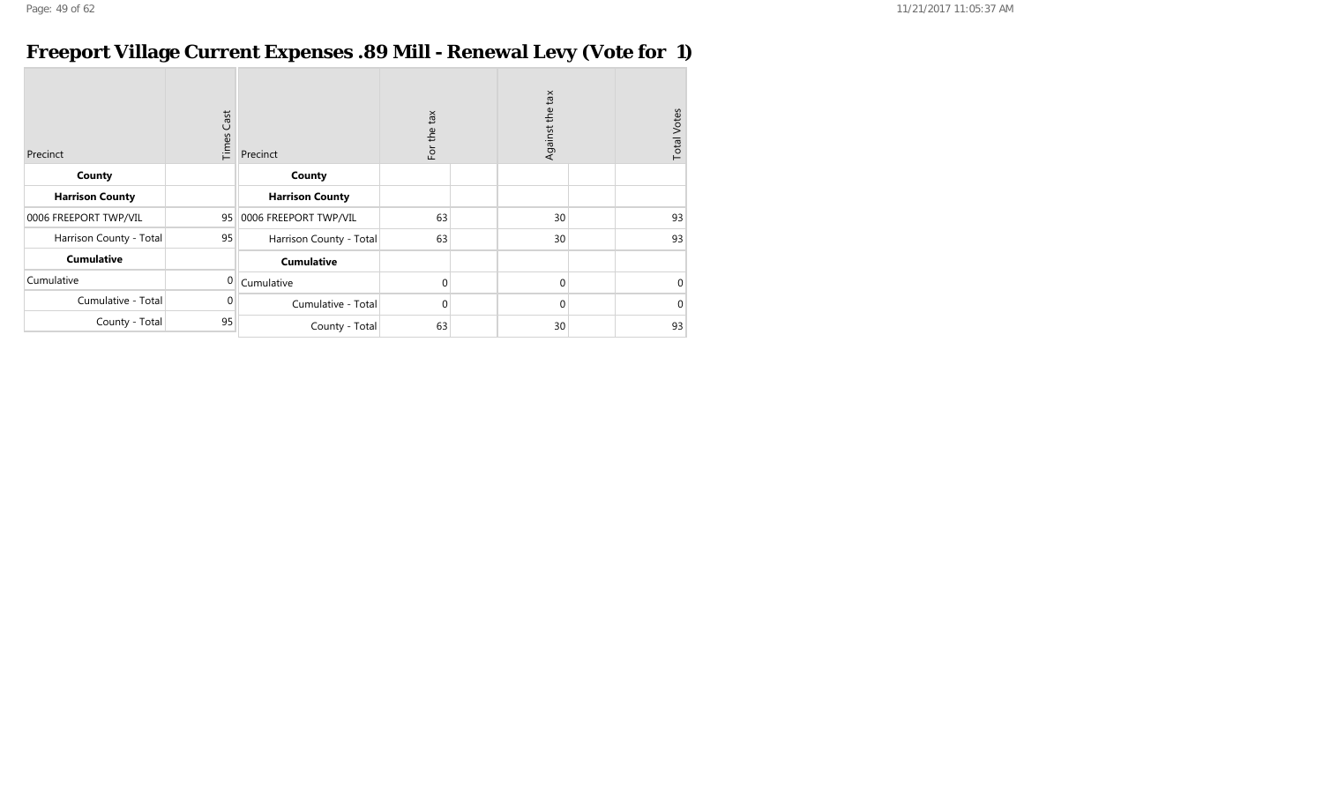#### **Freeport Village Current Expenses .89 Mill - Renewal Levy (Vote for 1)**

| Precinct                | <b>Times Cast</b> | Precinct                | For the tax | Against the tax | <b>Total Votes</b> |
|-------------------------|-------------------|-------------------------|-------------|-----------------|--------------------|
| County                  |                   | County                  |             |                 |                    |
| <b>Harrison County</b>  |                   | <b>Harrison County</b>  |             |                 |                    |
| 0006 FREEPORT TWP/VIL   | 95                | 0006 FREEPORT TWP/VIL   | 63          | 30              | 93                 |
| Harrison County - Total | 95                | Harrison County - Total | 63          | 30              | 93                 |
| <b>Cumulative</b>       |                   | <b>Cumulative</b>       |             |                 |                    |
| Cumulative              | $\mathbf{0}$      | Cumulative              | $\mathbf 0$ | $\mathbf{0}$    | 0                  |
| Cumulative - Total      | $\Omega$          | Cumulative - Total      | $\mathbf 0$ | $\mathbf{0}$    | $\Omega$           |
| County - Total          | 95                | County - Total          | 63          | 30              | 93                 |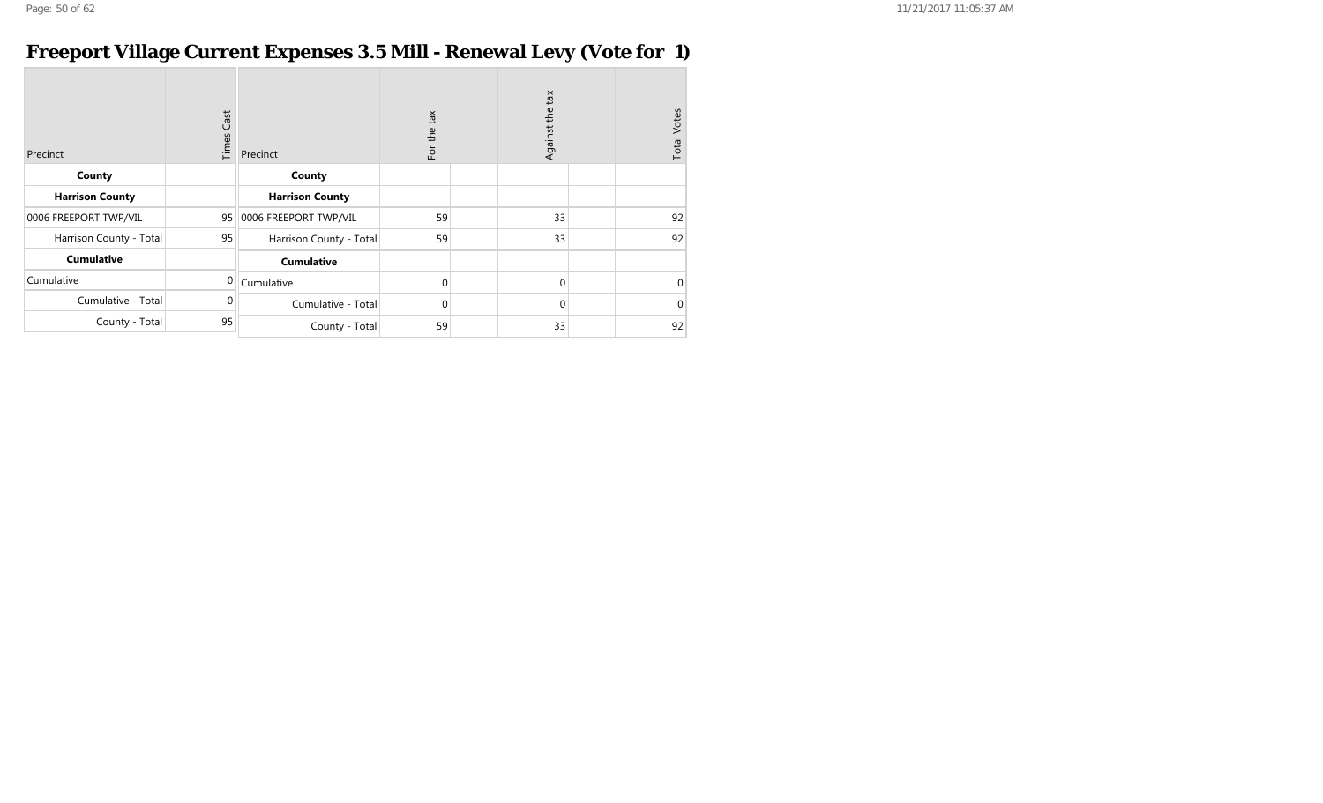#### **Freeport Village Current Expenses 3.5 Mill - Renewal Levy (Vote for 1)**

| Precinct                | Cast<br>Times | Precinct                | For the tax  | Against the tax | <b>Total Votes</b> |
|-------------------------|---------------|-------------------------|--------------|-----------------|--------------------|
| County                  |               | County                  |              |                 |                    |
| <b>Harrison County</b>  |               | <b>Harrison County</b>  |              |                 |                    |
| 0006 FREEPORT TWP/VIL   | 95            | 0006 FREEPORT TWP/VIL   | 59           | 33              | 92                 |
| Harrison County - Total | 95            | Harrison County - Total | 59           | 33              | 92                 |
| <b>Cumulative</b>       |               | <b>Cumulative</b>       |              |                 |                    |
| Cumulative              | 0             | Cumulative              | $\mathbf{0}$ | $\mathbf{0}$    | $\Omega$           |
| Cumulative - Total      | $\Omega$      | Cumulative - Total      | $\mathbf{0}$ | $\mathbf{0}$    | $\Omega$           |
| County - Total          | 95            | County - Total          | 59           | 33              | 92                 |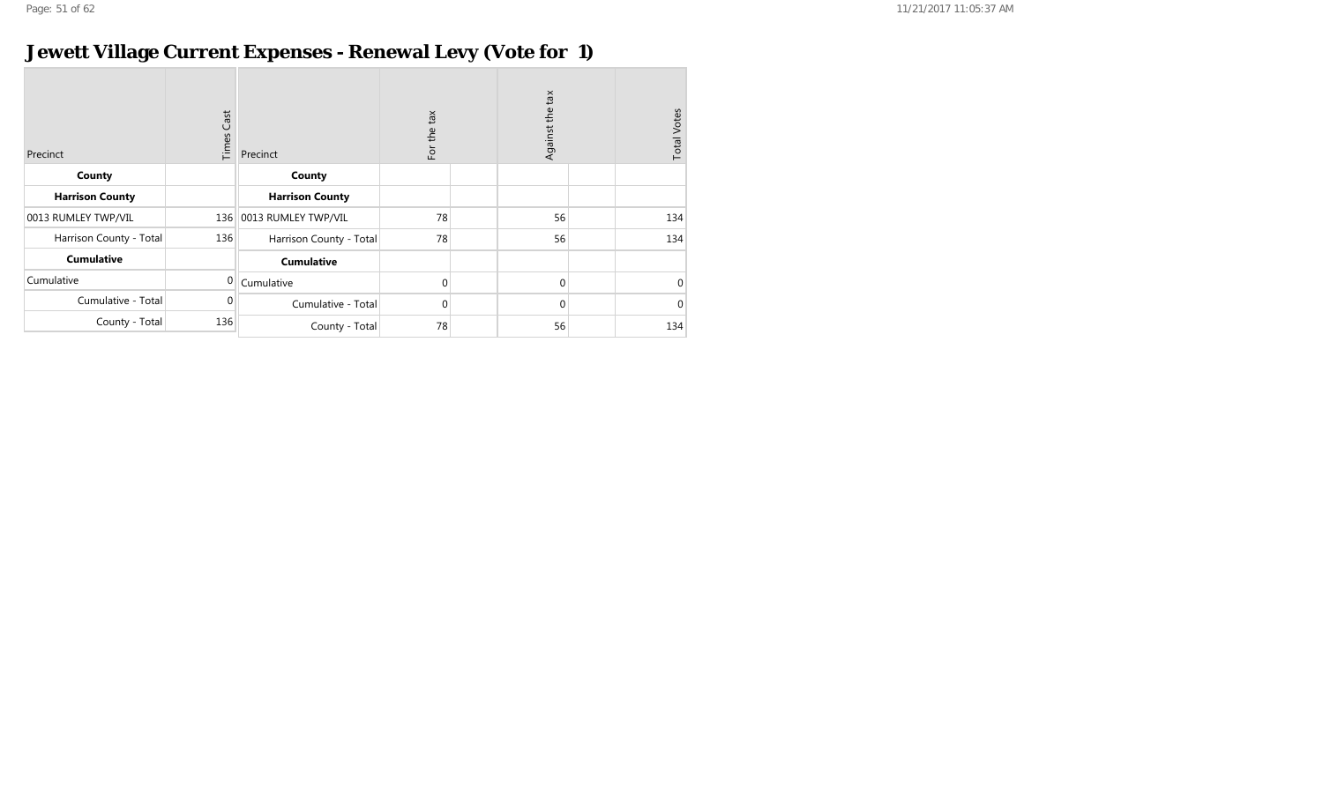## **Jewett Village Current Expenses - Renewal Levy (Vote for 1)**

| Precinct                | <b>Times Cast</b> | Precinct                | tax<br>For the | Against the tax | <b>Total Votes</b> |
|-------------------------|-------------------|-------------------------|----------------|-----------------|--------------------|
| County                  |                   | County                  |                |                 |                    |
| <b>Harrison County</b>  |                   | <b>Harrison County</b>  |                |                 |                    |
| 0013 RUMLEY TWP/VIL     |                   | 136 0013 RUMLEY TWP/VIL | 78             | 56              | 134                |
| Harrison County - Total | 136               | Harrison County - Total | 78             | 56              | 134                |
| <b>Cumulative</b>       |                   | <b>Cumulative</b>       |                |                 |                    |
| Cumulative              | $\mathbf{0}$      | Cumulative              | $\Omega$       | $\mathbf{0}$    | $\Omega$           |
| Cumulative - Total      | $\Omega$          | Cumulative - Total      | $\mathbf 0$    | $\mathbf{0}$    | $\Omega$           |
| County - Total          | 136               | County - Total          | 78             | 56              | 134                |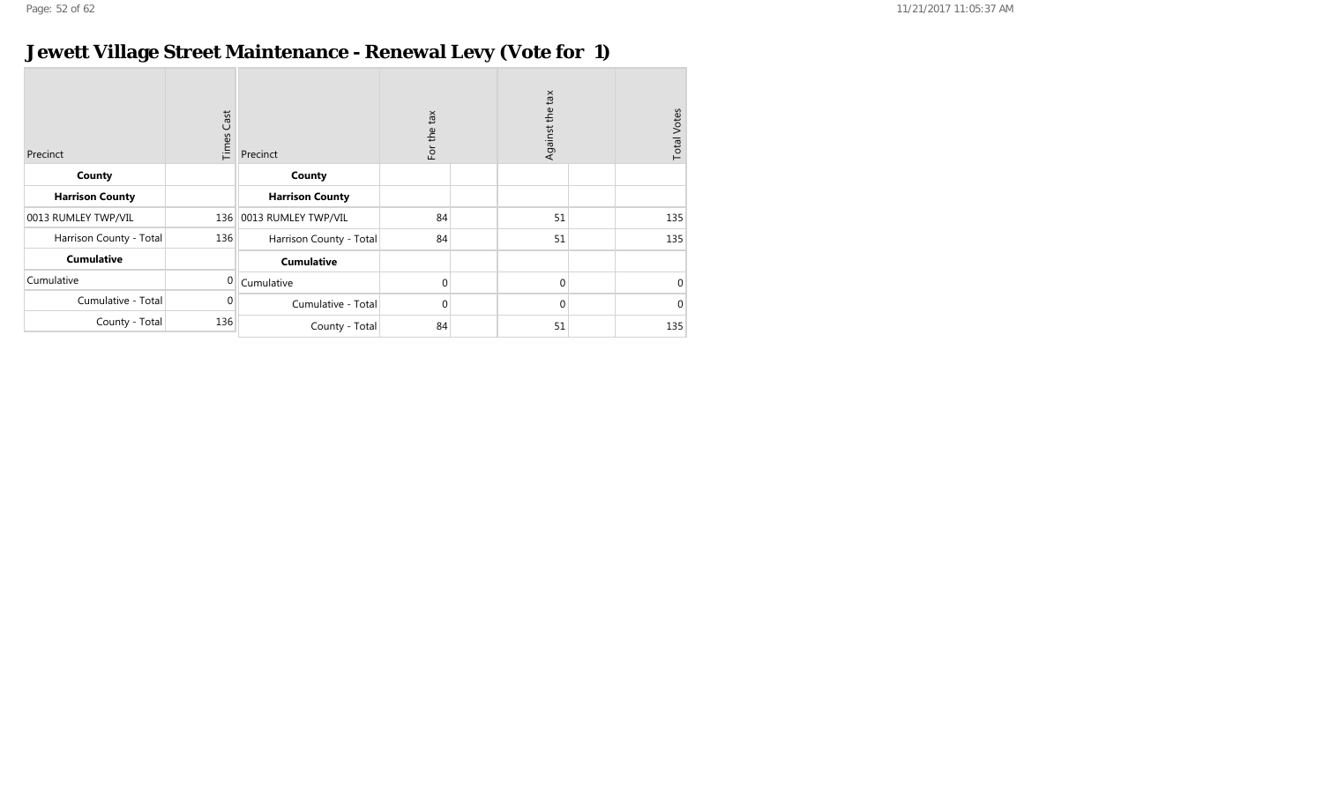## **Jewett Village Street Maintenance - Renewal Levy (Vote for 1)**

| Precinct                | $\mathsf{Cast}$<br>Times | Precinct                | For the tax | Against the tax | <b>Total Votes</b> |
|-------------------------|--------------------------|-------------------------|-------------|-----------------|--------------------|
| County                  |                          | County                  |             |                 |                    |
| <b>Harrison County</b>  |                          | <b>Harrison County</b>  |             |                 |                    |
| 0013 RUMLEY TWP/VIL     | 136                      | 0013 RUMLEY TWP/VIL     | 84          | 51              | 135                |
| Harrison County - Total | 136                      | Harrison County - Total | 84          | 51              | 135                |
| <b>Cumulative</b>       |                          | <b>Cumulative</b>       |             |                 |                    |
| Cumulative              | $\mathbf 0$              | Cumulative              | $\Omega$    | $\mathbf{0}$    | $\mathbf 0$        |
| Cumulative - Total      | $\Omega$                 | Cumulative - Total      | $\mathbf 0$ | $\mathbf{0}$    | $\mathbf{0}$       |
| County - Total          | 136                      | County - Total          | 84          | 51              | 135                |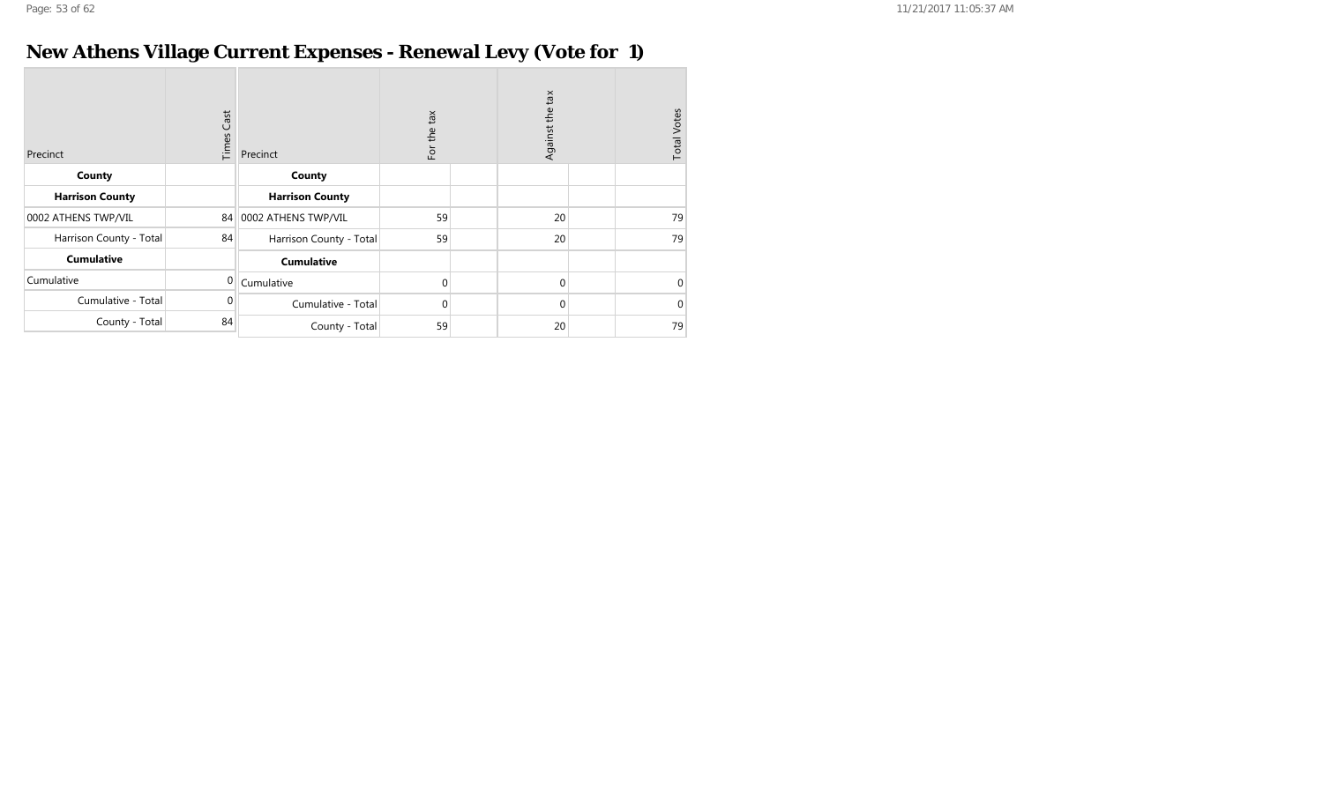# **New Athens Village Current Expenses - Renewal Levy (Vote for 1)**

| Precinct                | <b>Times Cast</b> | Precinct                | tan<br>For the | Against the tax | <b>Total Votes</b> |
|-------------------------|-------------------|-------------------------|----------------|-----------------|--------------------|
| County                  |                   | County                  |                |                 |                    |
| <b>Harrison County</b>  |                   | <b>Harrison County</b>  |                |                 |                    |
| 0002 ATHENS TWP/VIL     | 84                | 0002 ATHENS TWP/VIL     | 59             | 20              | 79                 |
| Harrison County - Total | 84                | Harrison County - Total | 59             | 20              | 79                 |
| <b>Cumulative</b>       |                   | <b>Cumulative</b>       |                |                 |                    |
| Cumulative              | $\mathbf 0$       | Cumulative              | $\Omega$       | $\mathbf{0}$    | $\Omega$           |
| Cumulative - Total      | $\mathbf{0}$      | Cumulative - Total      | $\Omega$       | $\mathbf{0}$    | $\Omega$           |
| County - Total          | 84                | County - Total          | 59             | 20              | 79                 |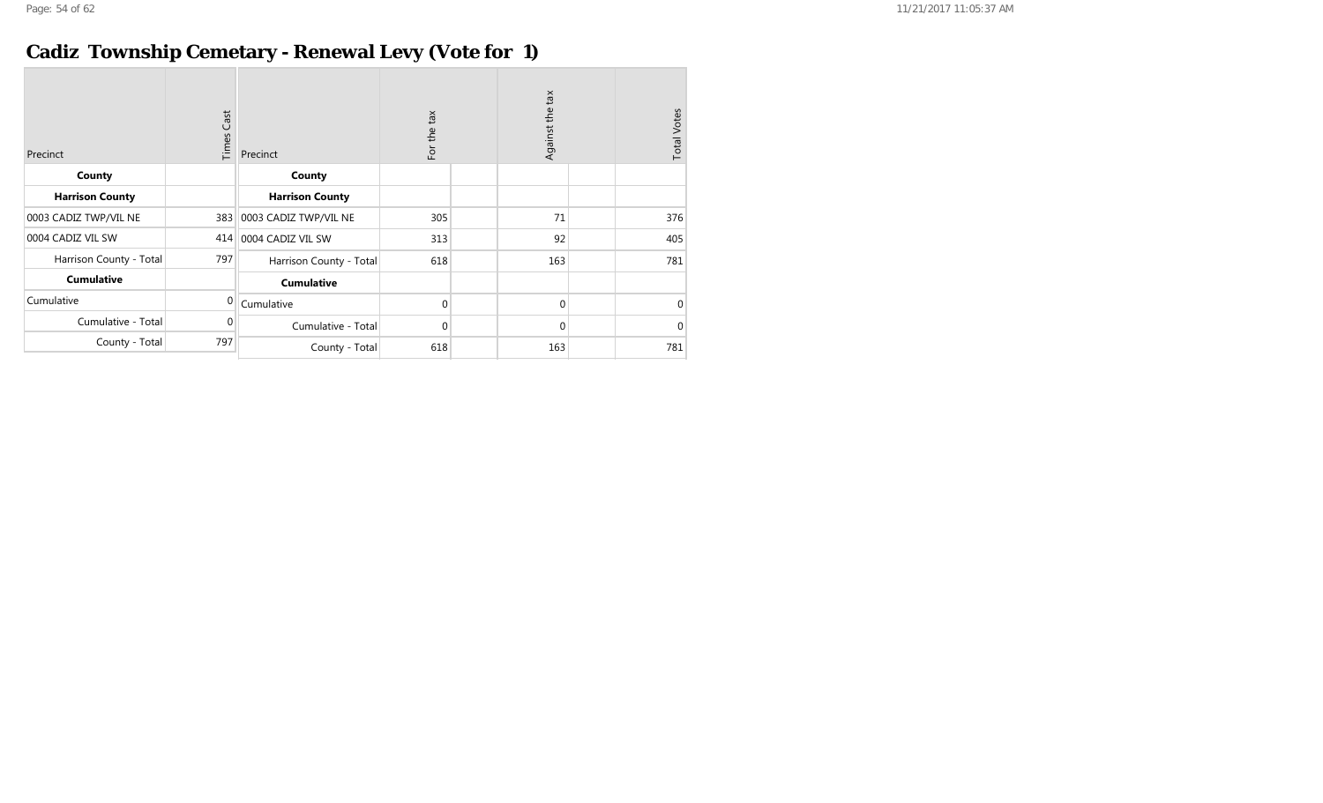## **Cadiz Township Cemetary - Renewal Levy (Vote for 1)**

| Precinct                | <b>Times Cast</b> | Precinct                | For the tax | Against the tax | <b>Total Votes</b> |
|-------------------------|-------------------|-------------------------|-------------|-----------------|--------------------|
| County                  |                   | County                  |             |                 |                    |
| <b>Harrison County</b>  |                   | <b>Harrison County</b>  |             |                 |                    |
| 0003 CADIZ TWP/VIL NE   | 383               | 0003 CADIZ TWP/VIL NE   | 305         | 71              | 376                |
| 0004 CADIZ VIL SW       | 414               | 0004 CADIZ VIL SW       | 313         | 92              | 405                |
| Harrison County - Total | 797               | Harrison County - Total | 618         | 163             | 781                |
| <b>Cumulative</b>       |                   | <b>Cumulative</b>       |             |                 |                    |
| Cumulative              | $\mathbf{0}$      | Cumulative              | $\Omega$    | $\mathbf 0$     | $\mathbf{0}$       |
| Cumulative - Total      | $\Omega$          | Cumulative - Total      | $\mathbf 0$ | $\Omega$        | $\mathbf{0}$       |
| County - Total          | 797               | County - Total          | 618         | 163             | 781                |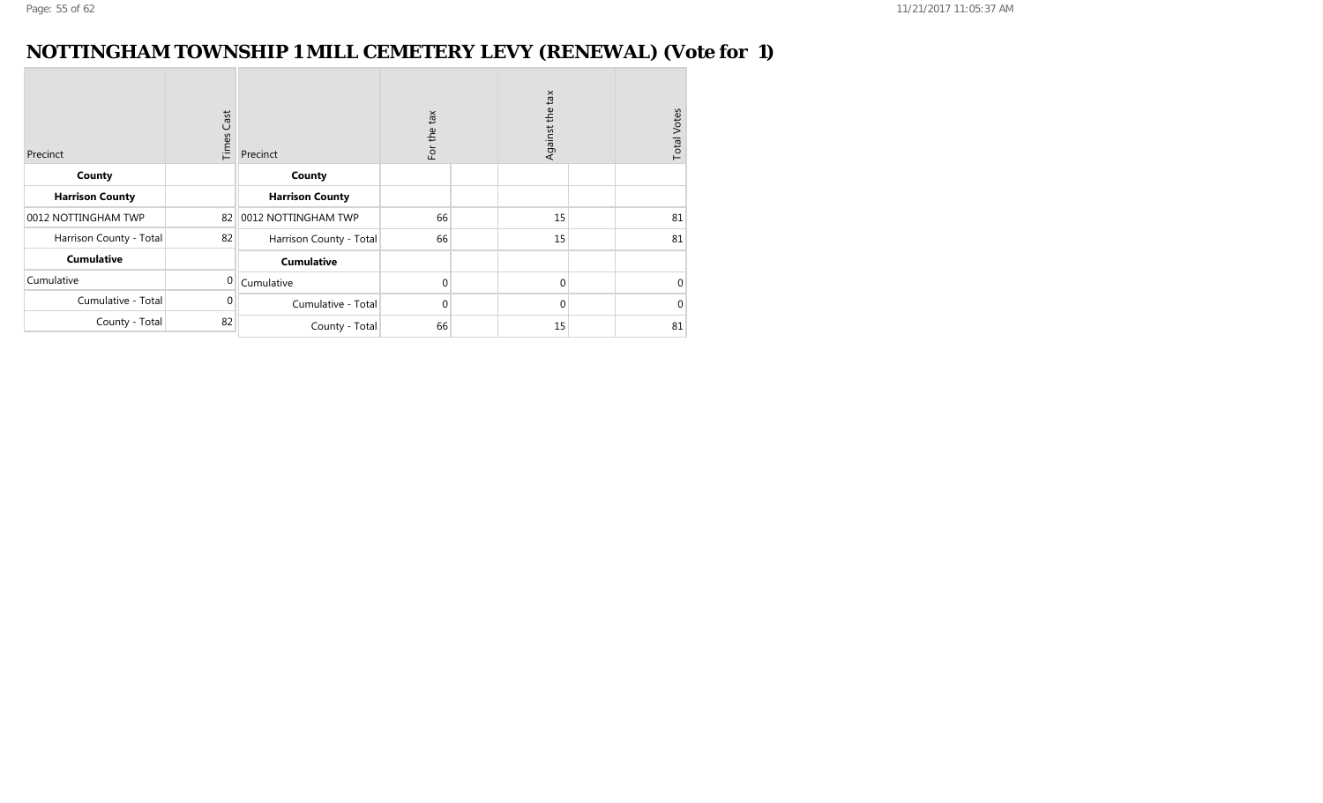#### **NOTTINGHAM TOWNSHIP 1 MILL CEMETERY LEVY (RENEWAL) (Vote for 1)**

| Precinct                | <b>Times Cast</b> | Precinct                | For the tax  | Against the tax |  |          |
|-------------------------|-------------------|-------------------------|--------------|-----------------|--|----------|
| County                  |                   | County                  |              |                 |  |          |
| <b>Harrison County</b>  |                   | <b>Harrison County</b>  |              |                 |  |          |
| 0012 NOTTINGHAM TWP     | 82                | 0012 NOTTINGHAM TWP     | 66           | 15              |  | 81       |
| Harrison County - Total | 82                | Harrison County - Total | 66           | 15              |  | 81       |
| <b>Cumulative</b>       |                   | <b>Cumulative</b>       |              |                 |  |          |
| Cumulative              | $\overline{0}$    | Cumulative              | $\Omega$     | $\mathbf{0}$    |  | $\Omega$ |
| Cumulative - Total      | $\Omega$          | Cumulative - Total      | $\mathbf{0}$ | $\mathbf{0}$    |  | $\Omega$ |
| County - Total          | 82                | County - Total          | 66           | 15              |  | 81       |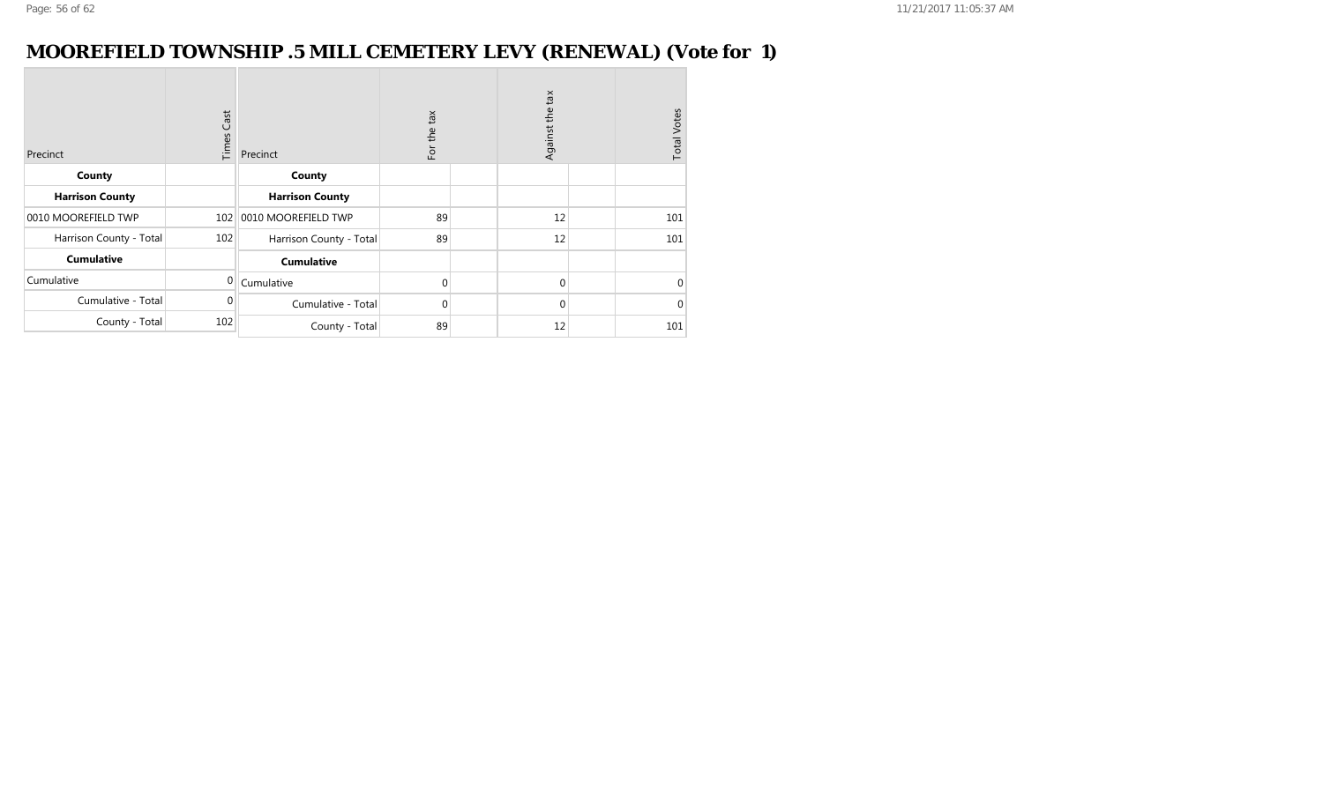#### **MOOREFIELD TOWNSHIP .5 MILL CEMETERY LEVY (RENEWAL) (Vote for 1)**

| Precinct                | Cast<br>Times  | Precinct                | For the tax | Against the tax | <b>Total Votes</b> |
|-------------------------|----------------|-------------------------|-------------|-----------------|--------------------|
| County                  |                | County                  |             |                 |                    |
| <b>Harrison County</b>  |                | <b>Harrison County</b>  |             |                 |                    |
| 0010 MOOREFIELD TWP     | 102            | 0010 MOOREFIELD TWP     | 89          | 12              | 101                |
| Harrison County - Total | 102            | Harrison County - Total | 89          | 12              | 101                |
| <b>Cumulative</b>       |                | <b>Cumulative</b>       |             |                 |                    |
| Cumulative              | $\overline{0}$ | Cumulative              | $\Omega$    | $\mathbf{0}$    | $\Omega$           |
| Cumulative - Total      | 0              | Cumulative - Total      | $\Omega$    | $\mathbf 0$     | $\Omega$           |
| County - Total          | 102            | County - Total          | 89          | 12              | 101                |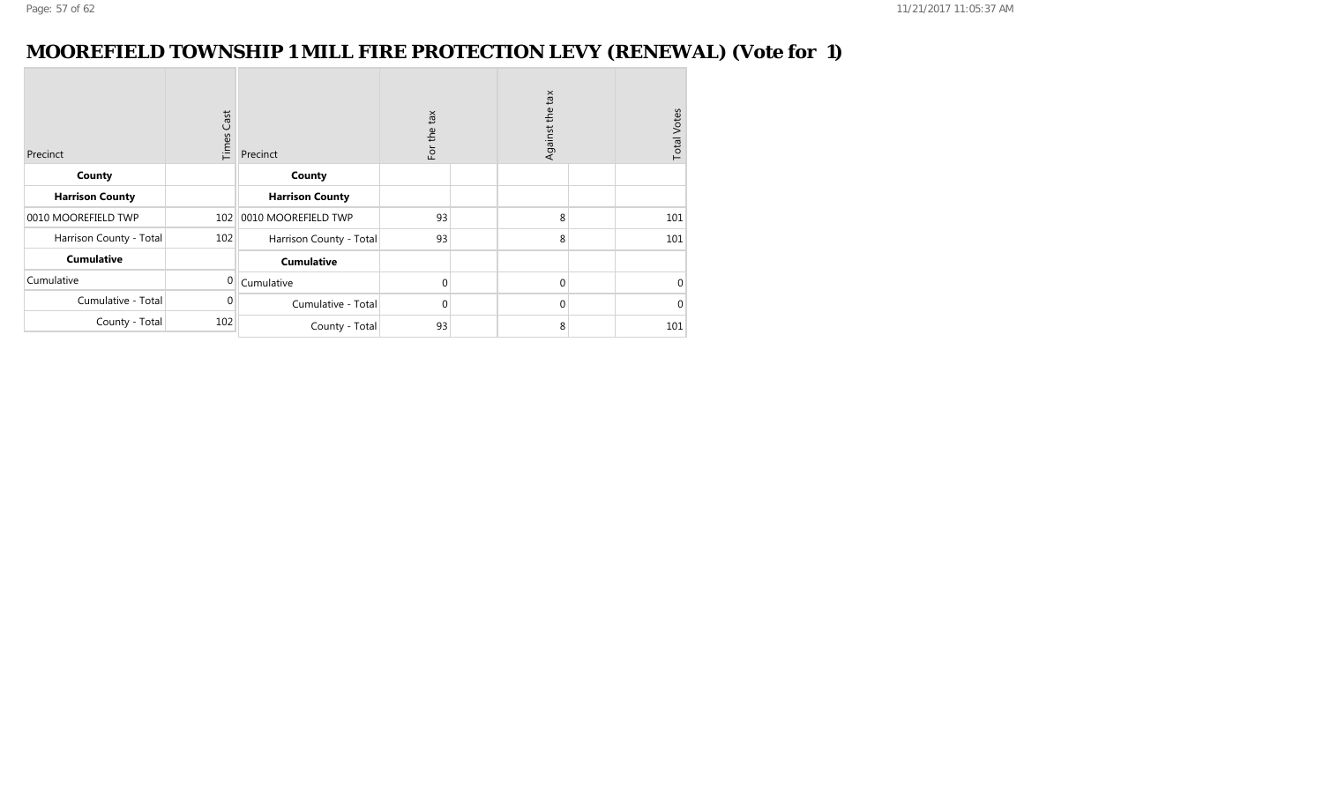#### **MOOREFIELD TOWNSHIP 1 MILL FIRE PROTECTION LEVY (RENEWAL) (Vote for 1)**

| Precinct                | Cast<br>Times | Precinct                | For the tax | Against the tax |  |          |
|-------------------------|---------------|-------------------------|-------------|-----------------|--|----------|
| County                  |               | County                  |             |                 |  |          |
| <b>Harrison County</b>  |               | <b>Harrison County</b>  |             |                 |  |          |
| 0010 MOOREFIELD TWP     | 102           | 0010 MOOREFIELD TWP     | 93          | 8               |  | 101      |
| Harrison County - Total | 102           | Harrison County - Total | 93          | 8               |  | 101      |
| <b>Cumulative</b>       |               | <b>Cumulative</b>       |             |                 |  |          |
| Cumulative              | $\mathbf{0}$  | Cumulative              | $\Omega$    | $\mathbf{0}$    |  | $\Omega$ |
| Cumulative - Total      | $\Omega$      | Cumulative - Total      | $\Omega$    | $\Omega$        |  | $\Omega$ |
| County - Total          | 102           | County - Total          | 93          | 8               |  | 101      |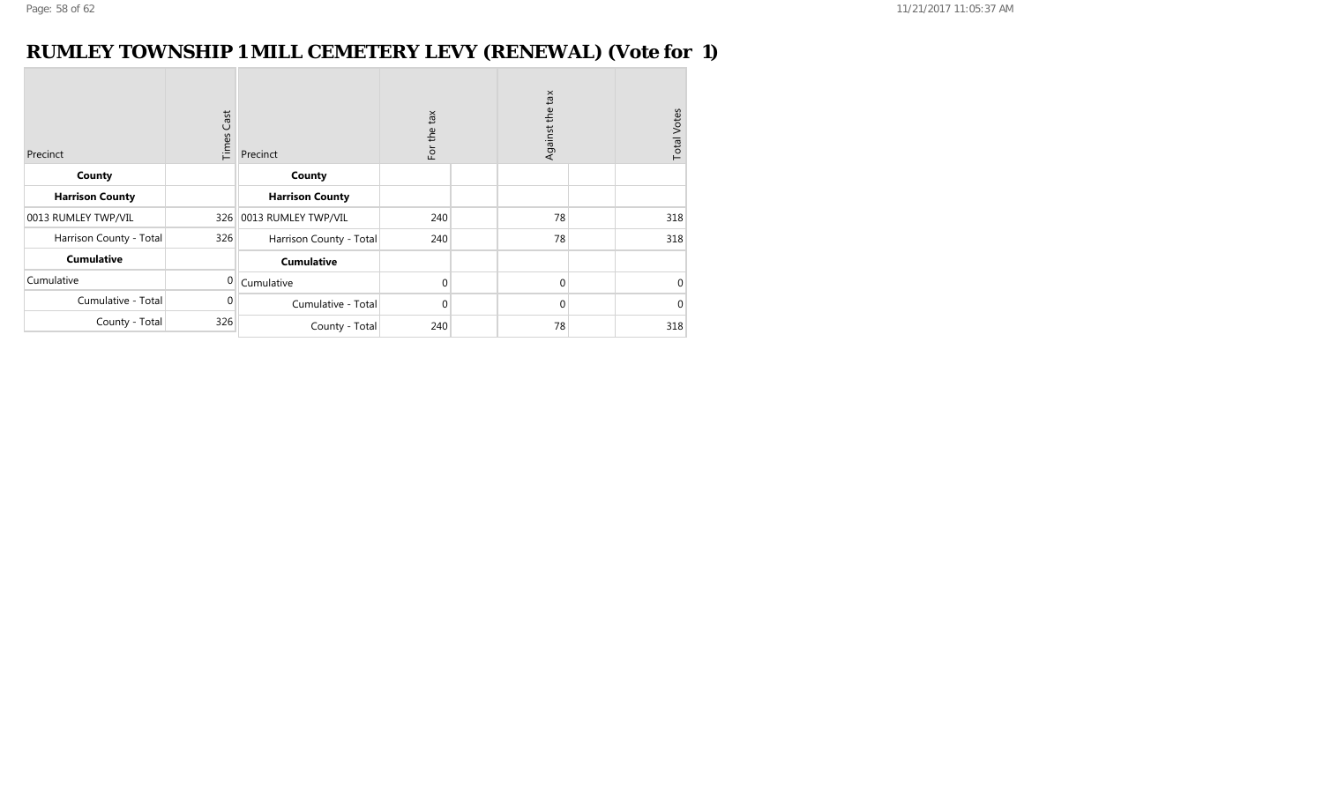#### **RUMLEY TOWNSHIP 1 MILL CEMETERY LEVY (RENEWAL) (Vote for 1)**

| Precinct                | <b>Times Cast</b> | Precinct                | For the tax | Against the tax |  |          |
|-------------------------|-------------------|-------------------------|-------------|-----------------|--|----------|
| County                  |                   | County                  |             |                 |  |          |
| <b>Harrison County</b>  |                   | <b>Harrison County</b>  |             |                 |  |          |
| 0013 RUMLEY TWP/VIL     | 326               | 0013 RUMLEY TWP/VIL     | 240         | 78              |  | 318      |
| Harrison County - Total | 326               | Harrison County - Total | 240         | 78              |  | 318      |
| <b>Cumulative</b>       |                   | <b>Cumulative</b>       |             |                 |  |          |
| Cumulative              | $\overline{0}$    | Cumulative              | $\mathbf 0$ | $\mathbf{0}$    |  | $\Omega$ |
| Cumulative - Total      | $\Omega$          | Cumulative - Total      | $\mathbf 0$ | $\mathbf{0}$    |  | $\Omega$ |
| County - Total          | 326               | County - Total          | 240         | 78              |  | 318      |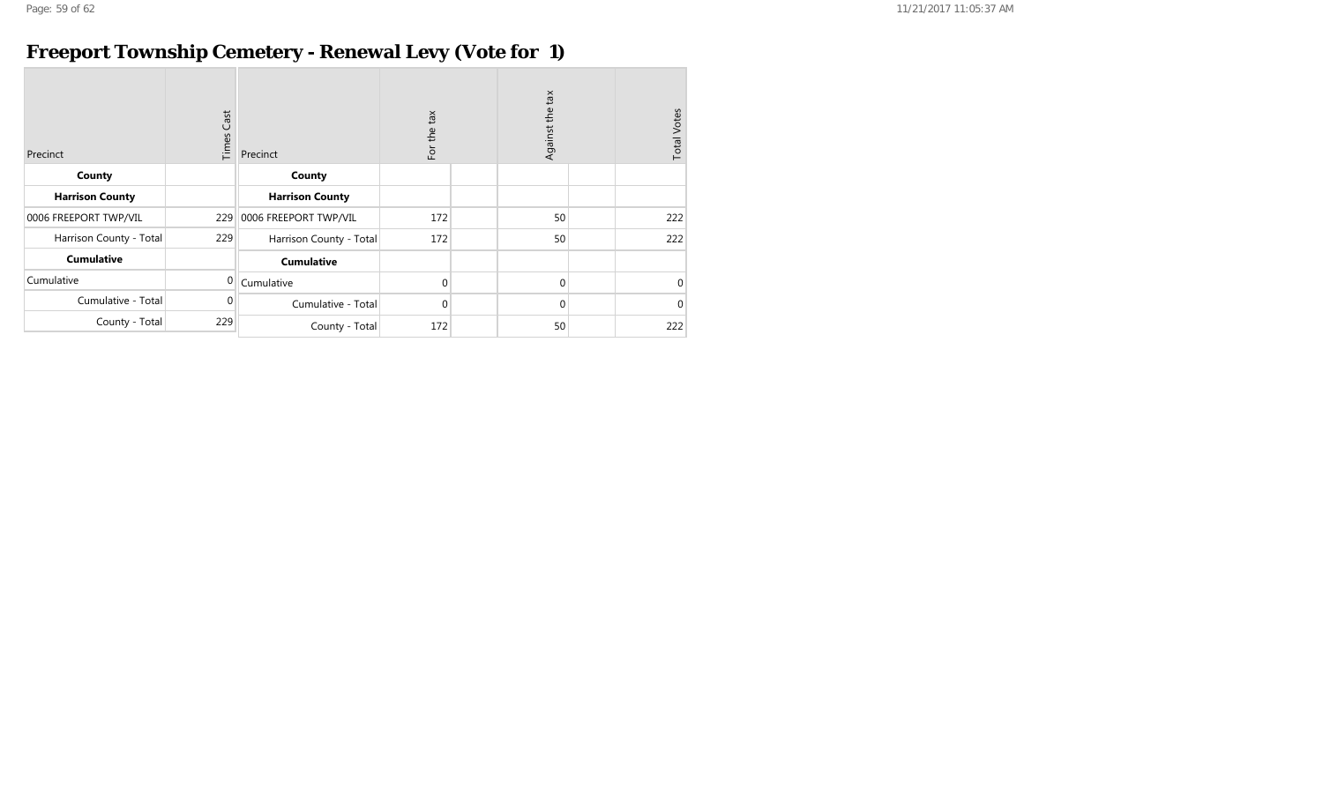## **Freeport Township Cemetery - Renewal Levy (Vote for 1)**

| Precinct                | <b>Times Cast</b> | Precinct                | For the tax | Against the tax | <b>Total Votes</b> |
|-------------------------|-------------------|-------------------------|-------------|-----------------|--------------------|
| County                  |                   | County                  |             |                 |                    |
| <b>Harrison County</b>  |                   | <b>Harrison County</b>  |             |                 |                    |
| 0006 FREEPORT TWP/VIL   | 229               | 0006 FREEPORT TWP/VIL   | 172         | 50              | 222                |
| Harrison County - Total | 229               | Harrison County - Total | 172         | 50              | 222                |
| <b>Cumulative</b>       |                   | <b>Cumulative</b>       |             |                 |                    |
| Cumulative              | $\Omega$          | Cumulative              | $\Omega$    | $\Omega$        | $\mathbf{0}$       |
| Cumulative - Total      | $\Omega$          | Cumulative - Total      | $\Omega$    | $\Omega$        | $\mathbf{0}$       |
| County - Total          | 229               | County - Total          | 172         | 50              | 222                |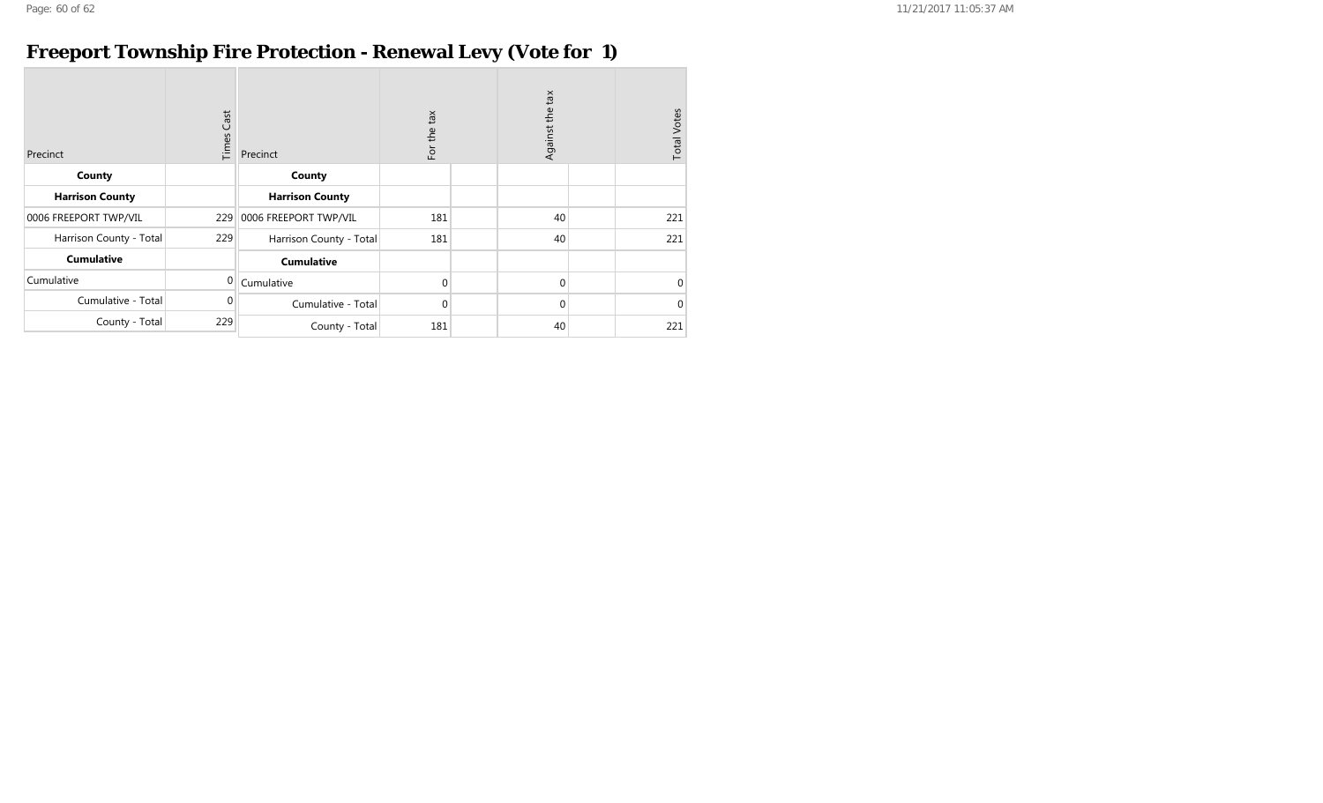## **Freeport Township Fire Protection - Renewal Levy (Vote for 1)**

| Precinct                | Cast<br>Times | Precinct                | tan<br>For the | Against the tax | <b>Total Votes</b> |
|-------------------------|---------------|-------------------------|----------------|-----------------|--------------------|
| County                  |               | County                  |                |                 |                    |
| <b>Harrison County</b>  |               | <b>Harrison County</b>  |                |                 |                    |
| 0006 FREEPORT TWP/VIL   | 229           | 0006 FREEPORT TWP/VIL   | 181            | 40              | 221                |
| Harrison County - Total | 229           | Harrison County - Total | 181            | 40              | 221                |
| <b>Cumulative</b>       |               | <b>Cumulative</b>       |                |                 |                    |
| Cumulative              | $\mathbf 0$   | Cumulative              | $\mathbf 0$    | $\mathbf 0$     | $\mathbf 0$        |
| Cumulative - Total      | $\mathbf{0}$  | Cumulative - Total      | $\mathbf{0}$   | $\mathbf 0$     | $\mathbf{0}$       |
| County - Total          | 229           | County - Total          | 181            | 40              | 221                |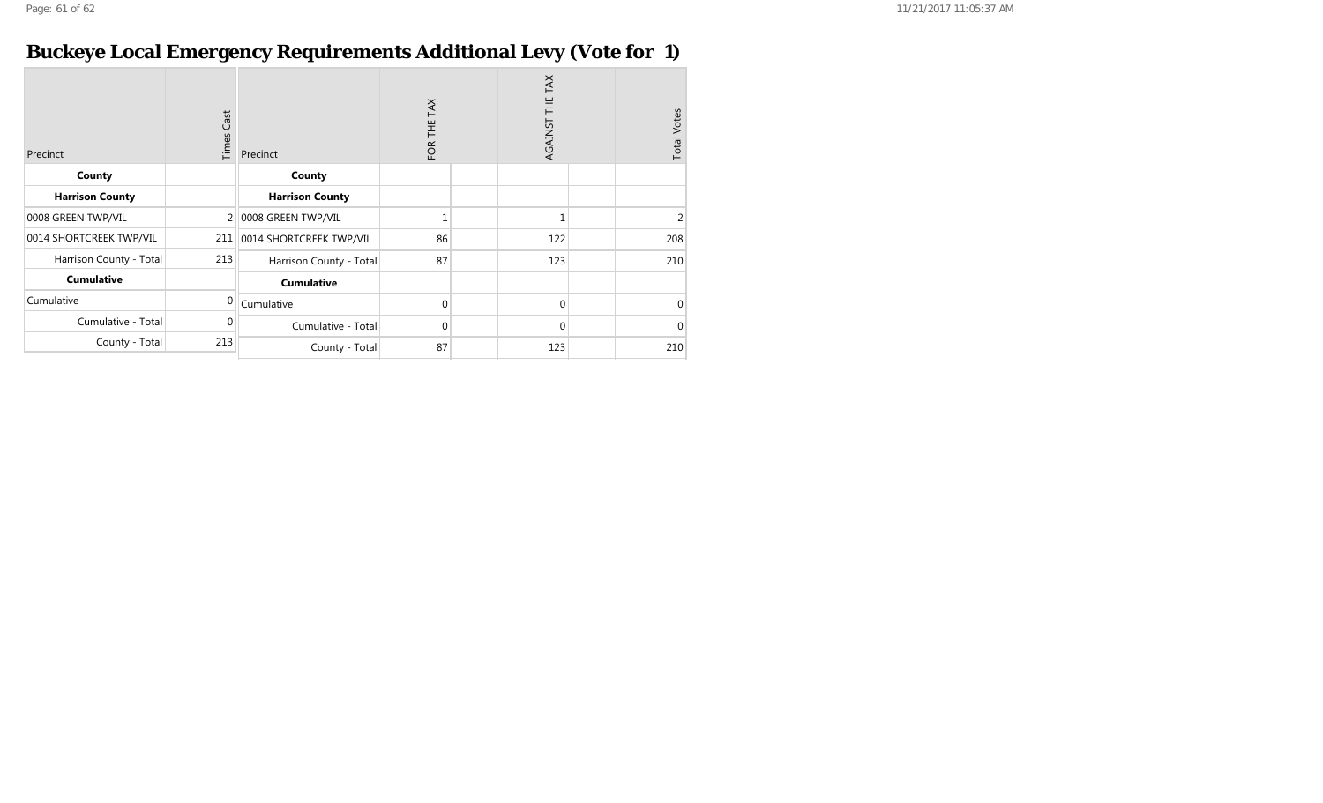## **Buckeye Local Emergency Requirements Additional Levy (Vote for 1)**

| Precinct                | Cast<br>Times | Precinct                | TAX<br>FOR THE | AGAINST THE TAX | <b>Total Votes</b> |
|-------------------------|---------------|-------------------------|----------------|-----------------|--------------------|
| County                  |               | County                  |                |                 |                    |
| <b>Harrison County</b>  |               | <b>Harrison County</b>  |                |                 |                    |
| 0008 GREEN TWP/VIL      | 2             | 0008 GREEN TWP/VIL      |                | 1               | 2                  |
| 0014 SHORTCREEK TWP/VIL | 211           | 0014 SHORTCREEK TWP/VIL | 86             | 122             | 208                |
| Harrison County - Total | 213           | Harrison County - Total | 87             | 123             | 210                |
| <b>Cumulative</b>       |               | <b>Cumulative</b>       |                |                 |                    |
| Cumulative              | $\Omega$      | Cumulative              | $\Omega$       | $\mathbf{0}$    | 0                  |
| Cumulative - Total      | $\Omega$      | Cumulative - Total      | $\Omega$       | $\mathbf{0}$    | $\Omega$           |
| County - Total          | 213           | County - Total          | 87             | 123             | 210                |